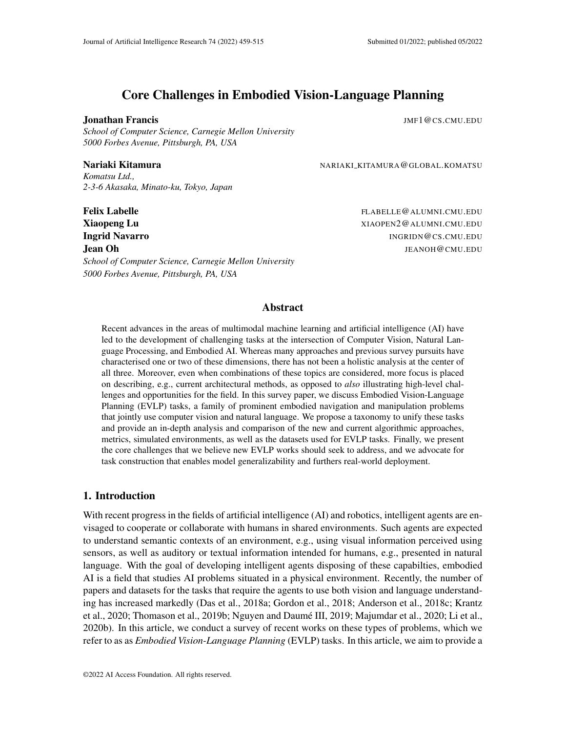# Core Challenges in Embodied Vision-Language Planning

#### **Jonathan Francis JMF1@CS.CMU.EDU**

*School of Computer Science, Carnegie Mellon University 5000 Forbes Avenue, Pittsburgh, PA, USA*

#### Nariaki Kitamura **NARIAKI KITAMURA@GLOBAL.KOMATSU**

*Komatsu Ltd., 2-3-6 Akasaka, Minato-ku, Tokyo, Japan*

Felix Labelle FLABELLE@ALUMNI.CMU.EDU **Xiaopeng Lu** XIAOPEN2@ALUMNI.CMU.EDU **Ingrid Navarro International International International International International International International International International International International International International International Internatio Jean Oh JEANOH (CAULLEDU)** JEANOH (CAULLEDU) *School of Computer Science, Carnegie Mellon University*

*5000 Forbes Avenue, Pittsburgh, PA, USA*

### Abstract

Recent advances in the areas of multimodal machine learning and artificial intelligence (AI) have led to the development of challenging tasks at the intersection of Computer Vision, Natural Language Processing, and Embodied AI. Whereas many approaches and previous survey pursuits have characterised one or two of these dimensions, there has not been a holistic analysis at the center of all three. Moreover, even when combinations of these topics are considered, more focus is placed on describing, e.g., current architectural methods, as opposed to *also* illustrating high-level challenges and opportunities for the field. In this survey paper, we discuss Embodied Vision-Language Planning (EVLP) tasks, a family of prominent embodied navigation and manipulation problems that jointly use computer vision and natural language. We propose a taxonomy to unify these tasks and provide an in-depth analysis and comparison of the new and current algorithmic approaches, metrics, simulated environments, as well as the datasets used for EVLP tasks. Finally, we present the core challenges that we believe new EVLP works should seek to address, and we advocate for task construction that enables model generalizability and furthers real-world deployment.

### 1. Introduction

With recent progress in the fields of artificial intelligence (AI) and robotics, intelligent agents are envisaged to cooperate or collaborate with humans in shared environments. Such agents are expected to understand semantic contexts of an environment, e.g., using visual information perceived using sensors, as well as auditory or textual information intended for humans, e.g., presented in natural language. With the goal of developing intelligent agents disposing of these capabilties, embodied AI is a field that studies AI problems situated in a physical environment. Recently, the number of papers and datasets for the tasks that require the agents to use both vision and language understanding has increased markedly [\(Das et al.,](#page-41-0) [2018a;](#page-41-0) [Gordon et al.,](#page-43-0) [2018;](#page-43-0) [Anderson et al.,](#page-38-0) [2018c;](#page-38-0) [Krantz](#page-46-0) [et al.,](#page-46-0) [2020;](#page-48-0) [Thomason et al.,](#page-53-0) [2019b;](#page-53-0) Nguyen and Daumé III, [2019;](#page-49-0) [Majumdar et al.,](#page-48-0) 2020; [Li et al.,](#page-46-1) [2020b\)](#page-46-1). In this article, we conduct a survey of recent works on these types of problems, which we refer to as as *Embodied Vision-Language Planning* (EVLP) tasks. In this article, we aim to provide a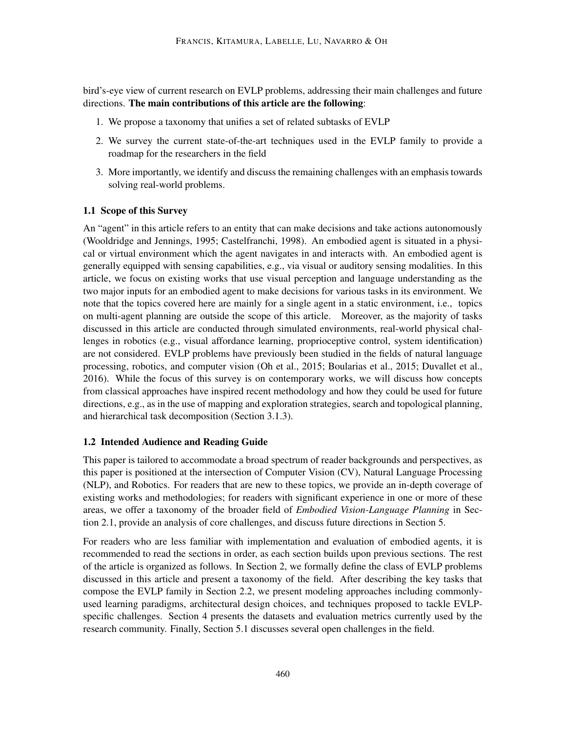bird's-eye view of current research on EVLP problems, addressing their main challenges and future directions. The main contributions of this article are the following:

- 1. We propose a taxonomy that unifies a set of related subtasks of EVLP
- 2. We survey the current state-of-the-art techniques used in the EVLP family to provide a roadmap for the researchers in the field
- 3. More importantly, we identify and discuss the remaining challenges with an emphasis towards solving real-world problems.

### 1.1 Scope of this Survey

An "agent" in this article refers to an entity that can make decisions and take actions autonomously [\(Wooldridge and Jennings,](#page-54-0) [1995;](#page-54-0) [Castelfranchi,](#page-39-0) [1998\)](#page-39-0). An embodied agent is situated in a physical or virtual environment which the agent navigates in and interacts with. An embodied agent is generally equipped with sensing capabilities, e.g., via visual or auditory sensing modalities. In this article, we focus on existing works that use visual perception and language understanding as the two major inputs for an embodied agent to make decisions for various tasks in its environment. We note that the topics covered here are mainly for a single agent in a static environment, i.e., topics on multi-agent planning are outside the scope of this article. Moreover, as the majority of tasks discussed in this article are conducted through simulated environments, real-world physical challenges in robotics (e.g., visual affordance learning, proprioceptive control, system identification) are not considered. EVLP problems have previously been studied in the fields of natural language processing, robotics, and computer vision [\(Oh et al.,](#page-49-1) [2015;](#page-49-1) [Boularias et al.,](#page-39-1) [2015;](#page-39-1) [Duvallet et al.,](#page-42-0) [2016\)](#page-42-0). While the focus of this survey is on contemporary works, we will discuss how concepts from classical approaches have inspired recent methodology and how they could be used for future directions, e.g., as in the use of mapping and exploration strategies, search and topological planning, and hierarchical task decomposition (Section [3.1.3\)](#page-10-0).

### 1.2 Intended Audience and Reading Guide

This paper is tailored to accommodate a broad spectrum of reader backgrounds and perspectives, as this paper is positioned at the intersection of Computer Vision (CV), Natural Language Processing (NLP), and Robotics. For readers that are new to these topics, we provide an in-depth coverage of existing works and methodologies; for readers with significant experience in one or more of these areas, we offer a taxonomy of the broader field of *Embodied Vision-Language Planning* in Section [2.1,](#page-4-0) provide an analysis of core challenges, and discuss future directions in Section [5.](#page-30-0)

For readers who are less familiar with implementation and evaluation of embodied agents, it is recommended to read the sections in order, as each section builds upon previous sections. The rest of the article is organized as follows. In Section [2,](#page-3-0) we formally define the class of EVLP problems discussed in this article and present a taxonomy of the field. After describing the key tasks that compose the EVLP family in Section [2.2,](#page-4-1) we present modeling approaches including commonlyused learning paradigms, architectural design choices, and techniques proposed to tackle EVLPspecific challenges. Section [4](#page-18-0) presents the datasets and evaluation metrics currently used by the research community. Finally, Section [5.1](#page-30-1) discusses several open challenges in the field.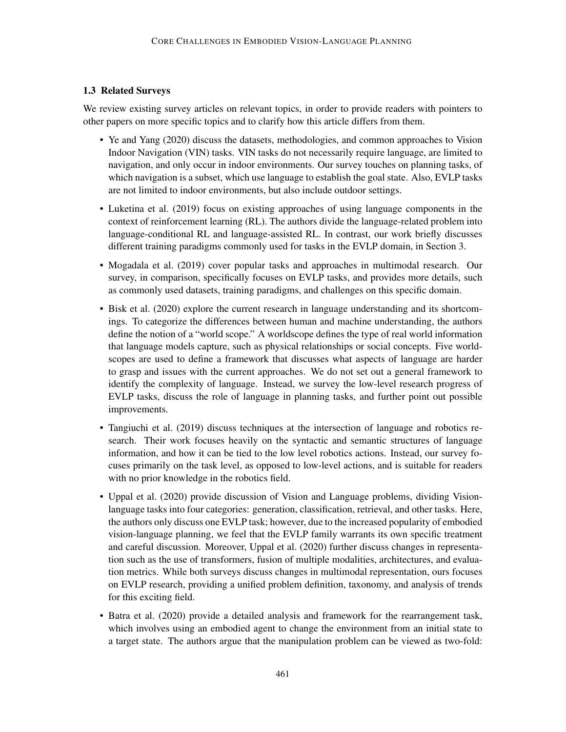### 1.3 Related Surveys

We review existing survey articles on relevant topics, in order to provide readers with pointers to other papers on more specific topics and to clarify how this article differs from them.

- [Ye and Yang](#page-55-0) [\(2020\)](#page-55-0) discuss the datasets, methodologies, and common approaches to Vision Indoor Navigation (VIN) tasks. VIN tasks do not necessarily require language, are limited to navigation, and only occur in indoor environments. Our survey touches on planning tasks, of which navigation is a subset, which use language to establish the goal state. Also, EVLP tasks are not limited to indoor environments, but also include outdoor settings.
- [Luketina et al.](#page-47-0) [\(2019\)](#page-47-0) focus on existing approaches of using language components in the context of reinforcement learning (RL). The authors divide the language-related problem into language-conditional RL and language-assisted RL. In contrast, our work briefly discusses different training paradigms commonly used for tasks in the EVLP domain, in Section [3.](#page-8-0)
- [Mogadala et al.](#page-48-1) [\(2019\)](#page-48-1) cover popular tasks and approaches in multimodal research. Our survey, in comparison, specifically focuses on EVLP tasks, and provides more details, such as commonly used datasets, training paradigms, and challenges on this specific domain.
- [Bisk et al.](#page-39-2) [\(2020\)](#page-39-2) explore the current research in language understanding and its shortcomings. To categorize the differences between human and machine understanding, the authors define the notion of a "world scope." A worldscope defines the type of real world information that language models capture, such as physical relationships or social concepts. Five worldscopes are used to define a framework that discusses what aspects of language are harder to grasp and issues with the current approaches. We do not set out a general framework to identify the complexity of language. Instead, we survey the low-level research progress of EVLP tasks, discuss the role of language in planning tasks, and further point out possible improvements.
- [Tangiuchi et al.](#page-52-0) [\(2019\)](#page-52-0) discuss techniques at the intersection of language and robotics research. Their work focuses heavily on the syntactic and semantic structures of language information, and how it can be tied to the low level robotics actions. Instead, our survey focuses primarily on the task level, as opposed to low-level actions, and is suitable for readers with no prior knowledge in the robotics field.
- [Uppal et al.](#page-53-1) [\(2020\)](#page-53-1) provide discussion of Vision and Language problems, dividing Visionlanguage tasks into four categories: generation, classification, retrieval, and other tasks. Here, the authors only discuss one EVLP task; however, due to the increased popularity of embodied vision-language planning, we feel that the EVLP family warrants its own specific treatment and careful discussion. Moreover, [Uppal et al.](#page-53-1) [\(2020\)](#page-53-1) further discuss changes in representation such as the use of transformers, fusion of multiple modalities, architectures, and evaluation metrics. While both surveys discuss changes in multimodal representation, ours focuses on EVLP research, providing a unified problem definition, taxonomy, and analysis of trends for this exciting field.
- [Batra et al.](#page-38-1) [\(2020\)](#page-38-1) provide a detailed analysis and framework for the rearrangement task, which involves using an embodied agent to change the environment from an initial state to a target state. The authors argue that the manipulation problem can be viewed as two-fold: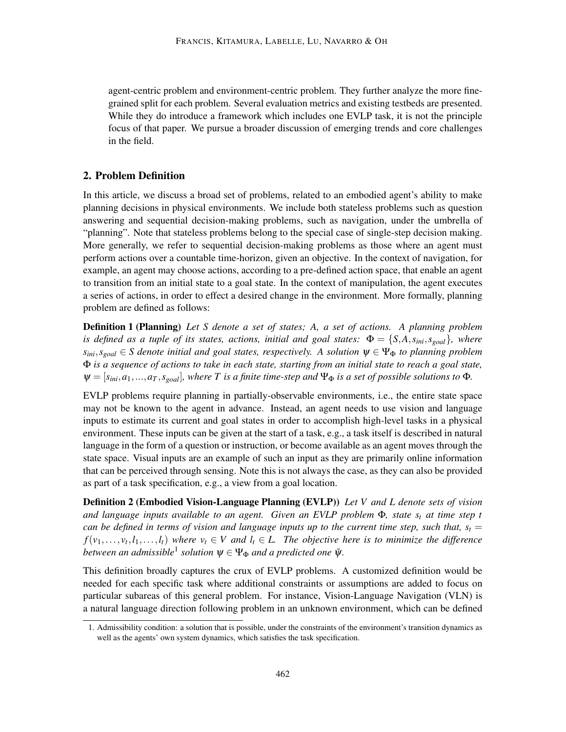agent-centric problem and environment-centric problem. They further analyze the more finegrained split for each problem. Several evaluation metrics and existing testbeds are presented. While they do introduce a framework which includes one EVLP task, it is not the principle focus of that paper. We pursue a broader discussion of emerging trends and core challenges in the field.

## <span id="page-3-0"></span>2. Problem Definition

In this article, we discuss a broad set of problems, related to an embodied agent's ability to make planning decisions in physical environments. We include both stateless problems such as question answering and sequential decision-making problems, such as navigation, under the umbrella of "planning". Note that stateless problems belong to the special case of single-step decision making. More generally, we refer to sequential decision-making problems as those where an agent must perform actions over a countable time-horizon, given an objective. In the context of navigation, for example, an agent may choose actions, according to a pre-defined action space, that enable an agent to transition from an initial state to a goal state. In the context of manipulation, the agent executes a series of actions, in order to effect a desired change in the environment. More formally, planning problem are defined as follows:

Definition 1 (Planning) *Let S denote a set of states; A, a set of actions. A planning problem is defined as a tuple of its states, actions, initial and goal states:*  $\Phi = \{S, A, s_{ini}, s_{goal}\}$ *, where*  $s_{ini}$ ,  $s_{goal} \in S$  denote initial and goal states, respectively. A solution  $\psi \in \Psi_{\Phi}$  to planning problem Φ *is a sequence of actions to take in each state, starting from an initial state to reach a goal state,*  $\Psi = [s_{ini}, a_1, \ldots, a_T, s_{goal}]$ , where T is a finite time-step and  $\Psi_{\Phi}$  is a set of possible solutions to  $\Phi$ .

EVLP problems require planning in partially-observable environments, i.e., the entire state space may not be known to the agent in advance. Instead, an agent needs to use vision and language inputs to estimate its current and goal states in order to accomplish high-level tasks in a physical environment. These inputs can be given at the start of a task, e.g., a task itself is described in natural language in the form of a question or instruction, or become available as an agent moves through the state space. Visual inputs are an example of such an input as they are primarily online information that can be perceived through sensing. Note this is not always the case, as they can also be provided as part of a task specification, e.g., a view from a goal location.

Definition 2 (Embodied Vision-Language Planning (EVLP)) *Let V and L denote sets of vision and language inputs available to an agent. Given an EVLP problem* Φ*, state s<sup>t</sup> at time step t can be defined in terms of vision and language inputs up to the current time step, such that,*  $s_t$  *=*  $f(v_1,...,v_t, l_1,...,l_t)$  where  $v_t \in V$  and  $l_t \in L$ . The objective here is to minimize the difference between an admissible<sup>[1](#page-3-1)</sup> solution  $\psi \in \Psi_\Phi$  and a predicted one  $\bar \psi$ .

This definition broadly captures the crux of EVLP problems. A customized definition would be needed for each specific task where additional constraints or assumptions are added to focus on particular subareas of this general problem. For instance, Vision-Language Navigation (VLN) is a natural language direction following problem in an unknown environment, which can be defined

<span id="page-3-1"></span><sup>1.</sup> Admissibility condition: a solution that is possible, under the constraints of the environment's transition dynamics as well as the agents' own system dynamics, which satisfies the task specification.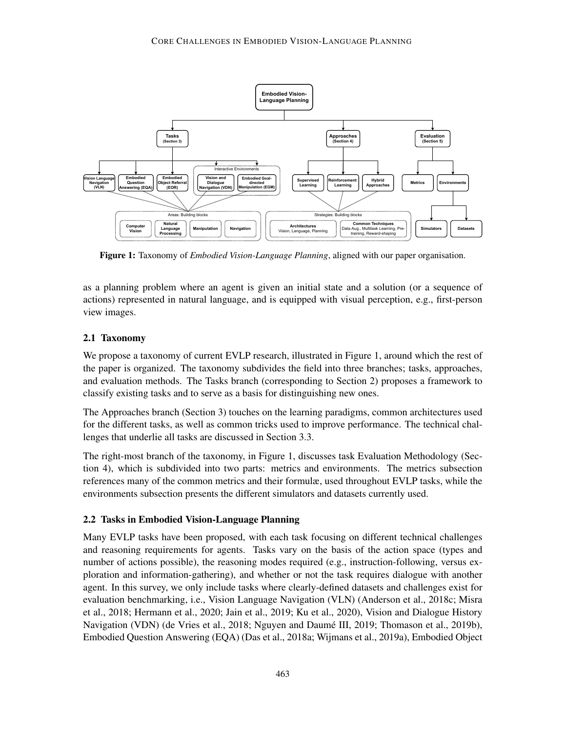<span id="page-4-2"></span>

Figure 1: Taxonomy of *Embodied Vision-Language Planning*, aligned with our paper organisation.

as a planning problem where an agent is given an initial state and a solution (or a sequence of actions) represented in natural language, and is equipped with visual perception, e.g., first-person view images.

## <span id="page-4-0"></span>2.1 Taxonomy

We propose a taxonomy of current EVLP research, illustrated in [Figure 1,](#page-4-2) around which the rest of the paper is organized. The taxonomy subdivides the field into three branches; tasks, approaches, and evaluation methods. The Tasks branch (corresponding to [Section](#page-4-1) [2\)](#page-3-0) proposes a framework to classify existing tasks and to serve as a basis for distinguishing new ones.

The Approaches branch [\(Section](#page-8-0) [3\)](#page-8-0) touches on the learning paradigms, common architectures used for the different tasks, as well as common tricks used to improve performance. The technical challenges that underlie all tasks are discussed in [Section](#page-15-0) [3.3.](#page-15-0)

The right-most branch of the taxonomy, in Figure [1,](#page-4-2) discusses task Evaluation Methodology [\(Sec](#page-18-0)[tion](#page-18-0) [4\)](#page-18-0), which is subdivided into two parts: metrics and environments. The metrics subsection references many of the common metrics and their formulæ, used throughout EVLP tasks, while the environments subsection presents the different simulators and datasets currently used.

## <span id="page-4-1"></span>2.2 Tasks in Embodied Vision-Language Planning

Many EVLP tasks have been proposed, with each task focusing on different technical challenges and reasoning requirements for agents. Tasks vary on the basis of the action space (types and number of actions possible), the reasoning modes required (e.g., instruction-following, versus exploration and information-gathering), and whether or not the task requires dialogue with another agent. In this survey, we only include tasks where clearly-defined datasets and challenges exist for evaluation benchmarking, i.e., Vision Language Navigation (VLN) [\(Anderson et al.,](#page-38-0) [2018c;](#page-38-0) [Misra](#page-48-2) [et al.,](#page-48-2) [2018;](#page-48-2) [Hermann et al.,](#page-43-1) [2020;](#page-43-1) [Jain et al.,](#page-44-0) [2019;](#page-44-0) [Ku et al.,](#page-46-2) [2020\)](#page-46-2), Vision and Dialogue History Navigation (VDN) [\(de Vries et al.,](#page-41-1) [2018;](#page-41-1) Nguyen and Daumé III, [2019;](#page-49-0) [Thomason et al.,](#page-53-0) [2019b\)](#page-53-0), Embodied Question Answering (EQA) [\(Das et al.,](#page-41-0) [2018a;](#page-41-0) [Wijmans et al.,](#page-54-1) [2019a\)](#page-54-1), Embodied Object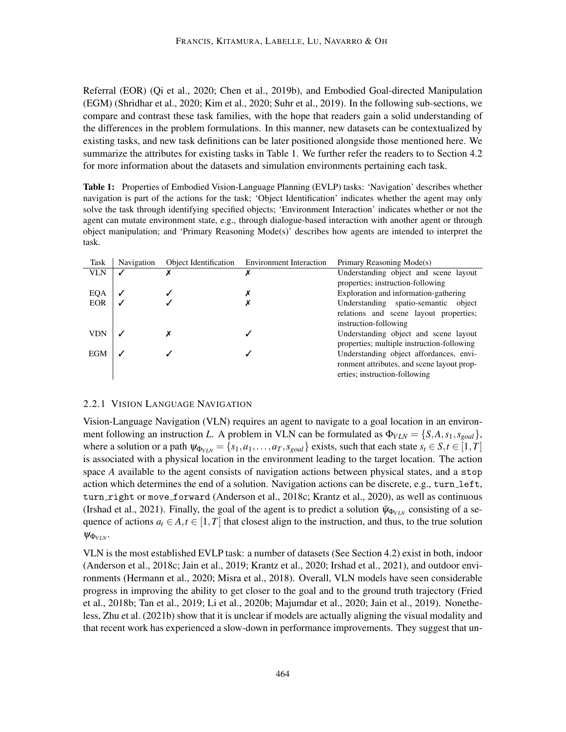Referral (EOR) [\(Qi et al.,](#page-50-0) [2020;](#page-50-0) [Chen et al.,](#page-40-0) [2019b\)](#page-40-0), and Embodied Goal-directed Manipulation (EGM) [\(Shridhar et al.,](#page-51-0) [2020;](#page-51-0) [Kim et al.,](#page-45-0) [2020;](#page-45-0) [Suhr et al.,](#page-51-1) [2019\)](#page-51-1). In the following sub-sections, we compare and contrast these task families, with the hope that readers gain a solid understanding of the differences in the problem formulations. In this manner, new datasets can be contextualized by existing tasks, and new task definitions can be later positioned alongside those mentioned here. We summarize the attributes for existing tasks in Table [1.](#page-5-0) We further refer the readers to to Section [4.2](#page-23-0) for more information about the datasets and simulation environments pertaining each task.

<span id="page-5-0"></span>Table 1: Properties of Embodied Vision-Language Planning (EVLP) tasks: 'Navigation' describes whether navigation is part of the actions for the task; 'Object Identification' indicates whether the agent may only solve the task through identifying specified objects; 'Environment Interaction' indicates whether or not the agent can mutate environment state, e.g., through dialogue-based interaction with another agent or through object manipulation; and 'Primary Reasoning Mode(s)' describes how agents are intended to interpret the task.

| Task       | Navigation   | Object Identification | <b>Environment Interaction</b> | Primary Reasoning Mode(s)                  |
|------------|--------------|-----------------------|--------------------------------|--------------------------------------------|
| <b>VLN</b> |              | х                     | х                              | Understanding object and scene layout      |
|            |              |                       |                                | properties; instruction-following          |
| EQA        | $\checkmark$ |                       |                                | Exploration and information-gathering      |
| <b>EOR</b> |              |                       |                                | Understanding spatio-semantic<br>object    |
|            |              |                       |                                | relations and scene layout properties;     |
|            |              |                       |                                | instruction-following                      |
| <b>VDN</b> |              |                       |                                | Understanding object and scene layout      |
|            |              |                       |                                | properties; multiple instruction-following |
| <b>EGM</b> |              |                       |                                | Understanding object affordances, envi-    |
|            |              |                       |                                | ronment attributes, and scene layout prop- |
|            |              |                       |                                | erties; instruction-following              |

### <span id="page-5-1"></span>2.2.1 VISION LANGUAGE NAVIGATION

Vision-Language Navigation (VLN) requires an agent to navigate to a goal location in an environment following an instruction *L*. A problem in VLN can be formulated as  $\Phi_{VLN} = \{S, A, s_1, s_{goal}\},$ where a solution or a path  $\psi_{\Phi_{VIN}} = \{s_1, a_1, \dots, a_T, s_{goal}\}$  exists, such that each state  $s_t \in S, t \in [1, T]$ is associated with a physical location in the environment leading to the target location. The action space *A* available to the agent consists of navigation actions between physical states, and a stop action which determines the end of a solution. Navigation actions can be discrete, e.g., turn left, turn right or move forward [\(Anderson et al.,](#page-38-0) [2018c;](#page-38-0) [Krantz et al.,](#page-46-0) [2020\)](#page-46-0), as well as continuous [\(Irshad et al.,](#page-44-1) [2021\)](#page-44-1). Finally, the goal of the agent is to predict a solution  $\bar{\psi}_{\Phi_{VIN}}$  consisting of a sequence of actions  $a_t \in A$ ,  $t \in [1, T]$  that closest align to the instruction, and thus, to the true solution  $\psi_{\Phi_{VIV}}$ .

VLN is the most established EVLP task: a number of datasets (See Section [4.2\)](#page-23-0) exist in both, indoor [\(Anderson et al.,](#page-38-0) [2018c;](#page-38-0) [Jain et al.,](#page-44-0) [2019;](#page-44-0) [Krantz et al.,](#page-46-0) [2020;](#page-46-0) [Irshad et al.,](#page-44-1) [2021\)](#page-44-1), and outdoor environments [\(Hermann et al.,](#page-43-1) [2020;](#page-43-1) [Misra et al.,](#page-48-2) [2018\)](#page-48-2). Overall, VLN models have seen considerable progress in improving the ability to get closer to the goal and to the ground truth trajectory [\(Fried](#page-42-1) [et al.,](#page-42-1) [2018b;](#page-42-1) [Tan et al.,](#page-52-1) [2019;](#page-52-1) [Li et al.,](#page-46-1) [2020b;](#page-46-1) [Majumdar et al.,](#page-48-0) [2020;](#page-48-0) [Jain et al.,](#page-44-0) [2019\)](#page-44-0). Nonetheless, [Zhu et al.](#page-56-0) [\(2021b\)](#page-56-0) show that it is unclear if models are actually aligning the visual modality and that recent work has experienced a slow-down in performance improvements. They suggest that un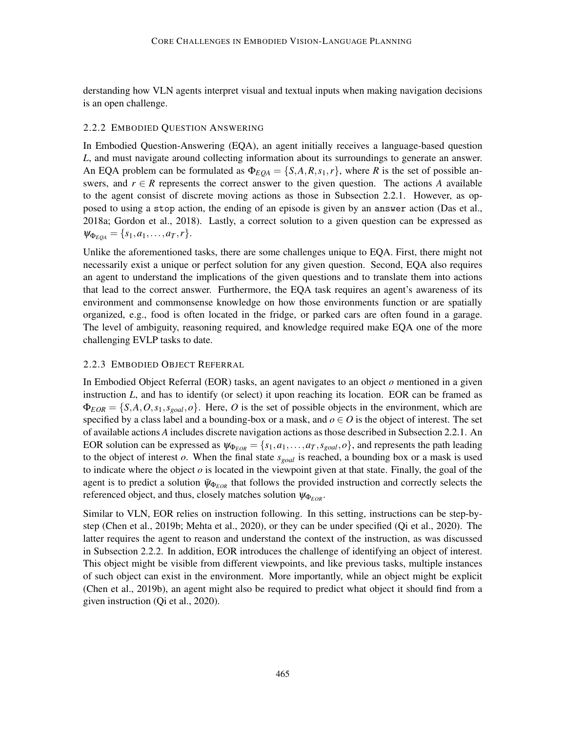derstanding how VLN agents interpret visual and textual inputs when making navigation decisions is an open challenge.

### <span id="page-6-0"></span>2.2.2 EMBODIED QUESTION ANSWERING

In Embodied Question-Answering (EQA), an agent initially receives a language-based question *L*, and must navigate around collecting information about its surroundings to generate an answer. An EQA problem can be formulated as  $\Phi_{EQA} = \{S, A, R, s_1, r\}$ , where *R* is the set of possible answers, and  $r \in R$  represents the correct answer to the given question. The actions A available to the agent consist of discrete moving actions as those in Subsection [2.2.1.](#page-5-1) However, as opposed to using a stop action, the ending of an episode is given by an answer action [\(Das et al.,](#page-41-0) [2018a;](#page-41-0) [Gordon et al.,](#page-43-0) [2018\)](#page-43-0). Lastly, a correct solution to a given question can be expressed as  $\Psi_{\Phi_{EOA}} = \{s_1, a_1, \ldots, a_T, r\}.$ 

Unlike the aforementioned tasks, there are some challenges unique to EQA. First, there might not necessarily exist a unique or perfect solution for any given question. Second, EQA also requires an agent to understand the implications of the given questions and to translate them into actions that lead to the correct answer. Furthermore, the EQA task requires an agent's awareness of its environment and commonsense knowledge on how those environments function or are spatially organized, e.g., food is often located in the fridge, or parked cars are often found in a garage. The level of ambiguity, reasoning required, and knowledge required make EQA one of the more challenging EVLP tasks to date.

### 2.2.3 EMBODIED OBJECT REFERRAL

In Embodied Object Referral (EOR) tasks, an agent navigates to an object *o* mentioned in a given instruction *L*, and has to identify (or select) it upon reaching its location. EOR can be framed as  $\Phi_{EOR} = \{S, A, O, s_1, s_{goal}, o\}$ . Here, *O* is the set of possible objects in the environment, which are specified by a class label and a bounding-box or a mask, and  $o \in O$  is the object of interest. The set of available actions *A* includes discrete navigation actions as those described in Subsection [2.2.1.](#page-5-1) An EOR solution can be expressed as  $\psi_{\Phi_{EOR}} = \{s_1, a_1, \dots, a_T, s_{goal}, o\}$ , and represents the path leading to the object of interest *o*. When the final state *sgoal* is reached, a bounding box or a mask is used to indicate where the object  $o$  is located in the viewpoint given at that state. Finally, the goal of the agent is to predict a solution  $\bar{\psi}_{\Phi_{EOR}}$  that follows the provided instruction and correctly selects the referenced object, and thus, closely matches solution  $\psi_{\Phi_{EOR}}$ .

Similar to VLN, EOR relies on instruction following. In this setting, instructions can be step-bystep [\(Chen et al.,](#page-40-0) [2019b;](#page-40-0) [Mehta et al.,](#page-48-3) [2020\)](#page-48-3), or they can be under specified [\(Qi et al.,](#page-50-0) [2020\)](#page-50-0). The latter requires the agent to reason and understand the context of the instruction, as was discussed in Subsection [2.2.2.](#page-6-0) In addition, EOR introduces the challenge of identifying an object of interest. This object might be visible from different viewpoints, and like previous tasks, multiple instances of such object can exist in the environment. More importantly, while an object might be explicit [\(Chen et al.,](#page-40-0) [2019b\)](#page-40-0), an agent might also be required to predict what object it should find from a given instruction [\(Qi et al.,](#page-50-0) [2020\)](#page-50-0).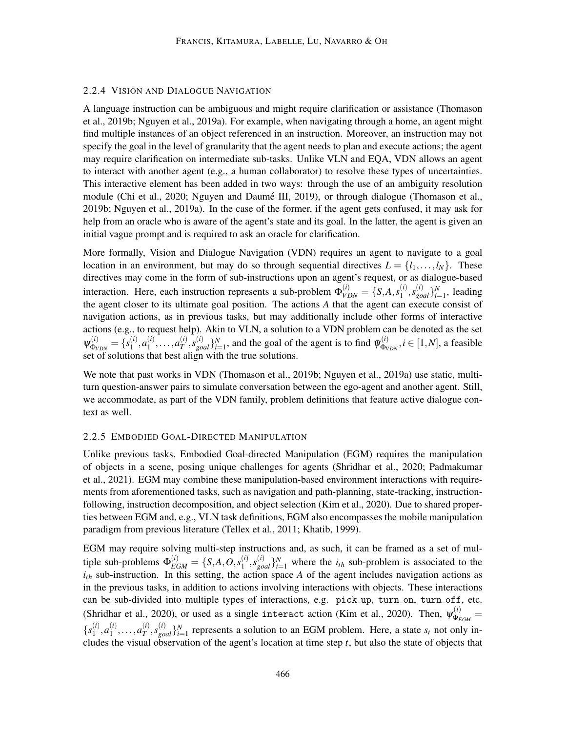#### 2.2.4 VISION AND DIALOGUE NAVIGATION

A language instruction can be ambiguous and might require clarification or assistance [\(Thomason](#page-53-0) [et al.,](#page-53-0) [2019b;](#page-53-0) [Nguyen et al.,](#page-49-2) [2019a\)](#page-49-2). For example, when navigating through a home, an agent might find multiple instances of an object referenced in an instruction. Moreover, an instruction may not specify the goal in the level of granularity that the agent needs to plan and execute actions; the agent may require clarification on intermediate sub-tasks. Unlike VLN and EQA, VDN allows an agent to interact with another agent (e.g., a human collaborator) to resolve these types of uncertainties. This interactive element has been added in two ways: through the use of an ambiguity resolution module [\(Chi et al.,](#page-40-1) [2020;](#page-40-1) Nguyen and Daumé III, [2019\)](#page-49-0), or through dialogue [\(Thomason et al.,](#page-53-0) [2019b;](#page-53-0) [Nguyen et al.,](#page-49-2) [2019a\)](#page-49-2). In the case of the former, if the agent gets confused, it may ask for help from an oracle who is aware of the agent's state and its goal. In the latter, the agent is given an initial vague prompt and is required to ask an oracle for clarification.

More formally, Vision and Dialogue Navigation (VDN) requires an agent to navigate to a goal location in an environment, but may do so through sequential directives  $L = \{l_1, \ldots, l_N\}$ . These directives may come in the form of sub-instructions upon an agent's request, or as dialogue-based interaction. Here, each instruction represents a sub-problem  $\Phi_{VDN}^{(i)} = \{S, A, s_1^{(i)}\}$  $\{a^{(i)}, s^{(i)}_{goal}\}_{i=1}^N$ , leading the agent closer to its ultimate goal position. The actions *A* that the agent can execute consist of navigation actions, as in previous tasks, but may additionally include other forms of interactive actions (e.g., to request help). Akin to VLN, a solution to a VDN problem can be denoted as the set  $\psi^{(i)}_{\Phi_{\scriptscriptstyle{\nu}}}$  $f^{(i)}_{\Phi_{VDN}}=\{s^{(i)}_1$  $a_1^{(i)}, a_1^{(i)}$  $a_1^{(i)}, \ldots, a_T^{(i)}$  $\{\vec{r}}^{(i)}$ ,  $s_{goal}^{(i)}\}_{i=1}^N$ , and the goal of the agent is to find  $\bar{\psi}^{(i)}_{\Phi_V}$  $\phi_{VDN}^{(i)}$ ,  $i \in [1, N]$ , a feasible set of solutions that best align with the true solutions.

We note that past works in VDN [\(Thomason et al.,](#page-53-0) [2019b;](#page-53-0) [Nguyen et al.,](#page-49-2) [2019a\)](#page-49-2) use static, multiturn question-answer pairs to simulate conversation between the ego-agent and another agent. Still, we accommodate, as part of the VDN family, problem definitions that feature active dialogue context as well.

#### <span id="page-7-0"></span>2.2.5 EMBODIED GOAL-DIRECTED MANIPULATION

Unlike previous tasks, Embodied Goal-directed Manipulation (EGM) requires the manipulation of objects in a scene, posing unique challenges for agents [\(Shridhar et al.,](#page-51-0) [2020;](#page-51-0) [Padmakumar](#page-49-3) [et al.,](#page-49-3) [2021\)](#page-49-3). EGM may combine these manipulation-based environment interactions with requirements from aforementioned tasks, such as navigation and path-planning, state-tracking, instructionfollowing, instruction decomposition, and object selection [\(Kim et al.,](#page-45-0) [2020\)](#page-45-0). Due to shared properties between EGM and, e.g., VLN task definitions, EGM also encompasses the mobile manipulation paradigm from previous literature [\(Tellex et al.,](#page-53-2) [2011;](#page-53-2) [Khatib,](#page-45-1) [1999\)](#page-45-1).

EGM may require solving multi-step instructions and, as such, it can be framed as a set of multiple sub-problems  $\Phi_{EGM}^{(i)} = \{S, A, O, s_1^{(i)}\}$  $\{a_i^{(i)}, s_{goal}^{(i)}\}_{i=1}^N$  where the  $i_{th}$  sub-problem is associated to the  $i_{th}$  sub-instruction. In this setting, the action space *A* of the agent includes navigation actions as in the previous tasks, in addition to actions involving interactions with objects. These interactions can be sub-divided into multiple types of interactions, e.g. pick up, turn on, turn off, etc. [\(Shridhar et al.,](#page-51-0) [2020\)](#page-45-0), or used as a single interact action [\(Kim et al.,](#page-45-0) 2020). Then,  $\psi_{\Phi_{\kappa}}^{(i)}$  $\frac{\Phi_{EGM}}{\Phi_{EGM}} =$  ${s_1^{(i)}}$  $a_1^{(i)}, a_1^{(i)}$  $a_1^{(i)}, \ldots, a_T^{(i)}$  $T^{(i)}$ ,  $s_{goal}^{(i)}$   $Y_{i=1}^{N}$  represents a solution to an EGM problem. Here, a state  $s_t$  not only includes the visual observation of the agent's location at time step *t*, but also the state of objects that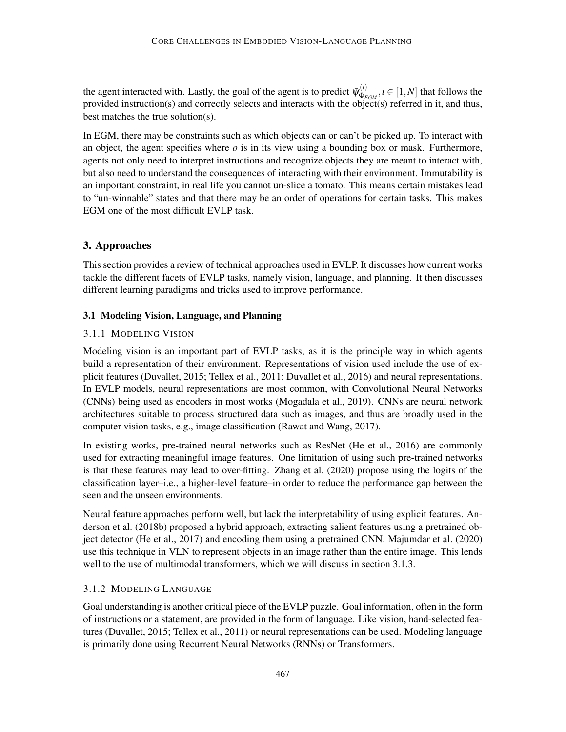the agent interacted with. Lastly, the goal of the agent is to predict  $\bar{\psi}_{\Phi_k}^{(i)}$  $\Phi_{EGM}^{(i)}$ ,  $i \in [1, N]$  that follows the provided instruction(s) and correctly selects and interacts with the object(s) referred in it, and thus, best matches the true solution(s).

In EGM, there may be constraints such as which objects can or can't be picked up. To interact with an object, the agent specifies where *o* is in its view using a bounding box or mask. Furthermore, agents not only need to interpret instructions and recognize objects they are meant to interact with, but also need to understand the consequences of interacting with their environment. Immutability is an important constraint, in real life you cannot un-slice a tomato. This means certain mistakes lead to "un-winnable" states and that there may be an order of operations for certain tasks. This makes EGM one of the most difficult EVLP task.

# <span id="page-8-0"></span>3. Approaches

This section provides a review of technical approaches used in EVLP. It discusses how current works tackle the different facets of EVLP tasks, namely vision, language, and planning. It then discusses different learning paradigms and tricks used to improve performance.

## 3.1 Modeling Vision, Language, and Planning

## 3.1.1 MODELING VISION

Modeling vision is an important part of EVLP tasks, as it is the principle way in which agents build a representation of their environment. Representations of vision used include the use of explicit features [\(Duvallet,](#page-42-2) [2015;](#page-42-2) [Tellex et al.,](#page-53-2) [2011;](#page-53-2) [Duvallet et al.,](#page-42-0) [2016\)](#page-42-0) and neural representations. In EVLP models, neural representations are most common, with Convolutional Neural Networks (CNNs) being used as encoders in most works [\(Mogadala et al.,](#page-48-1) [2019\)](#page-48-1). CNNs are neural network architectures suitable to process structured data such as images, and thus are broadly used in the computer vision tasks, e.g., image classification [\(Rawat and Wang,](#page-50-1) [2017\)](#page-50-1).

In existing works, pre-trained neural networks such as ResNet [\(He et al.,](#page-43-2) [2016\)](#page-43-2) are commonly used for extracting meaningful image features. One limitation of using such pre-trained networks is that these features may lead to over-fitting. [Zhang et al.](#page-55-1) [\(2020\)](#page-55-1) propose using the logits of the classification layer–i.e., a higher-level feature–in order to reduce the performance gap between the seen and the unseen environments.

Neural feature approaches perform well, but lack the interpretability of using explicit features. [An](#page-37-0)[derson et al.](#page-37-0) [\(2018b\)](#page-37-0) proposed a hybrid approach, extracting salient features using a pretrained object detector [\(He et al.,](#page-43-3) [2017\)](#page-43-3) and encoding them using a pretrained CNN. [Majumdar et al.](#page-48-0) [\(2020\)](#page-48-0) use this technique in VLN to represent objects in an image rather than the entire image. This lends well to the use of multimodal transformers, which we will discuss in section [3.1.3.](#page-9-0)

## 3.1.2 MODELING LANGUAGE

Goal understanding is another critical piece of the EVLP puzzle. Goal information, often in the form of instructions or a statement, are provided in the form of language. Like vision, hand-selected features [\(Duvallet,](#page-42-2) [2015;](#page-42-2) [Tellex et al.,](#page-53-2) [2011\)](#page-53-2) or neural representations can be used. Modeling language is primarily done using Recurrent Neural Networks (RNNs) or Transformers.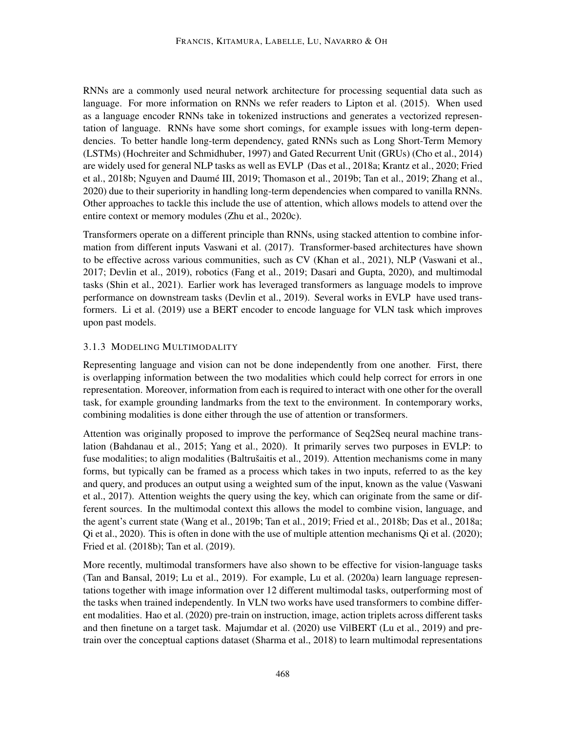RNNs are a commonly used neural network architecture for processing sequential data such as language. For more information on RNNs we refer readers to [Lipton et al.](#page-47-1) [\(2015\)](#page-47-1). When used as a language encoder RNNs take in tokenized instructions and generates a vectorized representation of language. RNNs have some short comings, for example issues with long-term dependencies. To better handle long-term dependency, gated RNNs such as Long Short-Term Memory (LSTMs) [\(Hochreiter and Schmidhuber,](#page-44-2) [1997\)](#page-44-2) and Gated Recurrent Unit (GRUs) [\(Cho et al.,](#page-40-2) [2014\)](#page-40-2) are widely used for general NLP tasks as well as EVLP [\(Das et al.,](#page-41-0) [2018a;](#page-41-0) [Krantz et al.,](#page-46-0) [2020;](#page-46-0) [Fried](#page-42-1) [et al.,](#page-42-1) [2018b;](#page-42-1) Nguyen and Daumé III, [2019;](#page-52-1) [Thomason et al.,](#page-53-0) [2019b;](#page-53-0) [Tan et al.,](#page-52-1) 2019; [Zhang et al.,](#page-55-1) [2020\)](#page-55-1) due to their superiority in handling long-term dependencies when compared to vanilla RNNs. Other approaches to tackle this include the use of attention, which allows models to attend over the entire context or memory modules [\(Zhu et al.,](#page-56-1) [2020c\)](#page-56-1).

Transformers operate on a different principle than RNNs, using stacked attention to combine information from different inputs [Vaswani et al.](#page-53-3) [\(2017\)](#page-53-3). Transformer-based architectures have shown to be effective across various communities, such as CV [\(Khan et al.,](#page-45-2) [2021\)](#page-45-2), NLP [\(Vaswani et al.,](#page-53-3) [2017;](#page-53-3) [Devlin et al.,](#page-41-2) [2019\)](#page-41-2), robotics [\(Fang et al.,](#page-42-3) [2019;](#page-42-3) [Dasari and Gupta,](#page-41-3) [2020\)](#page-41-3), and multimodal tasks [\(Shin et al.,](#page-51-2) [2021\)](#page-51-2). Earlier work has leveraged transformers as language models to improve performance on downstream tasks [\(Devlin et al.,](#page-41-2) [2019\)](#page-41-2). Several works in EVLP have used transformers. [Li et al.](#page-46-3) [\(2019\)](#page-46-3) use a BERT encoder to encode language for VLN task which improves upon past models.

#### <span id="page-9-0"></span>3.1.3 MODELING MULTIMODALITY

Representing language and vision can not be done independently from one another. First, there is overlapping information between the two modalities which could help correct for errors in one representation. Moreover, information from each is required to interact with one other for the overall task, for example grounding landmarks from the text to the environment. In contemporary works, combining modalities is done either through the use of attention or transformers.

Attention was originally proposed to improve the performance of Seq2Seq neural machine translation [\(Bahdanau et al.,](#page-38-2) [2015;](#page-38-2) [Yang et al.,](#page-55-2) [2020\)](#page-55-2). It primarily serves two purposes in EVLP: to fuse modalities; to align modalities (Baltrušaitis et al., [2019\)](#page-38-3). Attention mechanisms come in many forms, but typically can be framed as a process which takes in two inputs, referred to as the key and query, and produces an output using a weighted sum of the input, known as the value [\(Vaswani](#page-53-3) [et al.,](#page-53-3) [2017\)](#page-53-3). Attention weights the query using the key, which can originate from the same or different sources. In the multimodal context this allows the model to combine vision, language, and the agent's current state [\(Wang et al.,](#page-54-2) [2019b;](#page-54-2) [Tan et al.,](#page-52-1) [2019;](#page-52-1) [Fried et al.,](#page-42-1) [2018b;](#page-42-1) [Das et al.,](#page-41-0) [2018a;](#page-41-0) [Qi et al.,](#page-50-0) [2020\)](#page-50-0). This is often in done with the use of multiple attention mechanisms [Qi et al.](#page-50-0) [\(2020\)](#page-50-0); [Fried et al.](#page-42-1) [\(2018b\)](#page-42-1); [Tan et al.](#page-52-1) [\(2019\)](#page-52-1).

More recently, multimodal transformers have also shown to be effective for vision-language tasks [\(Tan and Bansal,](#page-52-2) [2019;](#page-52-2) [Lu et al.,](#page-47-2) [2019\)](#page-47-2). For example, [Lu et al.](#page-47-3) [\(2020a\)](#page-47-3) learn language representations together with image information over 12 different multimodal tasks, outperforming most of the tasks when trained independently. In VLN two works have used transformers to combine different modalities. [Hao et al.](#page-43-4) [\(2020\)](#page-43-4) pre-train on instruction, image, action triplets across different tasks and then finetune on a target task. [Majumdar et al.](#page-48-0) [\(2020\)](#page-48-0) use VilBERT [\(Lu et al.,](#page-47-2) [2019\)](#page-47-2) and pretrain over the conceptual captions dataset [\(Sharma et al.,](#page-51-3) [2018\)](#page-51-3) to learn multimodal representations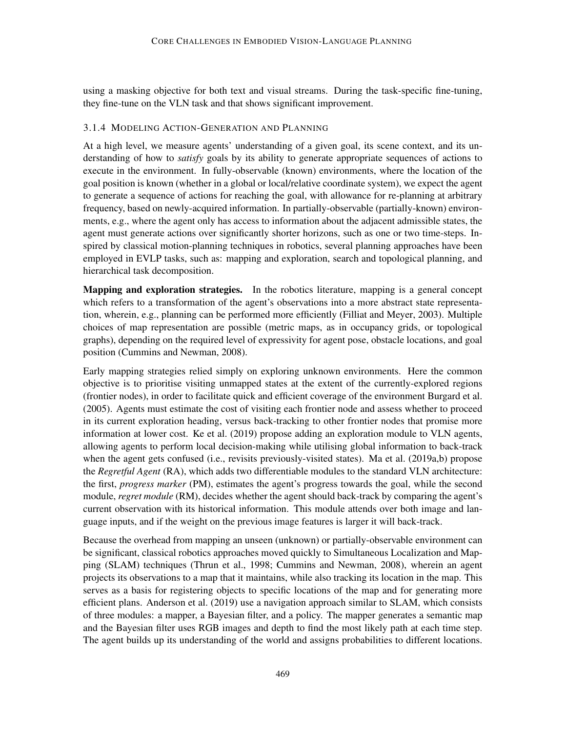using a masking objective for both text and visual streams. During the task-specific fine-tuning, they fine-tune on the VLN task and that shows significant improvement.

### <span id="page-10-0"></span>3.1.4 MODELING ACTION-GENERATION AND PLANNING

At a high level, we measure agents' understanding of a given goal, its scene context, and its understanding of how to *satisfy* goals by its ability to generate appropriate sequences of actions to execute in the environment. In fully-observable (known) environments, where the location of the goal position is known (whether in a global or local/relative coordinate system), we expect the agent to generate a sequence of actions for reaching the goal, with allowance for re-planning at arbitrary frequency, based on newly-acquired information. In partially-observable (partially-known) environments, e.g., where the agent only has access to information about the adjacent admissible states, the agent must generate actions over significantly shorter horizons, such as one or two time-steps. Inspired by classical motion-planning techniques in robotics, several planning approaches have been employed in EVLP tasks, such as: mapping and exploration, search and topological planning, and hierarchical task decomposition.

Mapping and exploration strategies. In the robotics literature, mapping is a general concept which refers to a transformation of the agent's observations into a more abstract state representation, wherein, e.g., planning can be performed more efficiently [\(Filliat and Meyer,](#page-42-4) [2003\)](#page-42-4). Multiple choices of map representation are possible (metric maps, as in occupancy grids, or topological graphs), depending on the required level of expressivity for agent pose, obstacle locations, and goal position [\(Cummins and Newman,](#page-41-4) [2008\)](#page-41-4).

Early mapping strategies relied simply on exploring unknown environments. Here the common objective is to prioritise visiting unmapped states at the extent of the currently-explored regions (frontier nodes), in order to facilitate quick and efficient coverage of the environment [Burgard et al.](#page-39-3) [\(2005\)](#page-39-3). Agents must estimate the cost of visiting each frontier node and assess whether to proceed in its current exploration heading, versus back-tracking to other frontier nodes that promise more information at lower cost. [Ke et al.](#page-45-3) [\(2019\)](#page-45-3) propose adding an exploration module to VLN agents, allowing agents to perform local decision-making while utilising global information to back-track when the agent gets confused (i.e., revisits previously-visited states). [Ma et al.](#page-47-4) [\(2019a](#page-47-4)[,b\)](#page-47-5) propose the *Regretful Agent* (RA), which adds two differentiable modules to the standard VLN architecture: the first, *progress marker* (PM), estimates the agent's progress towards the goal, while the second module, *regret module* (RM), decides whether the agent should back-track by comparing the agent's current observation with its historical information. This module attends over both image and language inputs, and if the weight on the previous image features is larger it will back-track.

Because the overhead from mapping an unseen (unknown) or partially-observable environment can be significant, classical robotics approaches moved quickly to Simultaneous Localization and Mapping (SLAM) techniques [\(Thrun et al.,](#page-53-4) [1998;](#page-53-4) [Cummins and Newman,](#page-41-4) [2008\)](#page-41-4), wherein an agent projects its observations to a map that it maintains, while also tracking its location in the map. This serves as a basis for registering objects to specific locations of the map and for generating more efficient plans. [Anderson et al.](#page-38-4) [\(2019\)](#page-38-4) use a navigation approach similar to SLAM, which consists of three modules: a mapper, a Bayesian filter, and a policy. The mapper generates a semantic map and the Bayesian filter uses RGB images and depth to find the most likely path at each time step. The agent builds up its understanding of the world and assigns probabilities to different locations.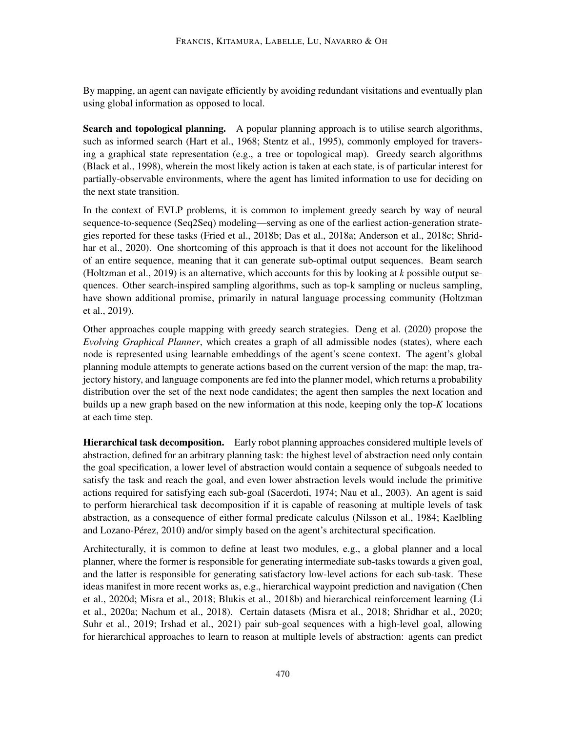By mapping, an agent can navigate efficiently by avoiding redundant visitations and eventually plan using global information as opposed to local.

Search and topological planning. A popular planning approach is to utilise search algorithms, such as informed search [\(Hart et al.,](#page-43-5) [1968;](#page-43-5) [Stentz et al.,](#page-51-4) [1995\)](#page-51-4), commonly employed for traversing a graphical state representation (e.g., a tree or topological map). Greedy search algorithms [\(Black et al.,](#page-39-4) [1998\)](#page-39-4), wherein the most likely action is taken at each state, is of particular interest for partially-observable environments, where the agent has limited information to use for deciding on the next state transition.

In the context of EVLP problems, it is common to implement greedy search by way of neural sequence-to-sequence (Seq2Seq) modeling—serving as one of the earliest action-generation strategies reported for these tasks [\(Fried et al.,](#page-42-1) [2018b;](#page-42-1) [Das et al.,](#page-41-0) [2018a;](#page-41-0) [Anderson et al.,](#page-38-0) [2018c;](#page-38-0) [Shrid](#page-51-0)[har et al.,](#page-51-0) [2020\)](#page-51-0). One shortcoming of this approach is that it does not account for the likelihood of an entire sequence, meaning that it can generate sub-optimal output sequences. Beam search [\(Holtzman et al.,](#page-44-3) [2019\)](#page-44-3) is an alternative, which accounts for this by looking at *k* possible output sequences. Other search-inspired sampling algorithms, such as top-k sampling or nucleus sampling, have shown additional promise, primarily in natural language processing community [\(Holtzman](#page-44-3) [et al.,](#page-44-3) [2019\)](#page-44-3).

Other approaches couple mapping with greedy search strategies. [Deng et al.](#page-41-5) [\(2020\)](#page-41-5) propose the *Evolving Graphical Planner*, which creates a graph of all admissible nodes (states), where each node is represented using learnable embeddings of the agent's scene context. The agent's global planning module attempts to generate actions based on the current version of the map: the map, trajectory history, and language components are fed into the planner model, which returns a probability distribution over the set of the next node candidates; the agent then samples the next location and builds up a new graph based on the new information at this node, keeping only the top-*K* locations at each time step.

Hierarchical task decomposition. Early robot planning approaches considered multiple levels of abstraction, defined for an arbitrary planning task: the highest level of abstraction need only contain the goal specification, a lower level of abstraction would contain a sequence of subgoals needed to satisfy the task and reach the goal, and even lower abstraction levels would include the primitive actions required for satisfying each sub-goal [\(Sacerdoti,](#page-50-2) [1974;](#page-50-2) [Nau et al.,](#page-48-4) [2003\)](#page-48-4). An agent is said to perform hierarchical task decomposition if it is capable of reasoning at multiple levels of task abstraction, as a consequence of either formal predicate calculus [\(Nilsson et al.,](#page-49-4) [1984;](#page-49-4) [Kaelbling](#page-45-4) and Lozano-Pérez, [2010\)](#page-45-4) and/or simply based on the agent's architectural specification.

Architecturally, it is common to define at least two modules, e.g., a global planner and a local planner, where the former is responsible for generating intermediate sub-tasks towards a given goal, and the latter is responsible for generating satisfactory low-level actions for each sub-task. These ideas manifest in more recent works as, e.g., hierarchical waypoint prediction and navigation [\(Chen](#page-40-3) [et al.,](#page-40-3) [2020d;](#page-40-3) [Misra et al.,](#page-48-2) [2018;](#page-48-2) [Blukis et al.,](#page-39-5) [2018b\)](#page-39-5) and hierarchical reinforcement learning [\(Li](#page-46-4) [et al.,](#page-46-4) [2020a;](#page-46-4) [Nachum et al.,](#page-48-5) [2018\)](#page-48-5). Certain datasets [\(Misra et al.,](#page-48-2) [2018;](#page-48-2) [Shridhar et al.,](#page-51-0) [2020;](#page-51-0) [Suhr et al.,](#page-51-1) [2019;](#page-51-1) [Irshad et al.,](#page-44-1) [2021\)](#page-44-1) pair sub-goal sequences with a high-level goal, allowing for hierarchical approaches to learn to reason at multiple levels of abstraction: agents can predict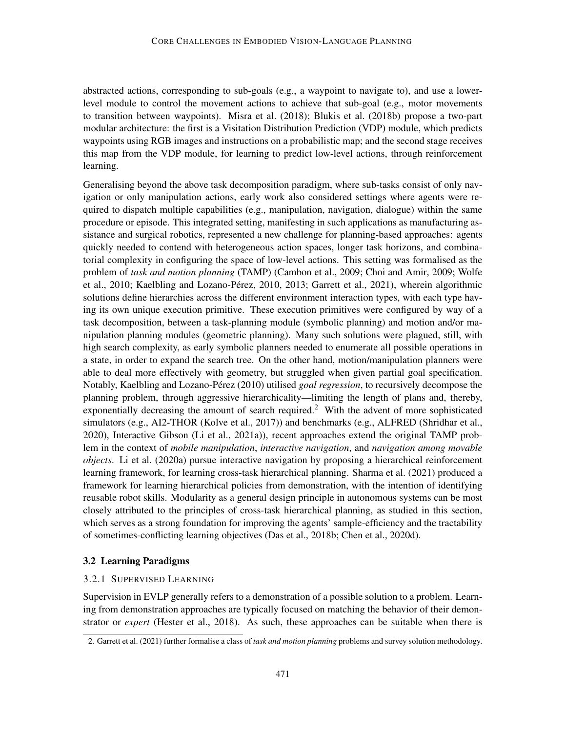abstracted actions, corresponding to sub-goals (e.g., a waypoint to navigate to), and use a lowerlevel module to control the movement actions to achieve that sub-goal (e.g., motor movements to transition between waypoints). [Misra et al.](#page-48-2) [\(2018\)](#page-48-2); [Blukis et al.](#page-39-5) [\(2018b\)](#page-39-5) propose a two-part modular architecture: the first is a Visitation Distribution Prediction (VDP) module, which predicts waypoints using RGB images and instructions on a probabilistic map; and the second stage receives this map from the VDP module, for learning to predict low-level actions, through reinforcement learning.

Generalising beyond the above task decomposition paradigm, where sub-tasks consist of only navigation or only manipulation actions, early work also considered settings where agents were required to dispatch multiple capabilities (e.g., manipulation, navigation, dialogue) within the same procedure or episode. This integrated setting, manifesting in such applications as manufacturing assistance and surgical robotics, represented a new challenge for planning-based approaches: agents quickly needed to contend with heterogeneous action spaces, longer task horizons, and combinatorial complexity in configuring the space of low-level actions. This setting was formalised as the problem of *task and motion planning* (TAMP) [\(Cambon et al.,](#page-39-6) [2009;](#page-39-6) [Choi and Amir,](#page-41-6) [2009;](#page-41-6) [Wolfe](#page-54-3) [et al.,](#page-54-3) [2010;](#page-54-3) Kaelbling and Lozano-Pérez, [2010,](#page-45-4) [2013;](#page-45-5) [Garrett et al.,](#page-43-6) [2021\)](#page-43-6), wherein algorithmic solutions define hierarchies across the different environment interaction types, with each type having its own unique execution primitive. These execution primitives were configured by way of a task decomposition, between a task-planning module (symbolic planning) and motion and/or manipulation planning modules (geometric planning). Many such solutions were plagued, still, with high search complexity, as early symbolic planners needed to enumerate all possible operations in a state, in order to expand the search tree. On the other hand, motion/manipulation planners were able to deal more effectively with geometry, but struggled when given partial goal specification. Notably, Kaelbling and Lozano-Pérez [\(2010\)](#page-45-4) utilised *goal regression*, to recursively decompose the planning problem, through aggressive hierarchicality—limiting the length of plans and, thereby, exponentially decreasing the amount of search required.<sup>[2](#page-12-0)</sup> With the advent of more sophisticated simulators (e.g., AI2-THOR [\(Kolve et al.,](#page-45-6) [2017\)](#page-45-6)) and benchmarks (e.g., ALFRED [\(Shridhar et al.,](#page-51-0) [2020\)](#page-51-0), Interactive Gibson [\(Li et al.,](#page-46-5) [2021a\)](#page-46-5)), recent approaches extend the original TAMP problem in the context of *mobile manipulation*, *interactive navigation*, and *navigation among movable objects*. [Li et al.](#page-46-4) [\(2020a\)](#page-46-4) pursue interactive navigation by proposing a hierarchical reinforcement learning framework, for learning cross-task hierarchical planning. [Sharma et al.](#page-51-5) [\(2021\)](#page-51-5) produced a framework for learning hierarchical policies from demonstration, with the intention of identifying reusable robot skills. Modularity as a general design principle in autonomous systems can be most closely attributed to the principles of cross-task hierarchical planning, as studied in this section, which serves as a strong foundation for improving the agents' sample-efficiency and the tractability of sometimes-conflicting learning objectives [\(Das et al.,](#page-41-7) [2018b;](#page-41-7) [Chen et al.,](#page-40-3) [2020d\)](#page-40-3).

### 3.2 Learning Paradigms

### 3.2.1 SUPERVISED LEARNING

Supervision in EVLP generally refers to a demonstration of a possible solution to a problem. Learning from demonstration approaches are typically focused on matching the behavior of their demonstrator or *expert* [\(Hester et al.,](#page-44-4) [2018\)](#page-44-4). As such, these approaches can be suitable when there is

<span id="page-12-0"></span><sup>2.</sup> [Garrett et al.](#page-43-6) [\(2021\)](#page-43-6) further formalise a class of *task and motion planning* problems and survey solution methodology.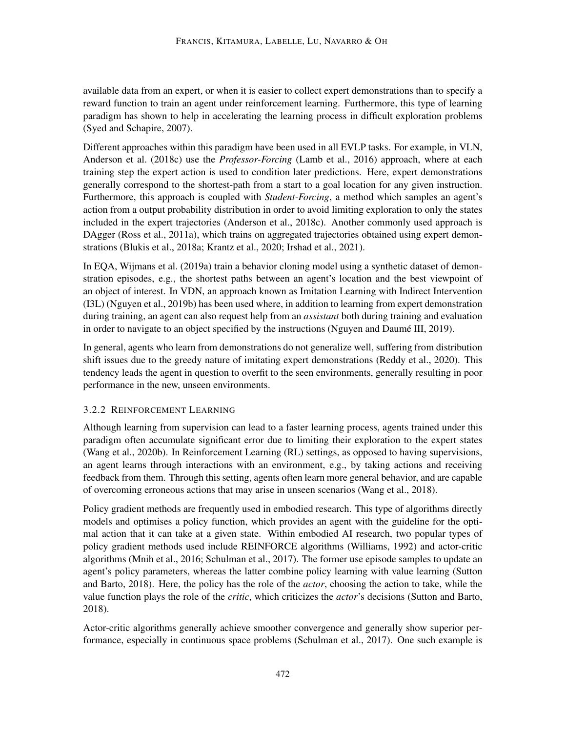available data from an expert, or when it is easier to collect expert demonstrations than to specify a reward function to train an agent under reinforcement learning. Furthermore, this type of learning paradigm has shown to help in accelerating the learning process in difficult exploration problems [\(Syed and Schapire,](#page-52-3) [2007\)](#page-52-3).

Different approaches within this paradigm have been used in all EVLP tasks. For example, in VLN, [Anderson et al.](#page-38-0) [\(2018c\)](#page-38-0) use the *Professor-Forcing* [\(Lamb et al.,](#page-46-6) [2016\)](#page-46-6) approach, where at each training step the expert action is used to condition later predictions. Here, expert demonstrations generally correspond to the shortest-path from a start to a goal location for any given instruction. Furthermore, this approach is coupled with *Student-Forcing*, a method which samples an agent's action from a output probability distribution in order to avoid limiting exploration to only the states included in the expert trajectories [\(Anderson et al.,](#page-38-0) [2018c\)](#page-38-0). Another commonly used approach is DAgger [\(Ross et al.,](#page-50-3) [2011a\)](#page-50-3), which trains on aggregated trajectories obtained using expert demonstrations [\(Blukis et al.,](#page-39-7) [2018a;](#page-39-7) [Krantz et al.,](#page-46-0) [2020;](#page-46-0) [Irshad et al.,](#page-44-1) [2021\)](#page-44-1).

In EQA, [Wijmans et al.](#page-54-1) [\(2019a\)](#page-54-1) train a behavior cloning model using a synthetic dataset of demonstration episodes, e.g., the shortest paths between an agent's location and the best viewpoint of an object of interest. In VDN, an approach known as Imitation Learning with Indirect Intervention (I3L) [\(Nguyen et al.,](#page-49-5) [2019b\)](#page-49-5) has been used where, in addition to learning from expert demonstration during training, an agent can also request help from an *assistant* both during training and evaluation in order to navigate to an object specified by the instructions (Nguyen and Daumé III, [2019\)](#page-49-0).

In general, agents who learn from demonstrations do not generalize well, suffering from distribution shift issues due to the greedy nature of imitating expert demonstrations [\(Reddy et al.,](#page-50-4) [2020\)](#page-50-4). This tendency leads the agent in question to overfit to the seen environments, generally resulting in poor performance in the new, unseen environments.

## 3.2.2 REINFORCEMENT LEARNING

Although learning from supervision can lead to a faster learning process, agents trained under this paradigm often accumulate significant error due to limiting their exploration to the expert states [\(Wang et al.,](#page-53-5) [2020b\)](#page-53-5). In Reinforcement Learning (RL) settings, as opposed to having supervisions, an agent learns through interactions with an environment, e.g., by taking actions and receiving feedback from them. Through this setting, agents often learn more general behavior, and are capable of overcoming erroneous actions that may arise in unseen scenarios [\(Wang et al.,](#page-54-4) [2018\)](#page-54-4).

Policy gradient methods are frequently used in embodied research. This type of algorithms directly models and optimises a policy function, which provides an agent with the guideline for the optimal action that it can take at a given state. Within embodied AI research, two popular types of policy gradient methods used include REINFORCE algorithms [\(Williams,](#page-54-5) [1992\)](#page-54-5) and actor-critic algorithms [\(Mnih et al.,](#page-48-6) [2016;](#page-48-6) [Schulman et al.,](#page-51-6) [2017\)](#page-51-6). The former use episode samples to update an agent's policy parameters, whereas the latter combine policy learning with value learning [\(Sutton](#page-52-4) [and Barto,](#page-52-4) [2018\)](#page-52-4). Here, the policy has the role of the *actor*, choosing the action to take, while the value function plays the role of the *critic*, which criticizes the *actor*'s decisions [\(Sutton and Barto,](#page-52-4) [2018\)](#page-52-4).

Actor-critic algorithms generally achieve smoother convergence and generally show superior performance, especially in continuous space problems [\(Schulman et al.,](#page-51-6) [2017\)](#page-51-6). One such example is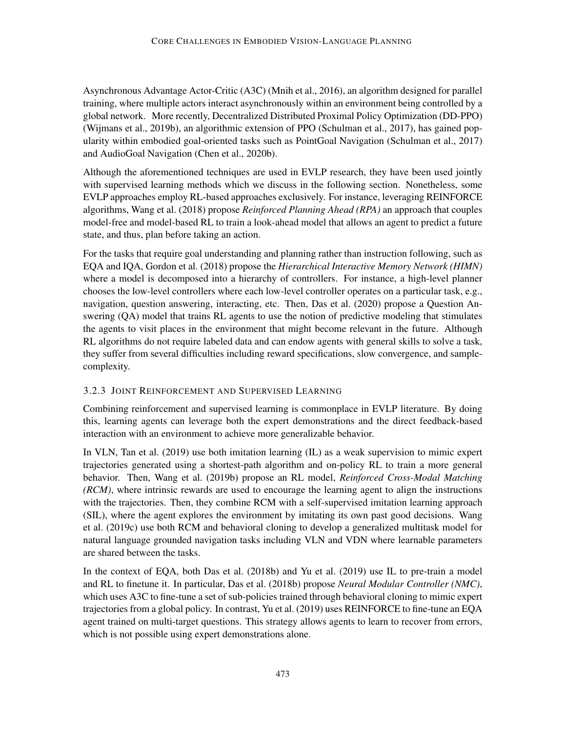Asynchronous Advantage Actor-Critic (A3C) [\(Mnih et al.,](#page-48-6) [2016\)](#page-48-6), an algorithm designed for parallel training, where multiple actors interact asynchronously within an environment being controlled by a global network. More recently, Decentralized Distributed Proximal Policy Optimization (DD-PPO) [\(Wijmans et al.,](#page-54-6) [2019b\)](#page-54-6), an algorithmic extension of PPO [\(Schulman et al.,](#page-51-6) [2017\)](#page-51-6), has gained popularity within embodied goal-oriented tasks such as PointGoal Navigation [\(Schulman et al.,](#page-51-6) [2017\)](#page-51-6) and AudioGoal Navigation [\(Chen et al.,](#page-40-4) [2020b\)](#page-40-4).

Although the aforementioned techniques are used in EVLP research, they have been used jointly with supervised learning methods which we discuss in the following section. Nonetheless, some EVLP approaches employ RL-based approaches exclusively. For instance, leveraging REINFORCE algorithms, [Wang et al.](#page-54-4) [\(2018\)](#page-54-4) propose *Reinforced Planning Ahead (RPA)* an approach that couples model-free and model-based RL to train a look-ahead model that allows an agent to predict a future state, and thus, plan before taking an action.

For the tasks that require goal understanding and planning rather than instruction following, such as EQA and IQA, [Gordon et al.](#page-43-0) [\(2018\)](#page-43-0) propose the *Hierarchical Interactive Memory Network (HIMN)* where a model is decomposed into a hierarchy of controllers. For instance, a high-level planner chooses the low-level controllers where each low-level controller operates on a particular task, e.g., navigation, question answering, interacting, etc. Then, [Das et al.](#page-41-8) [\(2020\)](#page-41-8) propose a Question Answering (QA) model that trains RL agents to use the notion of predictive modeling that stimulates the agents to visit places in the environment that might become relevant in the future. Although RL algorithms do not require labeled data and can endow agents with general skills to solve a task, they suffer from several difficulties including reward specifications, slow convergence, and samplecomplexity.

## 3.2.3 JOINT REINFORCEMENT AND SUPERVISED LEARNING

Combining reinforcement and supervised learning is commonplace in EVLP literature. By doing this, learning agents can leverage both the expert demonstrations and the direct feedback-based interaction with an environment to achieve more generalizable behavior.

In VLN, [Tan et al.](#page-52-1) [\(2019\)](#page-52-1) use both imitation learning (IL) as a weak supervision to mimic expert trajectories generated using a shortest-path algorithm and on-policy RL to train a more general behavior. Then, [Wang et al.](#page-54-2) [\(2019b\)](#page-54-2) propose an RL model, *Reinforced Cross-Modal Matching (RCM)*, where intrinsic rewards are used to encourage the learning agent to align the instructions with the trajectories. Then, they combine RCM with a self-supervised imitation learning approach (SIL), where the agent explores the environment by imitating its own past good decisions. [Wang](#page-54-7) [et al.](#page-54-7) [\(2019c\)](#page-54-7) use both RCM and behavioral cloning to develop a generalized multitask model for natural language grounded navigation tasks including VLN and VDN where learnable parameters are shared between the tasks.

In the context of EQA, both [Das et al.](#page-41-7) [\(2018b\)](#page-41-7) and [Yu et al.](#page-55-3) [\(2019\)](#page-55-3) use IL to pre-train a model and RL to finetune it. In particular, [Das et al.](#page-41-7) [\(2018b\)](#page-41-7) propose *Neural Modular Controller (NMC)*, which uses A3C to fine-tune a set of sub-policies trained through behavioral cloning to mimic expert trajectories from a global policy. In contrast, [Yu et al.](#page-55-3) [\(2019\)](#page-55-3) uses REINFORCE to fine-tune an EQA agent trained on multi-target questions. This strategy allows agents to learn to recover from errors, which is not possible using expert demonstrations alone.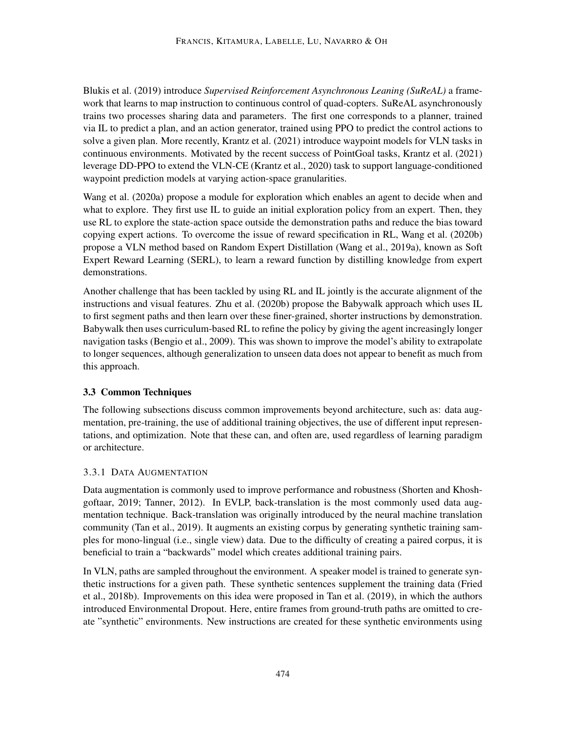[Blukis et al.](#page-39-8) [\(2019\)](#page-39-8) introduce *Supervised Reinforcement Asynchronous Leaning (SuReAL)* a framework that learns to map instruction to continuous control of quad-copters. SuReAL asynchronously trains two processes sharing data and parameters. The first one corresponds to a planner, trained via IL to predict a plan, and an action generator, trained using PPO to predict the control actions to solve a given plan. More recently, [Krantz et al.](#page-45-7) [\(2021\)](#page-45-7) introduce waypoint models for VLN tasks in continuous environments. Motivated by the recent success of PointGoal tasks, [Krantz et al.](#page-45-7) [\(2021\)](#page-45-7) leverage DD-PPO to extend the VLN-CE [\(Krantz et al.,](#page-46-0) [2020\)](#page-46-0) task to support language-conditioned waypoint prediction models at varying action-space granularities.

[Wang et al.](#page-53-6) [\(2020a\)](#page-53-6) propose a module for exploration which enables an agent to decide when and what to explore. They first use IL to guide an initial exploration policy from an expert. Then, they use RL to explore the state-action space outside the demonstration paths and reduce the bias toward copying expert actions. To overcome the issue of reward specification in RL, [Wang et al.](#page-53-5) [\(2020b\)](#page-53-5) propose a VLN method based on Random Expert Distillation [\(Wang et al.,](#page-54-8) [2019a\)](#page-54-8), known as Soft Expert Reward Learning (SERL), to learn a reward function by distilling knowledge from expert demonstrations.

Another challenge that has been tackled by using RL and IL jointly is the accurate alignment of the instructions and visual features. [Zhu et al.](#page-56-2) [\(2020b\)](#page-56-2) propose the Babywalk approach which uses IL to first segment paths and then learn over these finer-grained, shorter instructions by demonstration. Babywalk then uses curriculum-based RL to refine the policy by giving the agent increasingly longer navigation tasks [\(Bengio et al.,](#page-38-5) [2009\)](#page-38-5). This was shown to improve the model's ability to extrapolate to longer sequences, although generalization to unseen data does not appear to benefit as much from this approach.

## <span id="page-15-0"></span>3.3 Common Techniques

The following subsections discuss common improvements beyond architecture, such as: data augmentation, pre-training, the use of additional training objectives, the use of different input representations, and optimization. Note that these can, and often are, used regardless of learning paradigm or architecture.

### 3.3.1 DATA AUGMENTATION

Data augmentation is commonly used to improve performance and robustness [\(Shorten and Khosh](#page-51-7)[goftaar,](#page-51-7) [2019;](#page-51-7) [Tanner,](#page-52-5) [2012\)](#page-52-5). In EVLP, back-translation is the most commonly used data augmentation technique. Back-translation was originally introduced by the neural machine translation community [\(Tan et al.,](#page-52-1) [2019\)](#page-52-1). It augments an existing corpus by generating synthetic training samples for mono-lingual (i.e., single view) data. Due to the difficulty of creating a paired corpus, it is beneficial to train a "backwards" model which creates additional training pairs.

In VLN, paths are sampled throughout the environment. A speaker model is trained to generate synthetic instructions for a given path. These synthetic sentences supplement the training data [\(Fried](#page-42-1) [et al.,](#page-42-1) [2018b\)](#page-42-1). Improvements on this idea were proposed in [Tan et al.](#page-52-1) [\(2019\)](#page-52-1), in which the authors introduced Environmental Dropout. Here, entire frames from ground-truth paths are omitted to create "synthetic" environments. New instructions are created for these synthetic environments using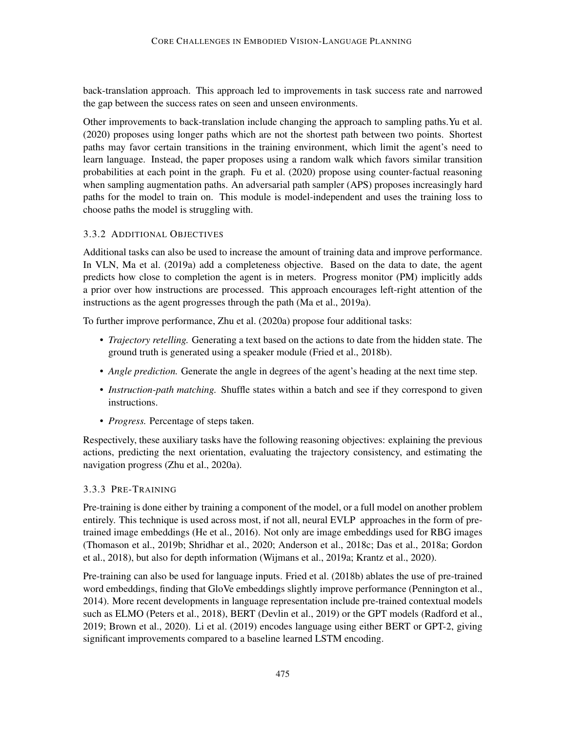back-translation approach. This approach led to improvements in task success rate and narrowed the gap between the success rates on seen and unseen environments.

Other improvements to back-translation include changing the approach to sampling paths[.Yu et al.](#page-55-4) [\(2020\)](#page-55-4) proposes using longer paths which are not the shortest path between two points. Shortest paths may favor certain transitions in the training environment, which limit the agent's need to learn language. Instead, the paper proposes using a random walk which favors similar transition probabilities at each point in the graph. [Fu et al.](#page-42-5) [\(2020\)](#page-42-5) propose using counter-factual reasoning when sampling augmentation paths. An adversarial path sampler (APS) proposes increasingly hard paths for the model to train on. This module is model-independent and uses the training loss to choose paths the model is struggling with.

## 3.3.2 ADDITIONAL OBJECTIVES

Additional tasks can also be used to increase the amount of training data and improve performance. In VLN, [Ma et al.](#page-47-4) [\(2019a\)](#page-47-4) add a completeness objective. Based on the data to date, the agent predicts how close to completion the agent is in meters. Progress monitor (PM) implicitly adds a prior over how instructions are processed. This approach encourages left-right attention of the instructions as the agent progresses through the path [\(Ma et al.,](#page-47-4) [2019a\)](#page-47-4).

To further improve performance, [Zhu et al.](#page-56-3) [\(2020a\)](#page-56-3) propose four additional tasks:

- *Trajectory retelling.* Generating a text based on the actions to date from the hidden state. The ground truth is generated using a speaker module [\(Fried et al.,](#page-42-1) [2018b\)](#page-42-1).
- *Angle prediction*. Generate the angle in degrees of the agent's heading at the next time step.
- *Instruction-path matching.* Shuffle states within a batch and see if they correspond to given instructions.
- *Progress.* Percentage of steps taken.

Respectively, these auxiliary tasks have the following reasoning objectives: explaining the previous actions, predicting the next orientation, evaluating the trajectory consistency, and estimating the navigation progress [\(Zhu et al.,](#page-56-3) [2020a\)](#page-56-3).

## 3.3.3 PRE-TRAINING

Pre-training is done either by training a component of the model, or a full model on another problem entirely. This technique is used across most, if not all, neural EVLP approaches in the form of pretrained image embeddings [\(He et al.,](#page-43-2) [2016\)](#page-43-2). Not only are image embeddings used for RBG images [\(Thomason et al.,](#page-53-0) [2019b;](#page-53-0) [Shridhar et al.,](#page-51-0) [2020;](#page-51-0) [Anderson et al.,](#page-38-0) [2018c;](#page-38-0) [Das et al.,](#page-41-0) [2018a;](#page-41-0) [Gordon](#page-43-0) [et al.,](#page-43-0) [2018\)](#page-43-0), but also for depth information [\(Wijmans et al.,](#page-54-1) [2019a;](#page-54-1) [Krantz et al.,](#page-46-0) [2020\)](#page-46-0).

Pre-training can also be used for language inputs. [Fried et al.](#page-42-1) [\(2018b\)](#page-42-1) ablates the use of pre-trained word embeddings, finding that GloVe embeddings slightly improve performance [\(Pennington et al.,](#page-49-6) [2014\)](#page-49-6). More recent developments in language representation include pre-trained contextual models such as ELMO [\(Peters et al.,](#page-50-5) [2018\)](#page-50-5), BERT [\(Devlin et al.,](#page-41-2) [2019\)](#page-41-2) or the GPT models [\(Radford et al.,](#page-50-6) [2019;](#page-50-6) [Brown et al.,](#page-39-9) [2020\)](#page-39-9). [Li et al.](#page-46-3) [\(2019\)](#page-46-3) encodes language using either BERT or GPT-2, giving significant improvements compared to a baseline learned LSTM encoding.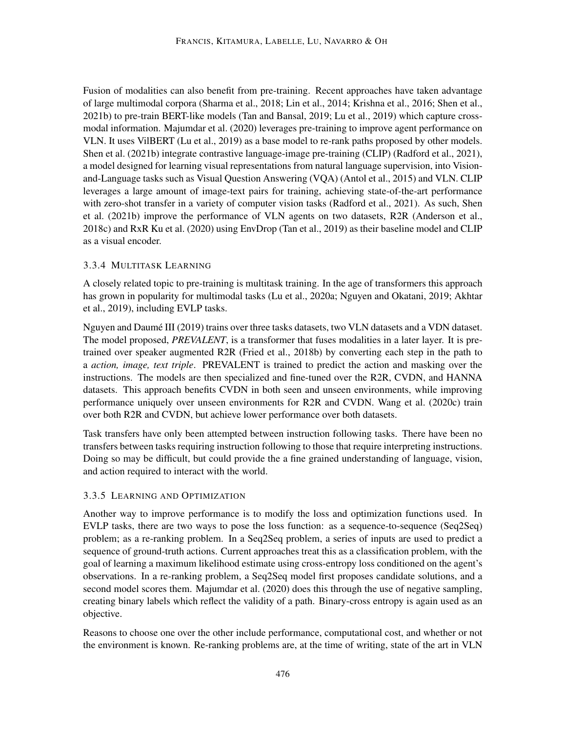Fusion of modalities can also benefit from pre-training. Recent approaches have taken advantage of large multimodal corpora [\(Sharma et al.,](#page-51-3) [2018;](#page-51-3) [Lin et al.,](#page-47-6) [2014;](#page-47-6) [Krishna et al.,](#page-46-7) [2016;](#page-46-7) [Shen et al.,](#page-51-8) [2021b\)](#page-51-8) to pre-train BERT-like models [\(Tan and Bansal,](#page-52-2) [2019;](#page-52-2) [Lu et al.,](#page-47-2) [2019\)](#page-47-2) which capture crossmodal information. [Majumdar et al.](#page-48-0) [\(2020\)](#page-48-0) leverages pre-training to improve agent performance on VLN. It uses VilBERT [\(Lu et al.,](#page-47-2) [2019\)](#page-47-2) as a base model to re-rank paths proposed by other models. [Shen et al.](#page-51-8) [\(2021b\)](#page-51-8) integrate contrastive language-image pre-training (CLIP) [\(Radford et al.,](#page-50-7) [2021\)](#page-50-7), a model designed for learning visual representations from natural language supervision, into Visionand-Language tasks such as Visual Question Answering (VQA) [\(Antol et al.,](#page-38-6) [2015\)](#page-38-6) and VLN. CLIP leverages a large amount of image-text pairs for training, achieving state-of-the-art performance with zero-shot transfer in a variety of computer vision tasks [\(Radford et al.,](#page-50-7) [2021\)](#page-50-7). As such, [Shen](#page-51-8) [et al.](#page-51-8) [\(2021b\)](#page-51-8) improve the performance of VLN agents on two datasets, R2R [\(Anderson et al.,](#page-38-0) [2018c\)](#page-38-0) and RxR [Ku et al.](#page-46-2) [\(2020\)](#page-46-2) using EnvDrop [\(Tan et al.,](#page-52-1) [2019\)](#page-52-1) as their baseline model and CLIP as a visual encoder.

### 3.3.4 MULTITASK LEARNING

A closely related topic to pre-training is multitask training. In the age of transformers this approach has grown in popularity for multimodal tasks [\(Lu et al.,](#page-47-3) [2020a;](#page-47-3) [Nguyen and Okatani,](#page-48-7) [2019;](#page-48-7) [Akhtar](#page-37-1) [et al.,](#page-37-1) [2019\)](#page-37-1), including EVLP tasks.

Nguyen and Daumé III [\(2019\)](#page-49-0) trains over three tasks datasets, two VLN datasets and a VDN dataset. The model proposed, *PREVALENT*, is a transformer that fuses modalities in a later layer. It is pretrained over speaker augmented R2R [\(Fried et al.,](#page-42-1) [2018b\)](#page-42-1) by converting each step in the path to a *action, image, text triple*. PREVALENT is trained to predict the action and masking over the instructions. The models are then specialized and fine-tuned over the R2R, CVDN, and HANNA datasets. This approach benefits CVDN in both seen and unseen environments, while improving performance uniquely over unseen environments for R2R and CVDN. [Wang et al.](#page-54-9) [\(2020c\)](#page-54-9) train over both R2R and CVDN, but achieve lower performance over both datasets.

Task transfers have only been attempted between instruction following tasks. There have been no transfers between tasks requiring instruction following to those that require interpreting instructions. Doing so may be difficult, but could provide the a fine grained understanding of language, vision, and action required to interact with the world.

### 3.3.5 LEARNING AND OPTIMIZATION

Another way to improve performance is to modify the loss and optimization functions used. In EVLP tasks, there are two ways to pose the loss function: as a sequence-to-sequence (Seq2Seq) problem; as a re-ranking problem. In a Seq2Seq problem, a series of inputs are used to predict a sequence of ground-truth actions. Current approaches treat this as a classification problem, with the goal of learning a maximum likelihood estimate using cross-entropy loss conditioned on the agent's observations. In a re-ranking problem, a Seq2Seq model first proposes candidate solutions, and a second model scores them. [Majumdar et al.](#page-48-0) [\(2020\)](#page-48-0) does this through the use of negative sampling, creating binary labels which reflect the validity of a path. Binary-cross entropy is again used as an objective.

Reasons to choose one over the other include performance, computational cost, and whether or not the environment is known. Re-ranking problems are, at the time of writing, state of the art in VLN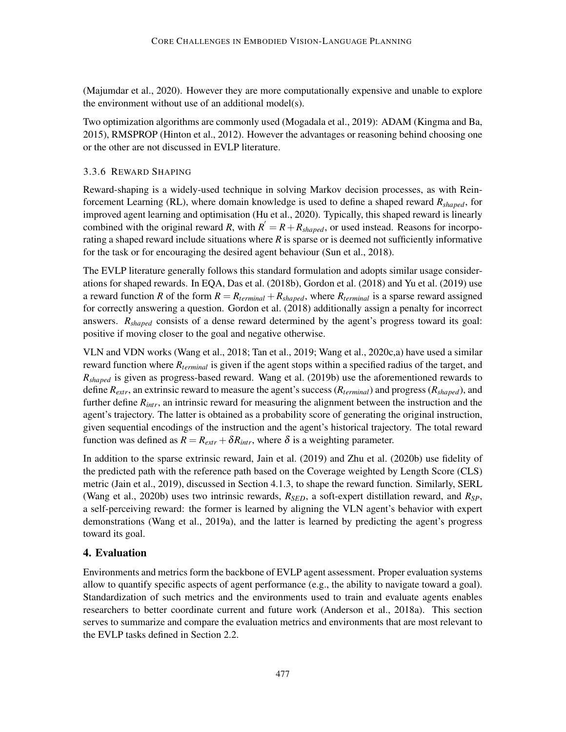[\(Majumdar et al.,](#page-48-0) [2020\)](#page-48-0). However they are more computationally expensive and unable to explore the environment without use of an additional model(s).

Two optimization algorithms are commonly used [\(Mogadala et al.,](#page-48-1) [2019\)](#page-48-1): ADAM [\(Kingma and Ba,](#page-45-8) [2015\)](#page-45-8), RMSPROP [\(Hinton et al.,](#page-44-5) [2012\)](#page-44-5). However the advantages or reasoning behind choosing one or the other are not discussed in EVLP literature.

#### 3.3.6 REWARD SHAPING

Reward-shaping is a widely-used technique in solving Markov decision processes, as with Reinforcement Learning (RL), where domain knowledge is used to define a shaped reward *Rshaped*, for improved agent learning and optimisation [\(Hu et al.,](#page-44-6) [2020\)](#page-44-6). Typically, this shaped reward is linearly combined with the original reward *R*, with  $R' = R + R_{shaped}$ , or used instead. Reasons for incorporating a shaped reward include situations where *R* is sparse or is deemed not sufficiently informative for the task or for encouraging the desired agent behaviour [\(Sun et al.,](#page-52-6) [2018\)](#page-52-6).

The EVLP literature generally follows this standard formulation and adopts similar usage considerations for shaped rewards. In EQA, [Das et al.](#page-41-7) [\(2018b\)](#page-41-7), [Gordon et al.](#page-43-0) [\(2018\)](#page-43-0) and [Yu et al.](#page-55-3) [\(2019\)](#page-55-3) use a reward function *R* of the form  $R = R_{terminal} + R_{shaded}$ , where  $R_{terminal}$  is a sparse reward assigned for correctly answering a question. [Gordon et al.](#page-43-0) [\(2018\)](#page-43-0) additionally assign a penalty for incorrect answers. *Rshaped* consists of a dense reward determined by the agent's progress toward its goal: positive if moving closer to the goal and negative otherwise.

VLN and VDN works [\(Wang et al.,](#page-54-4) [2018;](#page-54-4) [Tan et al.,](#page-52-1) [2019;](#page-52-1) [Wang et al.,](#page-54-9) [2020c,](#page-54-9)[a\)](#page-53-6) have used a similar reward function where *Rterminal* is given if the agent stops within a specified radius of the target, and *Rshaped* is given as progress-based reward. [Wang et al.](#page-54-2) [\(2019b\)](#page-54-2) use the aforementioned rewards to define *Rextr*, an extrinsic reward to measure the agent's success (*Rterminal*) and progress (*Rshaped*), and further define *Rintr*, an intrinsic reward for measuring the alignment between the instruction and the agent's trajectory. The latter is obtained as a probability score of generating the original instruction, given sequential encodings of the instruction and the agent's historical trajectory. The total reward function was defined as  $R = R_{\text{extr}} + \delta R_{\text{intr}}$ , where  $\delta$  is a weighting parameter.

In addition to the sparse extrinsic reward, [Jain et al.](#page-44-0) [\(2019\)](#page-44-0) and [Zhu et al.](#page-56-2) [\(2020b\)](#page-56-2) use fidelity of the predicted path with the reference path based on the Coverage weighted by Length Score (CLS) metric [\(Jain et al.,](#page-44-0) [2019\)](#page-44-0), discussed in Section [4.1.3,](#page-20-0) to shape the reward function. Similarly, SERL [\(Wang et al.,](#page-53-5) [2020b\)](#page-53-5) uses two intrinsic rewards, *RSED*, a soft-expert distillation reward, and *RSP*, a self-perceiving reward: the former is learned by aligning the VLN agent's behavior with expert demonstrations [\(Wang et al.,](#page-54-8) [2019a\)](#page-54-8), and the latter is learned by predicting the agent's progress toward its goal.

### <span id="page-18-0"></span>4. Evaluation

Environments and metrics form the backbone of EVLP agent assessment. Proper evaluation systems allow to quantify specific aspects of agent performance (e.g., the ability to navigate toward a goal). Standardization of such metrics and the environments used to train and evaluate agents enables researchers to better coordinate current and future work [\(Anderson et al.,](#page-37-2) [2018a\)](#page-37-2). This section serves to summarize and compare the evaluation metrics and environments that are most relevant to the EVLP tasks defined in Section [2.2.](#page-4-1)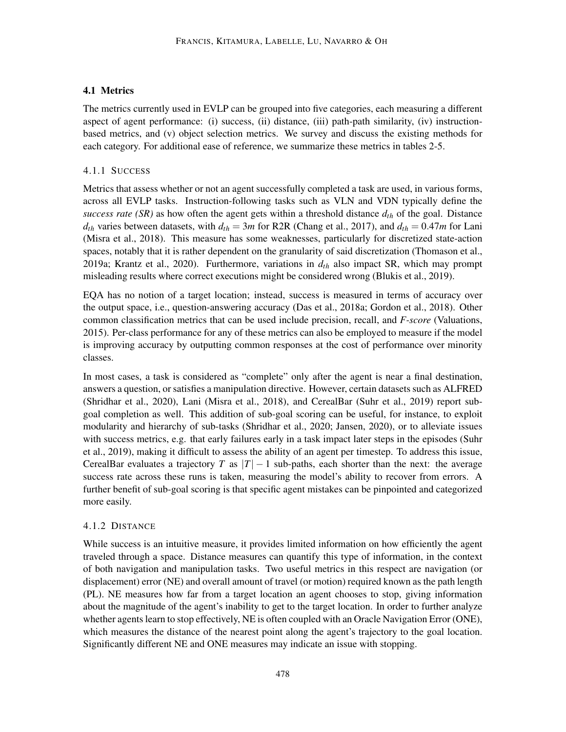## 4.1 Metrics

The metrics currently used in EVLP can be grouped into five categories, each measuring a different aspect of agent performance: (i) success, (ii) distance, (iii) path-path similarity, (iv) instructionbased metrics, and (v) object selection metrics. We survey and discuss the existing methods for each category. For additional ease of reference, we summarize these metrics in tables [2](#page-21-0)[-5.](#page-22-0)

## 4.1.1 SUCCESS

Metrics that assess whether or not an agent successfully completed a task are used, in various forms, across all EVLP tasks. Instruction-following tasks such as VLN and VDN typically define the *success rate (SR)* as how often the agent gets within a threshold distance *dth* of the goal. Distance  $d_{th}$  varies between datasets, with  $d_{th} = 3m$  for R2R [\(Chang et al.,](#page-40-5) [2017\)](#page-40-5), and  $d_{th} = 0.47m$  for Lani [\(Misra et al.,](#page-48-2) [2018\)](#page-48-2). This measure has some weaknesses, particularly for discretized state-action spaces, notably that it is rather dependent on the granularity of said discretization [\(Thomason et al.,](#page-53-7) [2019a;](#page-53-7) [Krantz et al.,](#page-46-0) [2020\)](#page-46-0). Furthermore, variations in *dth* also impact SR, which may prompt misleading results where correct executions might be considered wrong [\(Blukis et al.,](#page-39-8) [2019\)](#page-39-8).

EQA has no notion of a target location; instead, success is measured in terms of accuracy over the output space, i.e., question-answering accuracy [\(Das et al.,](#page-41-0) [2018a;](#page-41-0) [Gordon et al.,](#page-43-0) [2018\)](#page-43-0). Other common classification metrics that can be used include precision, recall, and *F-score* [\(Valuations,](#page-53-8) [2015\)](#page-53-8). Per-class performance for any of these metrics can also be employed to measure if the model is improving accuracy by outputting common responses at the cost of performance over minority classes.

In most cases, a task is considered as "complete" only after the agent is near a final destination, answers a question, or satisfies a manipulation directive. However, certain datasets such as ALFRED [\(Shridhar et al.,](#page-51-0) [2020\)](#page-51-0), Lani [\(Misra et al.,](#page-48-2) [2018\)](#page-48-2), and CerealBar [\(Suhr et al.,](#page-51-1) [2019\)](#page-51-1) report subgoal completion as well. This addition of sub-goal scoring can be useful, for instance, to exploit modularity and hierarchy of sub-tasks [\(Shridhar et al.,](#page-51-0) [2020;](#page-51-0) [Jansen,](#page-44-7) [2020\)](#page-44-7), or to alleviate issues with success metrics, e.g. that early failures early in a task impact later steps in the episodes [\(Suhr](#page-51-1) [et al.,](#page-51-1) [2019\)](#page-51-1), making it difficult to assess the ability of an agent per timestep. To address this issue, CerealBar evaluates a trajectory *T* as  $|T| - 1$  sub-paths, each shorter than the next: the average success rate across these runs is taken, measuring the model's ability to recover from errors. A further benefit of sub-goal scoring is that specific agent mistakes can be pinpointed and categorized more easily.

## 4.1.2 DISTANCE

While success is an intuitive measure, it provides limited information on how efficiently the agent traveled through a space. Distance measures can quantify this type of information, in the context of both navigation and manipulation tasks. Two useful metrics in this respect are navigation (or displacement) error (NE) and overall amount of travel (or motion) required known as the path length (PL). NE measures how far from a target location an agent chooses to stop, giving information about the magnitude of the agent's inability to get to the target location. In order to further analyze whether agents learn to stop effectively, NE is often coupled with an Oracle Navigation Error (ONE), which measures the distance of the nearest point along the agent's trajectory to the goal location. Significantly different NE and ONE measures may indicate an issue with stopping.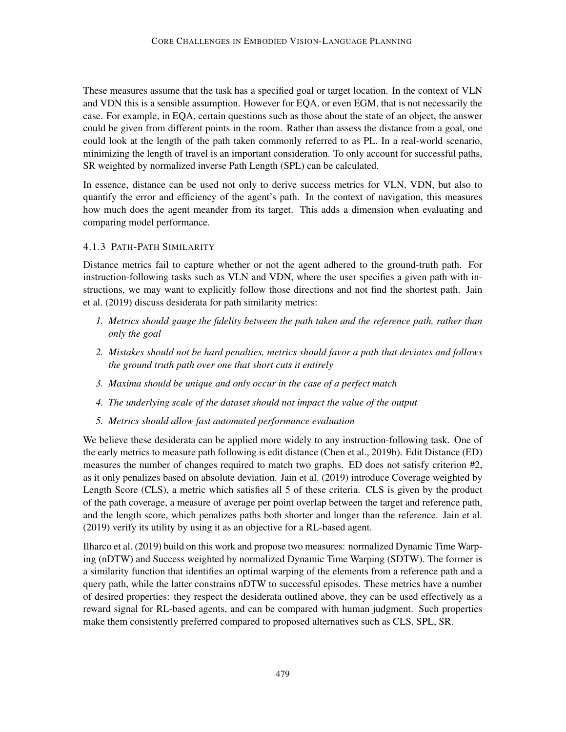These measures assume that the task has a specified goal or target location. In the context of VLN and VDN this is a sensible assumption. However for EQA, or even EGM, that is not necessarily the case. For example, in EQA, certain questions such as those about the state of an object, the answer could be given from different points in the room. Rather than assess the distance from a goal, one could look at the length of the path taken commonly referred to as PL. In a real-world scenario, minimizing the length of travel is an important consideration. To only account for successful paths, SR weighted by normalized inverse Path Length (SPL) can be calculated.

In essence, distance can be used not only to derive success metrics for VLN, VDN, but also to quantify the error and efficiency of the agent's path. In the context of navigation, this measures how much does the agent meander from its target. This adds a dimension when evaluating and comparing model performance.

## <span id="page-20-0"></span>4.1.3 PATH-PATH SIMILARITY

Distance metrics fail to capture whether or not the agent adhered to the ground-truth path. For instruction-following tasks such as VLN and VDN, where the user specifies a given path with instructions, we may want to explicitly follow those directions and not find the shortest path. [Jain](#page-44-0) [et al.](#page-44-0) [\(2019\)](#page-44-0) discuss desiderata for path similarity metrics:

- *1. Metrics should gauge the fidelity between the path taken and the reference path, rather than only the goal*
- *2. Mistakes should not be hard penalties, metrics should favor a path that deviates and follows the ground truth path over one that short cuts it entirely*
- *3. Maxima should be unique and only occur in the case of a perfect match*
- *4. The underlying scale of the dataset should not impact the value of the output*
- *5. Metrics should allow fast automated performance evaluation*

We believe these desiderata can be applied more widely to any instruction-following task. One of the early metrics to measure path following is edit distance [\(Chen et al.,](#page-40-0) [2019b\)](#page-40-0). Edit Distance (ED) measures the number of changes required to match two graphs. ED does not satisfy criterion #2, as it only penalizes based on absolute deviation. [Jain et al.](#page-44-0) [\(2019\)](#page-44-0) introduce Coverage weighted by Length Score (CLS), a metric which satisfies all 5 of these criteria. CLS is given by the product of the path coverage, a measure of average per point overlap between the target and reference path, and the length score, which penalizes paths both shorter and longer than the reference. [Jain et al.](#page-44-0) [\(2019\)](#page-44-0) verify its utility by using it as an objective for a RL-based agent.

[Ilharco et al.](#page-44-8) [\(2019\)](#page-44-8) build on this work and propose two measures: normalized Dynamic Time Warping (nDTW) and Success weighted by normalized Dynamic Time Warping (SDTW). The former is a similarity function that identifies an optimal warping of the elements from a reference path and a query path, while the latter constrains nDTW to successful episodes. These metrics have a number of desired properties: they respect the desiderata outlined above, they can be used effectively as a reward signal for RL-based agents, and can be compared with human judgment. Such properties make them consistently preferred compared to proposed alternatives such as CLS, SPL, SR.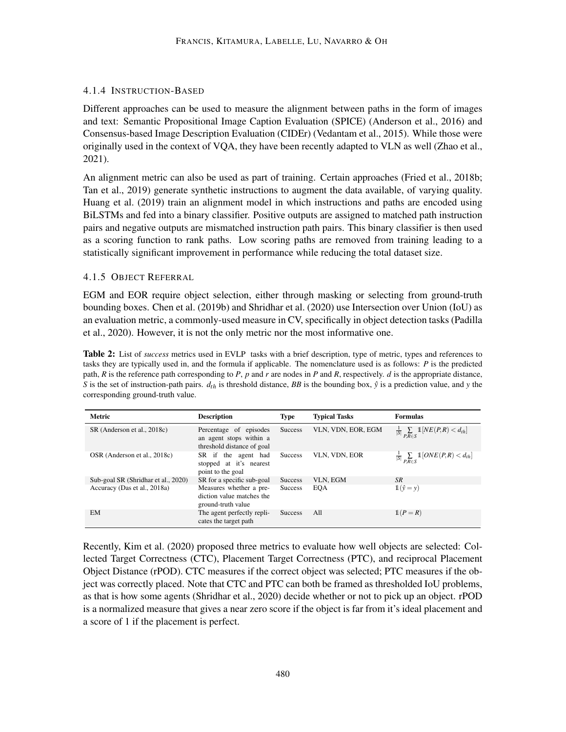## 4.1.4 INSTRUCTION-BASED

Different approaches can be used to measure the alignment between paths in the form of images and text: Semantic Propositional Image Caption Evaluation (SPICE) [\(Anderson et al.,](#page-37-3) [2016\)](#page-37-3) and Consensus-based Image Description Evaluation (CIDEr) [\(Vedantam et al.,](#page-53-9) [2015\)](#page-53-9). While those were originally used in the context of VQA, they have been recently adapted to VLN as well [\(Zhao et al.,](#page-56-4) [2021\)](#page-56-4).

An alignment metric can also be used as part of training. Certain approaches [\(Fried et al.,](#page-42-1) [2018b;](#page-42-1) [Tan et al.,](#page-52-1) [2019\)](#page-52-1) generate synthetic instructions to augment the data available, of varying quality. [Huang et al.](#page-44-9) [\(2019\)](#page-44-9) train an alignment model in which instructions and paths are encoded using BiLSTMs and fed into a binary classifier. Positive outputs are assigned to matched path instruction pairs and negative outputs are mismatched instruction path pairs. This binary classifier is then used as a scoring function to rank paths. Low scoring paths are removed from training leading to a statistically significant improvement in performance while reducing the total dataset size.

## 4.1.5 OBJECT REFERRAL

EGM and EOR require object selection, either through masking or selecting from ground-truth bounding boxes. [Chen et al.](#page-40-0) [\(2019b\)](#page-40-0) and [Shridhar et al.](#page-51-0) [\(2020\)](#page-51-0) use Intersection over Union (IoU) as an evaluation metric, a commonly-used measure in CV, specifically in object detection tasks [\(Padilla](#page-49-7) [et al.,](#page-49-7) [2020\)](#page-49-7). However, it is not the only metric nor the most informative one.

<span id="page-21-0"></span>Table 2: List of *success* metrics used in EVLP tasks with a brief description, type of metric, types and references to tasks they are typically used in, and the formula if applicable. The nomenclature used is as follows: *P* is the predicted path, *R* is the reference path corresponding to *P*, *p* and *r* are nodes in *P* and *R*, respectively. *d* is the appropriate distance, *S* is the set of instruction-path pairs.  $d_{th}$  is threshold distance, *BB* is the bounding box,  $\hat{y}$  is a prediction value, and *y* the corresponding ground-truth value.

| <b>Metric</b>                       | <b>Description</b>                                                              | <b>Type</b>    | <b>Typical Tasks</b> | <b>Formulas</b>                                                  |
|-------------------------------------|---------------------------------------------------------------------------------|----------------|----------------------|------------------------------------------------------------------|
| SR (Anderson et al., 2018c)         | Percentage of episodes<br>an agent stops within a<br>threshold distance of goal | <b>Success</b> | VLN, VDN, EOR, EGM   | $\frac{1}{ S }\sum\limits_{P,R\in S}\mathbb{1}[NE(P,R)< d_{th}]$ |
| OSR (Anderson et al., 2018c)        | SR if the agent had<br>stopped at it's nearest<br>point to the goal             | <b>Success</b> | VLN, VDN, EOR        | $\frac{1}{ S }\sum_{P,R\in S}\mathbb{1}[ONE(P,R) < d_{th}]$      |
| Sub-goal SR (Shridhar et al., 2020) | SR for a specific sub-goal                                                      | <b>Success</b> | VLN, EGM             | <b>SR</b>                                                        |
| Accuracy (Das et al., 2018a)        | Measures whether a pre-<br>diction value matches the<br>ground-truth value      | <b>Success</b> | <b>EOA</b>           | $\mathbb{1}(\hat{v}=v)$                                          |
| <b>EM</b>                           | The agent perfectly repli-<br>cates the target path                             | <b>Success</b> | A11                  | $1(P = R)$                                                       |

Recently, [Kim et al.](#page-45-0) [\(2020\)](#page-45-0) proposed three metrics to evaluate how well objects are selected: Collected Target Correctness (CTC), Placement Target Correctness (PTC), and reciprocal Placement Object Distance (rPOD). CTC measures if the correct object was selected; PTC measures if the object was correctly placed. Note that CTC and PTC can both be framed as thresholded IoU problems, as that is how some agents [\(Shridhar et al.,](#page-51-0) [2020\)](#page-51-0) decide whether or not to pick up an object. rPOD is a normalized measure that gives a near zero score if the object is far from it's ideal placement and a score of 1 if the placement is perfect.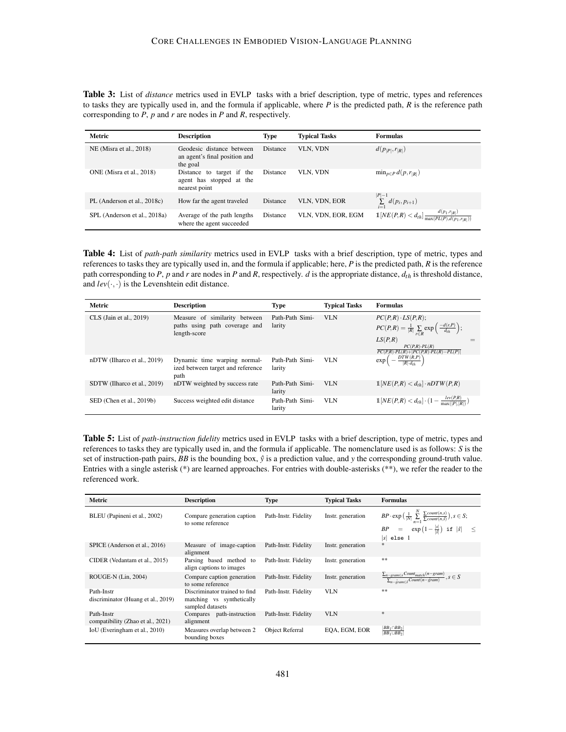Table 3: List of *distance* metrics used in EVLP tasks with a brief description, type of metric, types and references to tasks they are typically used in, and the formula if applicable, where *P* is the predicted path, *R* is the reference path corresponding to *P*, *p* and *r* are nodes in *P* and *R*, respectively.

| Metric                       | <b>Description</b>                                                     | <b>Type</b> | <b>Typical Tasks</b> | <b>Formulas</b>                                                         |
|------------------------------|------------------------------------------------------------------------|-------------|----------------------|-------------------------------------------------------------------------|
| NE (Misra et al., 2018)      | Geodesic distance between<br>an agent's final position and<br>the goal | Distance    | VLN, VDN             | $d(p_{ P }, r_{ R })$                                                   |
| ONE (Misra et al., 2018)     | Distance to target if the<br>agent has stopped at the<br>nearest point | Distance    | <b>VLN. VDN</b>      | $\min_{p \in P} d(p, r_{ R })$                                          |
| PL (Anderson et al., 2018c)  | How far the agent traveled                                             | Distance    | VLN, VDN, EOR        | $\sum_{i=1}^{ P -1}d(p_i,p_{i+1})$                                      |
| SPL (Anderson et al., 2018a) | Average of the path lengths<br>where the agent succeeded               | Distance    | VLN. VDN. EOR. EGM   | $1[NE(P,R) < d_{th}] \frac{d(p_1,r_{ R })}{\max(PL(P),d(p_1,r_{ R }))}$ |

Table 4: List of *path-path similarity* metrics used in EVLP tasks with a brief description, type of metric, types and references to tasks they are typically used in, and the formula if applicable; here, *P* is the predicted path, *R* is the reference path corresponding to *P*,  $p$  and  $r$  are nodes in  $P$  and  $R$ , respectively.  $d$  is the appropriate distance,  $d_{th}$  is threshold distance, and  $lev(\cdot, \cdot)$  is the Levenshtein edit distance.

| <b>Metric</b>               | <b>Description</b>                                                             | Type                      | <b>Typical Tasks</b> | <b>Formulas</b>                                                                                                                                                                                                          |
|-----------------------------|--------------------------------------------------------------------------------|---------------------------|----------------------|--------------------------------------------------------------------------------------------------------------------------------------------------------------------------------------------------------------------------|
| $CLS$ (Jain et al., 2019)   | Measure of similarity between<br>paths using path coverage and<br>length-score | Path-Path Simi-<br>larity | <b>VLN</b>           | $PC(P,R) \cdot LS(P,R);$<br>$PC(P,R) = \frac{1}{ R } \sum_{r \in R} \exp \left( \frac{-d(r,P)}{d_{th}} \right);$<br>LS(P,R)<br>$PC(P,R) \cdot PL(R)$<br>$\overline{PC(P,R) \cdot PL(R) +  PC(P,R) \cdot PL(R) - PL(P) }$ |
| nDTW (Ilharco et al., 2019) | Dynamic time warping normal-<br>ized between target and reference<br>path      | Path-Path Simi-<br>larity | VLN                  | $\exp\left(-\frac{DTW(R,P)}{ R d_{\text{th}}}\right)$                                                                                                                                                                    |
| SDTW (Ilharco et al., 2019) | nDTW weighted by success rate                                                  | Path-Path Simi-<br>larity | VLN                  | $\mathbb{1}[NE(P,R) < d_{th}] \cdot nDTW(P,R)$                                                                                                                                                                           |
| SED (Chen et al., 2019b)    | Success weighted edit distance                                                 | Path-Path Simi-<br>larity | <b>VLN</b>           | $\mathbb{1}[NE(P,R) < d_{th}] \cdot (1 - \frac{lev(P,R)}{\max( P , R )})$                                                                                                                                                |

<span id="page-22-0"></span>Table 5: List of *path-instruction fidelity* metrics used in EVLP tasks with a brief description, type of metric, types and references to tasks they are typically used in, and the formula if applicable. The nomenclature used is as follows: *S* is the set of instruction-path pairs, *BB* is the bounding box,  $\hat{y}$  is a prediction value, and *y* the corresponding ground-truth value. Entries with a single asterisk (\*) are learned approaches. For entries with double-asterisks (\*\*), we refer the reader to the referenced work.

| Metric                                           | <b>Description</b>                                                             | <b>Type</b>          | <b>Typical Tasks</b> | <b>Formulas</b>                                                                                                                                                                             |
|--------------------------------------------------|--------------------------------------------------------------------------------|----------------------|----------------------|---------------------------------------------------------------------------------------------------------------------------------------------------------------------------------------------|
| BLEU (Papineni et al., 2002)                     | Compare generation caption<br>to some reference                                | Path-Instr. Fidelity | Instr. generation    | $BP \cdot \exp\left(\frac{1}{ N } \sum_{n=1}^{N} \frac{\sum count(n,s)}{\sum count(n,\hat{s})}\right), s \in S;$<br>$BP = \exp(1-\frac{ s }{ \hat{s} })$ if $ \hat{s}  \le$<br>$ s $ else 1 |
| SPICE (Anderson et al., 2016)                    | Measure of image-caption<br>alignment                                          | Path-Instr. Fidelity | Instr. generation    | *                                                                                                                                                                                           |
| CIDER (Vedantam et al., 2015)                    | Parsing based method to<br>align captions to images                            | Path-Instr. Fidelity | Instr. generation    | **                                                                                                                                                                                          |
| ROUGE-N (Lin, 2004)                              | Compare caption generation<br>to some reference                                | Path-Instr. Fidelity | Instr. generation    | $\frac{\sum_{n-gram \in s} Count_{match}(n-gram)}{\sum_{n-gram \in \hat{s}} Count(n-gram)}, s \in S$                                                                                        |
| Path-Instr<br>discriminator (Huang et al., 2019) | Discriminator trained to find<br>matching vs synthetically<br>sampled datasets | Path-Instr. Fidelity | <b>VLN</b>           | **                                                                                                                                                                                          |
| Path-Instr<br>compatibility (Zhao et al., 2021)  | Compares path-instruction<br>alignment                                         | Path-Instr. Fidelity | <b>VLN</b>           | $*$                                                                                                                                                                                         |
| IoU (Everingham et al., 2010)                    | Measures overlap between 2<br>bounding boxes                                   | Object Referral      | EOA, EGM, EOR        | $\frac{ BB_1 \cap BB_2 }{ BB_1 \cup BB_2 }$                                                                                                                                                 |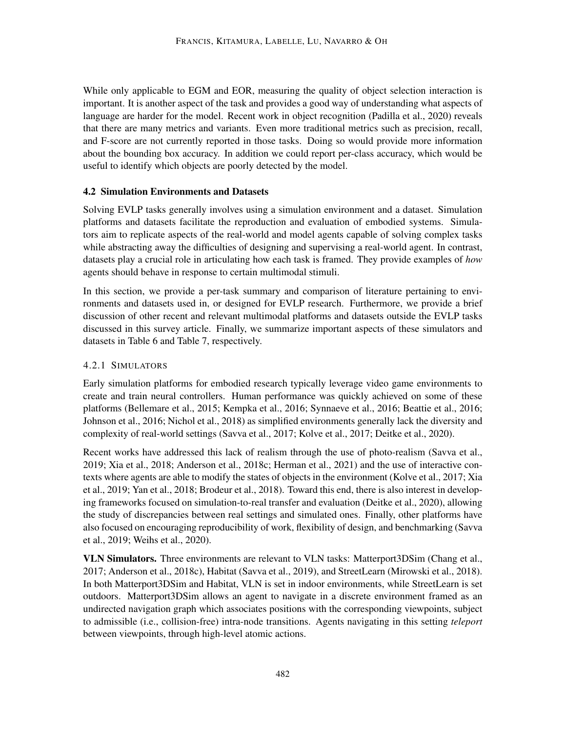While only applicable to EGM and EOR, measuring the quality of object selection interaction is important. It is another aspect of the task and provides a good way of understanding what aspects of language are harder for the model. Recent work in object recognition [\(Padilla et al.,](#page-49-7) [2020\)](#page-49-7) reveals that there are many metrics and variants. Even more traditional metrics such as precision, recall, and F-score are not currently reported in those tasks. Doing so would provide more information about the bounding box accuracy. In addition we could report per-class accuracy, which would be useful to identify which objects are poorly detected by the model.

## <span id="page-23-0"></span>4.2 Simulation Environments and Datasets

Solving EVLP tasks generally involves using a simulation environment and a dataset. Simulation platforms and datasets facilitate the reproduction and evaluation of embodied systems. Simulators aim to replicate aspects of the real-world and model agents capable of solving complex tasks while abstracting away the difficulties of designing and supervising a real-world agent. In contrast, datasets play a crucial role in articulating how each task is framed. They provide examples of *how* agents should behave in response to certain multimodal stimuli.

In this section, we provide a per-task summary and comparison of literature pertaining to environments and datasets used in, or designed for EVLP research. Furthermore, we provide a brief discussion of other recent and relevant multimodal platforms and datasets outside the EVLP tasks discussed in this survey article. Finally, we summarize important aspects of these simulators and datasets in Table [6](#page-26-0) and Table [7,](#page-29-0) respectively.

## <span id="page-23-1"></span>4.2.1 SIMULATORS

Early simulation platforms for embodied research typically leverage video game environments to create and train neural controllers. Human performance was quickly achieved on some of these platforms [\(Bellemare et al.,](#page-38-7) [2015;](#page-38-7) [Kempka et al.,](#page-45-9) [2016;](#page-45-9) [Synnaeve et al.,](#page-52-7) [2016;](#page-52-7) [Beattie et al.,](#page-38-8) [2016;](#page-38-8) [Johnson et al.,](#page-45-10) [2016;](#page-45-10) [Nichol et al.,](#page-49-9) [2018\)](#page-49-9) as simplified environments generally lack the diversity and complexity of real-world settings [\(Savva et al.,](#page-51-9) [2017;](#page-51-9) [Kolve et al.,](#page-45-6) [2017;](#page-45-6) [Deitke et al.,](#page-41-9) [2020\)](#page-41-9).

Recent works have addressed this lack of realism through the use of photo-realism [\(Savva et al.,](#page-51-10) [2019;](#page-51-10) [Xia et al.,](#page-55-5) [2018;](#page-55-5) [Anderson et al.,](#page-38-0) [2018c;](#page-38-0) [Herman et al.,](#page-43-7) [2021\)](#page-43-7) and the use of interactive contexts where agents are able to modify the states of objects in the environment [\(Kolve et al.,](#page-45-6) [2017;](#page-45-6) [Xia](#page-55-6) [et al.,](#page-55-6) [2019;](#page-55-6) [Yan et al.,](#page-55-7) [2018;](#page-55-7) [Brodeur et al.,](#page-39-10) [2018\)](#page-39-10). Toward this end, there is also interest in developing frameworks focused on simulation-to-real transfer and evaluation [\(Deitke et al.,](#page-41-9) [2020\)](#page-41-9), allowing the study of discrepancies between real settings and simulated ones. Finally, other platforms have also focused on encouraging reproducibility of work, flexibility of design, and benchmarking [\(Savva](#page-51-10) [et al.,](#page-51-10) [2019;](#page-51-10) [Weihs et al.,](#page-54-10) [2020\)](#page-54-10).

VLN Simulators. Three environments are relevant to VLN tasks: Matterport3DSim [\(Chang et al.,](#page-40-5) [2017;](#page-40-5) [Anderson et al.,](#page-38-0) [2018c\)](#page-38-0), Habitat [\(Savva et al.,](#page-51-10) [2019\)](#page-51-10), and StreetLearn [\(Mirowski et al.,](#page-48-8) [2018\)](#page-48-8). In both Matterport3DSim and Habitat, VLN is set in indoor environments, while StreetLearn is set outdoors. Matterport3DSim allows an agent to navigate in a discrete environment framed as an undirected navigation graph which associates positions with the corresponding viewpoints, subject to admissible (i.e., collision-free) intra-node transitions. Agents navigating in this setting *teleport* between viewpoints, through high-level atomic actions.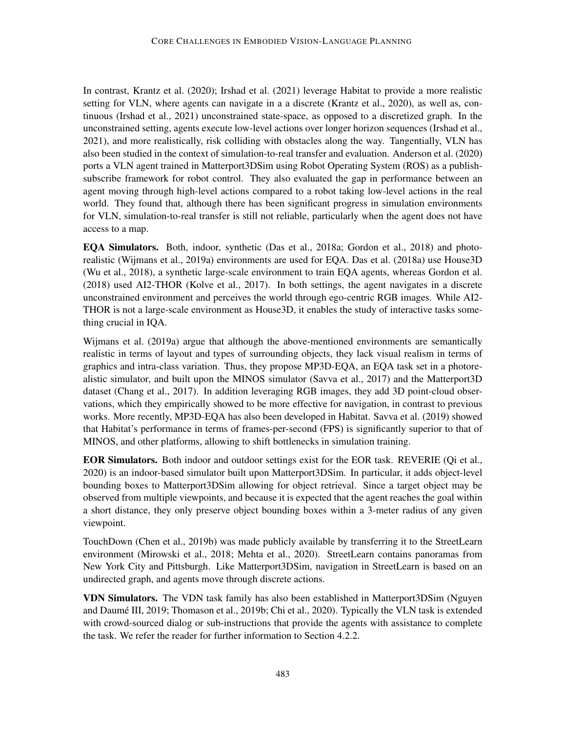In contrast, [Krantz et al.](#page-46-0) [\(2020\)](#page-46-0); [Irshad et al.](#page-44-1) [\(2021\)](#page-44-1) leverage Habitat to provide a more realistic setting for VLN, where agents can navigate in a a discrete [\(Krantz et al.,](#page-46-0) [2020\)](#page-46-0), as well as, continuous [\(Irshad et al.,](#page-44-1) [2021\)](#page-44-1) unconstrained state-space, as opposed to a discretized graph. In the unconstrained setting, agents execute low-level actions over longer horizon sequences [\(Irshad et al.,](#page-44-1) [2021\)](#page-44-1), and more realistically, risk colliding with obstacles along the way. Tangentially, VLN has also been studied in the context of simulation-to-real transfer and evaluation. [Anderson et al.](#page-38-9) [\(2020\)](#page-38-9) ports a VLN agent trained in Matterport3DSim using Robot Operating System (ROS) as a publishsubscribe framework for robot control. They also evaluated the gap in performance between an agent moving through high-level actions compared to a robot taking low-level actions in the real world. They found that, although there has been significant progress in simulation environments for VLN, simulation-to-real transfer is still not reliable, particularly when the agent does not have access to a map.

EQA Simulators. Both, indoor, synthetic [\(Das et al.,](#page-41-0) [2018a;](#page-41-0) [Gordon et al.,](#page-43-0) [2018\)](#page-43-0) and photorealistic [\(Wijmans et al.,](#page-54-1) [2019a\)](#page-54-1) environments are used for EQA. [Das et al.](#page-41-0) [\(2018a\)](#page-41-0) use House3D [\(Wu et al.,](#page-54-11) [2018\)](#page-54-11), a synthetic large-scale environment to train EQA agents, whereas [Gordon et al.](#page-43-0) [\(2018\)](#page-43-0) used AI2-THOR [\(Kolve et al.,](#page-45-6) [2017\)](#page-45-6). In both settings, the agent navigates in a discrete unconstrained environment and perceives the world through ego-centric RGB images. While AI2- THOR is not a large-scale environment as House3D, it enables the study of interactive tasks something crucial in IQA.

[Wijmans et al.](#page-54-1) [\(2019a\)](#page-54-1) argue that although the above-mentioned environments are semantically realistic in terms of layout and types of surrounding objects, they lack visual realism in terms of graphics and intra-class variation. Thus, they propose MP3D-EQA, an EQA task set in a photorealistic simulator, and built upon the MINOS simulator [\(Savva et al.,](#page-51-9) [2017\)](#page-51-9) and the Matterport3D dataset [\(Chang et al.,](#page-40-5) [2017\)](#page-40-5). In addition leveraging RGB images, they add 3D point-cloud observations, which they empirically showed to be more effective for navigation, in contrast to previous works. More recently, MP3D-EQA has also been developed in Habitat. [Savva et al.](#page-51-10) [\(2019\)](#page-51-10) showed that Habitat's performance in terms of frames-per-second (FPS) is significantly superior to that of MINOS, and other platforms, allowing to shift bottlenecks in simulation training.

EOR Simulators. Both indoor and outdoor settings exist for the EOR task. REVERIE [\(Qi et al.,](#page-50-0) [2020\)](#page-50-0) is an indoor-based simulator built upon Matterport3DSim. In particular, it adds object-level bounding boxes to Matterport3DSim allowing for object retrieval. Since a target object may be observed from multiple viewpoints, and because it is expected that the agent reaches the goal within a short distance, they only preserve object bounding boxes within a 3-meter radius of any given viewpoint.

TouchDown [\(Chen et al.,](#page-40-0) [2019b\)](#page-40-0) was made publicly available by transferring it to the StreetLearn environment [\(Mirowski et al.,](#page-48-8) [2018;](#page-48-8) [Mehta et al.,](#page-48-3) [2020\)](#page-48-3). StreetLearn contains panoramas from New York City and Pittsburgh. Like Matterport3DSim, navigation in StreetLearn is based on an undirected graph, and agents move through discrete actions.

VDN Simulators. The VDN task family has also been established in Matterport3DSim [\(Nguyen](#page-49-0) and Daumé III, [2019;](#page-49-0) [Thomason et al.,](#page-53-0) [2019b;](#page-53-0) [Chi et al.,](#page-40-1) [2020\)](#page-40-1). Typically the VLN task is extended with crowd-sourced dialog or sub-instructions that provide the agents with assistance to complete the task. We refer the reader for further information to Section [4.2.2.](#page-26-1)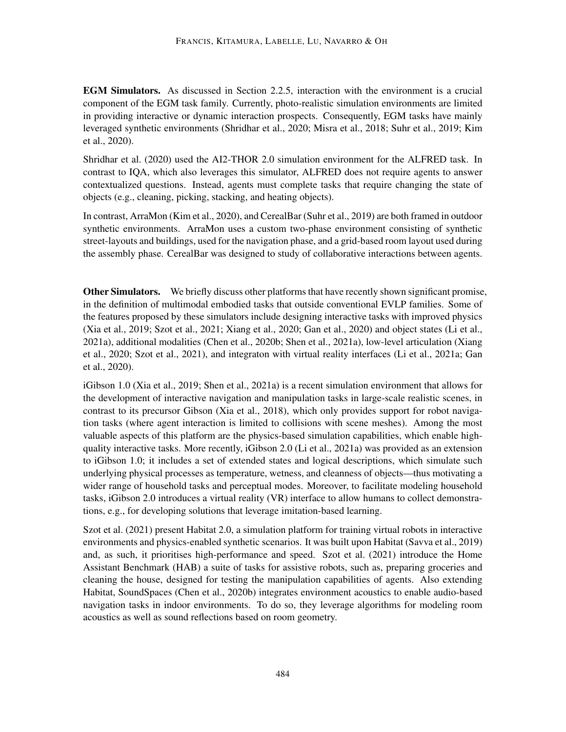EGM Simulators. As discussed in Section [2.2.5,](#page-7-0) interaction with the environment is a crucial component of the EGM task family. Currently, photo-realistic simulation environments are limited in providing interactive or dynamic interaction prospects. Consequently, EGM tasks have mainly leveraged synthetic environments [\(Shridhar et al.,](#page-51-0) [2020;](#page-51-0) [Misra et al.,](#page-48-2) [2018;](#page-48-2) [Suhr et al.,](#page-51-1) [2019;](#page-51-1) [Kim](#page-45-0) [et al.,](#page-45-0) [2020\)](#page-45-0).

[Shridhar et al.](#page-51-0) [\(2020\)](#page-51-0) used the AI2-THOR 2.0 simulation environment for the ALFRED task. In contrast to IQA, which also leverages this simulator, ALFRED does not require agents to answer contextualized questions. Instead, agents must complete tasks that require changing the state of objects (e.g., cleaning, picking, stacking, and heating objects).

In contrast, ArraMon [\(Kim et al.,](#page-45-0) [2020\)](#page-45-0), and CerealBar [\(Suhr et al.,](#page-51-1) [2019\)](#page-51-1) are both framed in outdoor synthetic environments. ArraMon uses a custom two-phase environment consisting of synthetic street-layouts and buildings, used for the navigation phase, and a grid-based room layout used during the assembly phase. CerealBar was designed to study of collaborative interactions between agents.

**Other Simulators.** We briefly discuss other platforms that have recently shown significant promise, in the definition of multimodal embodied tasks that outside conventional EVLP families. Some of the features proposed by these simulators include designing interactive tasks with improved physics [\(Xia et al.,](#page-55-6) [2019;](#page-55-6) [Szot et al.,](#page-52-8) [2021;](#page-52-8) [Xiang et al.,](#page-55-8) [2020;](#page-55-8) [Gan et al.,](#page-43-8) [2020\)](#page-43-8) and object states [\(Li et al.,](#page-46-5) [2021a\)](#page-46-5), additional modalities [\(Chen et al.,](#page-40-4) [2020b;](#page-40-4) [Shen et al.,](#page-51-11) [2021a\)](#page-51-11), low-level articulation [\(Xiang](#page-55-8) [et al.,](#page-55-8) [2020;](#page-55-8) [Szot et al.,](#page-52-8) [2021\)](#page-52-8), and integraton with virtual reality interfaces [\(Li et al.,](#page-46-5) [2021a;](#page-46-5) [Gan](#page-43-8) [et al.,](#page-43-8) [2020\)](#page-43-8).

iGibson 1.0 [\(Xia et al.,](#page-55-6) [2019;](#page-55-6) [Shen et al.,](#page-51-11) [2021a\)](#page-51-11) is a recent simulation environment that allows for the development of interactive navigation and manipulation tasks in large-scale realistic scenes, in contrast to its precursor Gibson [\(Xia et al.,](#page-55-5) [2018\)](#page-55-5), which only provides support for robot navigation tasks (where agent interaction is limited to collisions with scene meshes). Among the most valuable aspects of this platform are the physics-based simulation capabilities, which enable highquality interactive tasks. More recently, iGibson 2.0 [\(Li et al.,](#page-46-5) [2021a\)](#page-46-5) was provided as an extension to iGibson 1.0; it includes a set of extended states and logical descriptions, which simulate such underlying physical processes as temperature, wetness, and cleanness of objects—thus motivating a wider range of household tasks and perceptual modes. Moreover, to facilitate modeling household tasks, iGibson 2.0 introduces a virtual reality (VR) interface to allow humans to collect demonstrations, e.g., for developing solutions that leverage imitation-based learning.

[Szot et al.](#page-52-8) [\(2021\)](#page-52-8) present Habitat 2.0, a simulation platform for training virtual robots in interactive environments and physics-enabled synthetic scenarios. It was built upon Habitat [\(Savva et al.,](#page-51-10) [2019\)](#page-51-10) and, as such, it prioritises high-performance and speed. [Szot et al.](#page-52-8) [\(2021\)](#page-52-8) introduce the Home Assistant Benchmark (HAB) a suite of tasks for assistive robots, such as, preparing groceries and cleaning the house, designed for testing the manipulation capabilities of agents. Also extending Habitat, SoundSpaces [\(Chen et al.,](#page-40-4) [2020b\)](#page-40-4) integrates environment acoustics to enable audio-based navigation tasks in indoor environments. To do so, they leverage algorithms for modeling room acoustics as well as sound reflections based on room geometry.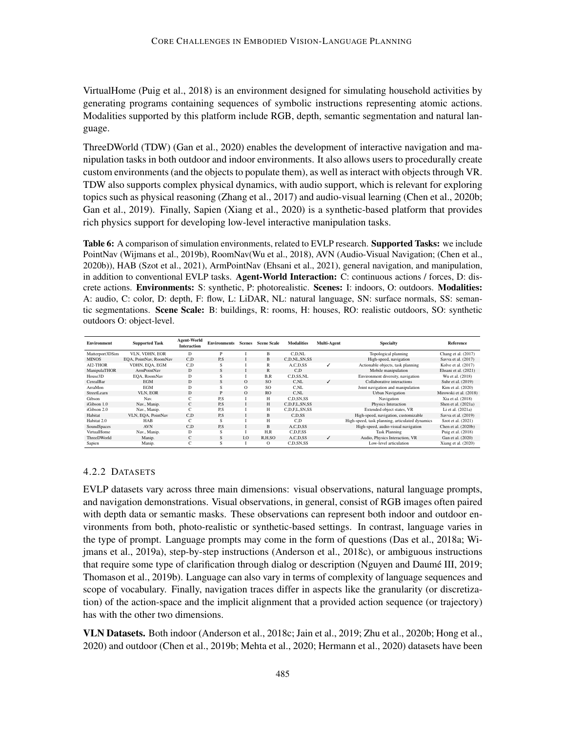VirtualHome [\(Puig et al.,](#page-50-8) [2018\)](#page-50-8) is an environment designed for simulating household activities by generating programs containing sequences of symbolic instructions representing atomic actions. Modalities supported by this platform include RGB, depth, semantic segmentation and natural language.

ThreeDWorld (TDW) [\(Gan et al.,](#page-43-8) [2020\)](#page-43-8) enables the development of interactive navigation and manipulation tasks in both outdoor and indoor environments. It also allows users to procedurally create custom environments (and the objects to populate them), as well as interact with objects through VR. TDW also supports complex physical dynamics, with audio support, which is relevant for exploring topics such as physical reasoning [\(Zhang et al.,](#page-56-5) [2017\)](#page-56-5) and audio-visual learning [\(Chen et al.,](#page-40-4) [2020b;](#page-40-4) [Gan et al.,](#page-43-9) [2019\)](#page-43-9). Finally, Sapien [\(Xiang et al.,](#page-55-8) [2020\)](#page-55-8) is a synthetic-based platform that provides rich physics support for developing low-level interactive manipulation tasks.

<span id="page-26-0"></span>Table 6: A comparison of simulation environments, related to EVLP research. Supported Tasks: we include PointNav [\(Wijmans et al.,](#page-54-6) [2019b\)](#page-54-6), RoomNav[\(Wu et al.,](#page-54-11) [2018\)](#page-54-11), AVN (Audio-Visual Navigation; [\(Chen et al.,](#page-40-4) [2020b\)](#page-40-4)), HAB [\(Szot et al.,](#page-52-8) [2021\)](#page-52-8), ArmPointNav [\(Ehsani et al.,](#page-42-7) [2021\)](#page-42-7), general navigation, and manipulation, in addition to conventional EVLP tasks. Agent-World Interaction: C: continuous actions / forces, D: discrete actions. Environments: S: synthetic, P: photorealistic. Scenes: I: indoors, O: outdoors. Modalities: A: audio, C: color, D: depth, F: flow, L: LiDAR, NL: natural language, SN: surface normals, SS: semantic segmentations. Scene Scale: B: buildings, R: rooms, H: houses, RO: realistic outdoors, SO: synthetic outdoors O: object-level.

| <b>Environment</b> | <b>Supported Task</b>  | <b>Agent-World</b><br><b>Interaction</b> | <b>Environments</b> | Scenes   | <b>Scene Scale</b> | <b>Modalities</b> | Multi-Agent | <b>Specialty</b>                                | <b>Reference</b>       |
|--------------------|------------------------|------------------------------------------|---------------------|----------|--------------------|-------------------|-------------|-------------------------------------------------|------------------------|
| Matterport3DSim    | VLN, VDHN, EOR         | D                                        | P                   |          | R                  | C.D.NL            |             | Topological planning                            | Chang et al. (2017)    |
| <b>MINOS</b>       | EOA, PointNav, RoomNav | C.D                                      | P.S                 |          | B                  | C.D.NL.SN.SS      |             | High-speed, navigation                          | Savva et al. (2017)    |
| AI2-THOR           | VDHN, EQA, EGM         | C.D                                      | s                   |          | R                  | A,C,D,SS          |             | Actionable objects, task planning               | Kolve et al. (2017)    |
| ManipulaTHOR       | <b>ArmPointNav</b>     | D                                        | S                   |          | $\mathbb{R}$       | C.D               |             | Mobile manipulation                             | Ehsani et al. (2021)   |
| House3D            | EQA, RoomNav           | D                                        | s                   |          | B.R                | C.D.SS.NL         |             | Environment diversity, navigation               | Wu et al. (2018)       |
| CerealBar          | <b>EGM</b>             | D                                        | S                   | $\Omega$ | SO <sub>2</sub>    | C.NL              | ✓           | Collaborative interactions                      | Suhr et al. (2019)     |
| ArraMon            | <b>EGM</b>             | D                                        | s                   | $\circ$  | SO.                | C.NL              |             | Joint navigation and manipulation               | Kim et al. (2020)      |
| StreetLearn        | VLN. EOR               | D                                        | P                   | $\Omega$ | R <sub>O</sub>     | C.NL              |             | <b>Urban Navigation</b>                         | Mirowski et al. (2018) |
| Gibson             | Nav.                   | C                                        | P.S                 |          | H                  | C.D.SN.SS         |             | Navigation                                      | Xia et al. (2018)      |
| iGibson 1.0        | Nav., Manip.           | C                                        | P.S                 |          | H                  | C.D.F.L.SN.SS     |             | Physics Interaction                             | Shen et al. (2021a)    |
| iGibson 2.0        | Nav., Manip.           | $\sqrt{2}$<br>U                          | P.S                 |          | H                  | C.D.F.L.SN.SS     |             | Extended object states, VR                      | Li et al. (2021a)      |
| Habitat            | VLN, EQA, PointNav     | C.D                                      | P.S                 |          | B                  | C.D.SS            |             | High-speed, navigation, customizable            | Savva et al. (2019)    |
| Habitat 2.0        | HAB                    | $\sqrt{2}$                               | s                   |          | H                  | C.D               |             | High-speed, task planning, articulated dynamics | Szot et al. (2021)     |
| SoundSpaces        | <b>AVN</b>             | C.D                                      | P.S                 |          | B                  | A,C,D,SS          |             | High-speed, audio-visual navigation             | Chen et al. (2020b)    |
| VirtualHome        | Nav., Manip.           | D                                        | s                   |          | H.R                | C.D.F.SS          |             | <b>Task Planning</b>                            | Puig et al. (2018)     |
| <b>ThreeDWorld</b> | Manip.                 | C.                                       | S                   | I.O      | R.H.SO             | A.C.D.SS          |             | Audio, Physics Interaction, VR                  | Gan et al. (2020)      |
| Sapien             | Manip.                 | $\sqrt{2}$<br>U                          | s                   |          | $\Omega$           | C.D.SN.SS         |             | Low-level articulation                          | Xiang et al. $(2020)$  |

### <span id="page-26-1"></span>4.2.2 DATASETS

EVLP datasets vary across three main dimensions: visual observations, natural language prompts, and navigation demonstrations. Visual observations, in general, consist of RGB images often paired with depth data or semantic masks. These observations can represent both indoor and outdoor environments from both, photo-realistic or synthetic-based settings. In contrast, language varies in the type of prompt. Language prompts may come in the form of questions [\(Das et al.,](#page-41-0) [2018a;](#page-41-0) [Wi](#page-54-1)[jmans et al.,](#page-54-1) [2019a\)](#page-54-1), step-by-step instructions [\(Anderson et al.,](#page-38-0) [2018c\)](#page-38-0), or ambiguous instructions that require some type of clarification through dialog or description (Nguyen and Daumé III, [2019;](#page-49-0) [Thomason et al.,](#page-53-0) [2019b\)](#page-53-0). Language can also vary in terms of complexity of language sequences and scope of vocabulary. Finally, navigation traces differ in aspects like the granularity (or discretization) of the action-space and the implicit alignment that a provided action sequence (or trajectory) has with the other two dimensions.

VLN Datasets. Both indoor [\(Anderson et al.,](#page-38-0) [2018c;](#page-38-0) [Jain et al.,](#page-44-0) [2019;](#page-44-0) [Zhu et al.,](#page-56-2) [2020b;](#page-56-2) [Hong et al.,](#page-44-10) [2020\)](#page-44-10) and outdoor [\(Chen et al.,](#page-40-0) [2019b;](#page-40-0) [Mehta et al.,](#page-48-3) [2020;](#page-48-3) [Hermann et al.,](#page-43-1) [2020\)](#page-43-1) datasets have been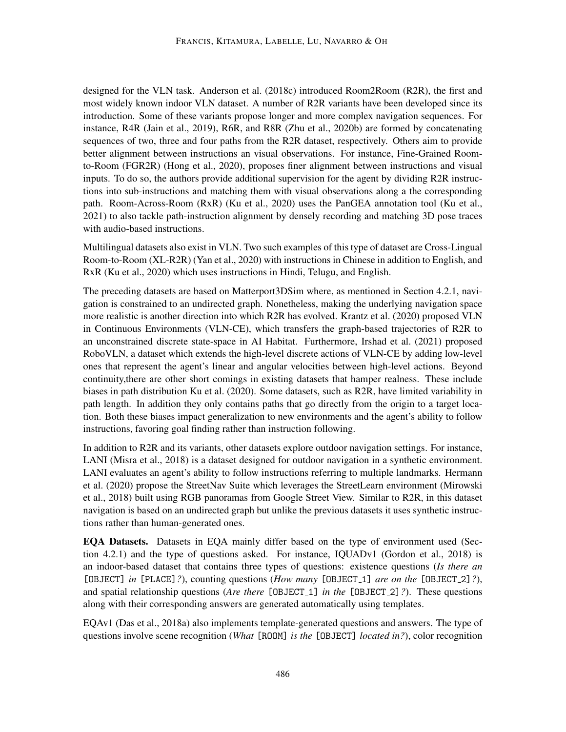designed for the VLN task. [Anderson et al.](#page-38-0) [\(2018c\)](#page-38-0) introduced Room2Room (R2R), the first and most widely known indoor VLN dataset. A number of R2R variants have been developed since its introduction. Some of these variants propose longer and more complex navigation sequences. For instance, R4R [\(Jain et al.,](#page-44-0) [2019\)](#page-44-0), R6R, and R8R [\(Zhu et al.,](#page-56-2) [2020b\)](#page-56-2) are formed by concatenating sequences of two, three and four paths from the R2R dataset, respectively. Others aim to provide better alignment between instructions an visual observations. For instance, Fine-Grained Roomto-Room (FGR2R) [\(Hong et al.,](#page-44-10) [2020\)](#page-44-10), proposes finer alignment between instructions and visual inputs. To do so, the authors provide additional supervision for the agent by dividing R2R instructions into sub-instructions and matching them with visual observations along a the corresponding path. Room-Across-Room (RxR) [\(Ku et al.,](#page-46-2) [2020\)](#page-46-2) uses the PanGEA annotation tool [\(Ku et al.,](#page-46-9) [2021\)](#page-46-9) to also tackle path-instruction alignment by densely recording and matching 3D pose traces with audio-based instructions.

Multilingual datasets also exist in VLN. Two such examples of this type of dataset are Cross-Lingual Room-to-Room (XL-R2R) [\(Yan et al.,](#page-55-9) [2020\)](#page-55-9) with instructions in Chinese in addition to English, and RxR [\(Ku et al.,](#page-46-2) [2020\)](#page-46-2) which uses instructions in Hindi, Telugu, and English.

The preceding datasets are based on Matterport3DSim where, as mentioned in Section [4.2.1,](#page-23-1) navigation is constrained to an undirected graph. Nonetheless, making the underlying navigation space more realistic is another direction into which R2R has evolved. [Krantz et al.](#page-46-0) [\(2020\)](#page-46-0) proposed VLN in Continuous Environments (VLN-CE), which transfers the graph-based trajectories of R2R to an unconstrained discrete state-space in AI Habitat. Furthermore, [Irshad et al.](#page-44-1) [\(2021\)](#page-44-1) proposed RoboVLN, a dataset which extends the high-level discrete actions of VLN-CE by adding low-level ones that represent the agent's linear and angular velocities between high-level actions. Beyond continuity,there are other short comings in existing datasets that hamper realness. These include biases in path distribution [Ku et al.](#page-46-2) [\(2020\)](#page-46-2). Some datasets, such as R2R, have limited variability in path length. In addition they only contains paths that go directly from the origin to a target location. Both these biases impact generalization to new environments and the agent's ability to follow instructions, favoring goal finding rather than instruction following.

In addition to R2R and its variants, other datasets explore outdoor navigation settings. For instance, LANI [\(Misra et al.,](#page-48-2) [2018\)](#page-48-2) is a dataset designed for outdoor navigation in a synthetic environment. LANI evaluates an agent's ability to follow instructions referring to multiple landmarks. [Hermann](#page-43-1) [et al.](#page-43-1) [\(2020\)](#page-43-1) propose the StreetNav Suite which leverages the StreetLearn environment [\(Mirowski](#page-48-8) [et al.,](#page-48-8) [2018\)](#page-48-8) built using RGB panoramas from Google Street View. Similar to R2R, in this dataset navigation is based on an undirected graph but unlike the previous datasets it uses synthetic instructions rather than human-generated ones.

EQA Datasets. Datasets in EQA mainly differ based on the type of environment used (Section [4.2.1\)](#page-23-1) and the type of questions asked. For instance, IQUADv1 [\(Gordon et al.,](#page-43-0) [2018\)](#page-43-0) is an indoor-based dataset that contains three types of questions: existence questions (*Is there an* [OBJECT] *in* [PLACE] ?), counting questions (*How many* [OBJECT<sub>-1</sub>] *are on the* [OBJECT<sub>-2</sub>] ?), and spatial relationship questions (*Are there* [OBJECT<sub>-1</sub>] *in the* [OBJECT<sub>-2</sub>] *?*). These questions along with their corresponding answers are generated automatically using templates.

EQAv1 [\(Das et al.,](#page-41-0) [2018a\)](#page-41-0) also implements template-generated questions and answers. The type of questions involve scene recognition (*What* [ROOM] *is the* [OBJECT] *located in?*), color recognition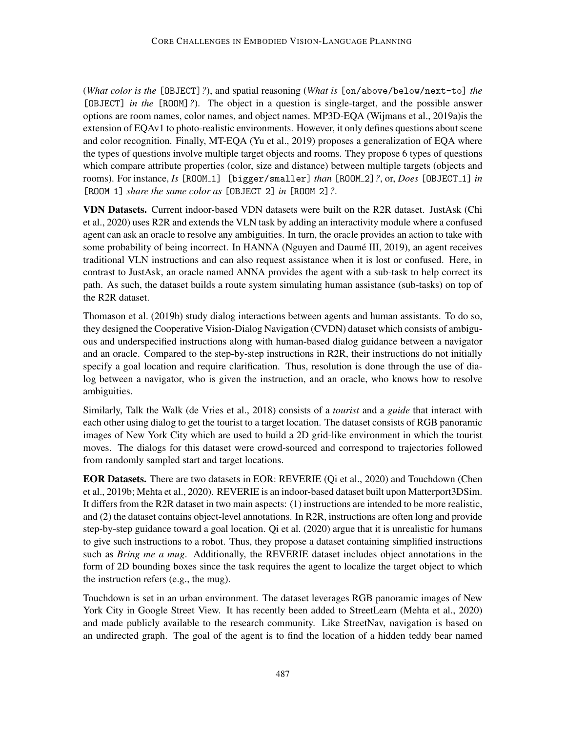(*What color is the* [OBJECT]*?*), and spatial reasoning (*What is* [on/above/below/next-to] *the* [OBJECT] *in the* [ROOM]*?*). The object in a question is single-target, and the possible answer options are room names, color names, and object names. MP3D-EQA [\(Wijmans et al.,](#page-54-1) [2019a\)](#page-54-1)is the extension of EQAv1 to photo-realistic environments. However, it only defines questions about scene and color recognition. Finally, MT-EQA [\(Yu et al.,](#page-55-3) [2019\)](#page-55-3) proposes a generalization of EQA where the types of questions involve multiple target objects and rooms. They propose 6 types of questions which compare attribute properties (color, size and distance) between multiple targets (objects and rooms). For instance, *Is* [ROOM 1] [bigger/smaller] *than* [ROOM 2]*?*, or, *Does* [OBJECT 1] *in* [ROOM 1] *share the same color as* [OBJECT 2] *in* [ROOM 2]*?*.

VDN Datasets. Current indoor-based VDN datasets were built on the R2R dataset. JustAsk [\(Chi](#page-40-1) [et al.,](#page-40-1) [2020\)](#page-40-1) uses R2R and extends the VLN task by adding an interactivity module where a confused agent can ask an oracle to resolve any ambiguities. In turn, the oracle provides an action to take with some probability of being incorrect. In HANNA (Nguyen and Daumé III, [2019\)](#page-49-0), an agent receives traditional VLN instructions and can also request assistance when it is lost or confused. Here, in contrast to JustAsk, an oracle named ANNA provides the agent with a sub-task to help correct its path. As such, the dataset builds a route system simulating human assistance (sub-tasks) on top of the R2R dataset.

[Thomason et al.](#page-53-0) [\(2019b\)](#page-53-0) study dialog interactions between agents and human assistants. To do so, they designed the Cooperative Vision-Dialog Navigation (CVDN) dataset which consists of ambiguous and underspecified instructions along with human-based dialog guidance between a navigator and an oracle. Compared to the step-by-step instructions in R2R, their instructions do not initially specify a goal location and require clarification. Thus, resolution is done through the use of dialog between a navigator, who is given the instruction, and an oracle, who knows how to resolve ambiguities.

Similarly, Talk the Walk [\(de Vries et al.,](#page-41-1) [2018\)](#page-41-1) consists of a *tourist* and a *guide* that interact with each other using dialog to get the tourist to a target location. The dataset consists of RGB panoramic images of New York City which are used to build a 2D grid-like environment in which the tourist moves. The dialogs for this dataset were crowd-sourced and correspond to trajectories followed from randomly sampled start and target locations.

EOR Datasets. There are two datasets in EOR: REVERIE [\(Qi et al.,](#page-50-0) [2020\)](#page-50-0) and Touchdown [\(Chen](#page-40-0) [et al.,](#page-40-0) [2019b;](#page-40-0) [Mehta et al.,](#page-48-3) [2020\)](#page-48-3). REVERIE is an indoor-based dataset built upon Matterport3DSim. It differs from the R2R dataset in two main aspects: (1) instructions are intended to be more realistic, and (2) the dataset contains object-level annotations. In R2R, instructions are often long and provide step-by-step guidance toward a goal location. [Qi et al.](#page-50-0) [\(2020\)](#page-50-0) argue that it is unrealistic for humans to give such instructions to a robot. Thus, they propose a dataset containing simplified instructions such as *Bring me a mug*. Additionally, the REVERIE dataset includes object annotations in the form of 2D bounding boxes since the task requires the agent to localize the target object to which the instruction refers (e.g., the mug).

Touchdown is set in an urban environment. The dataset leverages RGB panoramic images of New York City in Google Street View. It has recently been added to StreetLearn [\(Mehta et al.,](#page-48-3) [2020\)](#page-48-3) and made publicly available to the research community. Like StreetNav, navigation is based on an undirected graph. The goal of the agent is to find the location of a hidden teddy bear named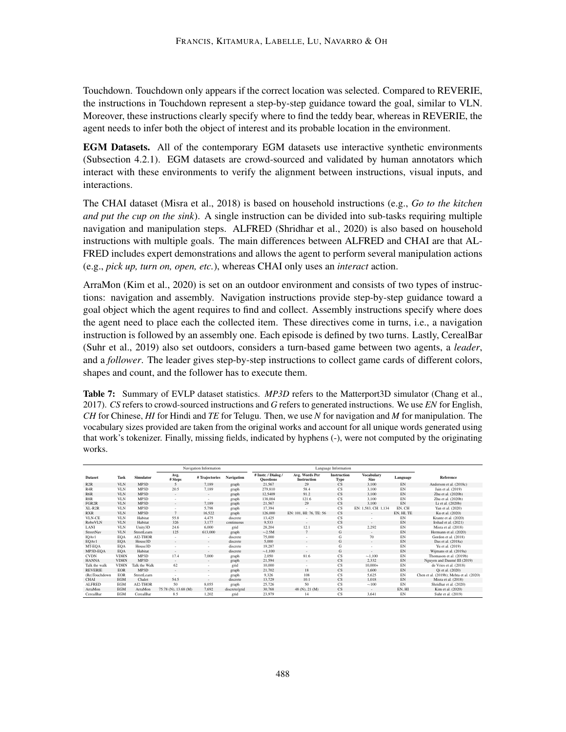Touchdown. Touchdown only appears if the correct location was selected. Compared to REVERIE, the instructions in Touchdown represent a step-by-step guidance toward the goal, similar to VLN. Moreover, these instructions clearly specify where to find the teddy bear, whereas in REVERIE, the agent needs to infer both the object of interest and its probable location in the environment.

EGM Datasets. All of the contemporary EGM datasets use interactive synthetic environments (Subsection [4.2.1\)](#page-23-1). EGM datasets are crowd-sourced and validated by human annotators which interact with these environments to verify the alignment between instructions, visual inputs, and interactions.

The CHAI dataset [\(Misra et al.,](#page-48-2) [2018\)](#page-48-2) is based on household instructions (e.g., *Go to the kitchen and put the cup on the sink*). A single instruction can be divided into sub-tasks requiring multiple navigation and manipulation steps. ALFRED [\(Shridhar et al.,](#page-51-0) [2020\)](#page-51-0) is also based on household instructions with multiple goals. The main differences between ALFRED and CHAI are that AL-FRED includes expert demonstrations and allows the agent to perform several manipulation actions (e.g., *pick up, turn on, open, etc.*), whereas CHAI only uses an *interact* action.

ArraMon [\(Kim et al.,](#page-45-0) [2020\)](#page-45-0) is set on an outdoor environment and consists of two types of instructions: navigation and assembly. Navigation instructions provide step-by-step guidance toward a goal object which the agent requires to find and collect. Assembly instructions specify where does the agent need to place each the collected item. These directives come in turns, i.e., a navigation instruction is followed by an assembly one. Each episode is defined by two turns. Lastly, CerealBar [\(Suhr et al.,](#page-51-1) [2019\)](#page-51-1) also set outdoors, considers a turn-based game between two agents, a *leader*, and a *follower*. The leader gives step-by-step instructions to collect game cards of different colors, shapes and count, and the follower has to execute them.

<span id="page-29-0"></span>Table 7: Summary of EVLP dataset statistics. *MP3D* refers to the Matterport3D simulator [\(Chang et al.,](#page-40-5) [2017\)](#page-40-5). *CS* refers to crowd-sourced instructions and *G* refers to generated instructions. We use *EN* for English, *CH* for Chinese, *HI* for Hindi and *TE* for Telugu. Then, we use *N* for navigation and *M* for manipulation. The vocabulary sizes provided are taken from the original works and account for all unique words generated using that work's tokenizer. Finally, missing fields, indicated by hyphens (-), were not computed by the originating works.

|                |             |                   |                      | Navigation Information   |               | Language Information                    |                                      |                            |                                  |            |                                          |
|----------------|-------------|-------------------|----------------------|--------------------------|---------------|-----------------------------------------|--------------------------------------|----------------------------|----------------------------------|------------|------------------------------------------|
| <b>Dataset</b> | Task        | <b>Simulator</b>  | Avg.<br># Steps      | #Trajectories            | Navigation    | # Instr. / Dialog /<br><b>Ouestions</b> | Avg. Words Per<br><b>Instruction</b> | <b>Instruction</b><br>Type | <b>Vocabulary</b><br><b>Size</b> | Language   | Reference                                |
| R2R            | <b>VLN</b>  | MP <sub>3</sub> D | 5                    | 7,189                    | graph         | 21,567                                  | 29                                   | $\overline{\text{CS}}$     | 3,100                            | EN         | Anderson et al. (2018c)                  |
| R4R            | <b>VLN</b>  | MP3D              | 20.5                 | 7,189                    | graph         | 279.810                                 | 58.4                                 | $\mathbf{CS}$              | 3,100                            | EN         | Jain et al. (2019)                       |
| R6R            | <b>VLN</b>  | MP <sub>3</sub> D | $\sim$               | $\sim$                   | graph         | 12.5409                                 | 91.2                                 | CS                         | 3.100                            | EN         | Zhu et al. (2020b)                       |
| R8R            | <b>VLN</b>  | MP3D              | $\sim$               | $\sim$                   | graph         | 138,004                                 | 121.6                                | $\mathbf{CS}$              | 3,100                            | EN         | Zhu et al. (2020b)                       |
| FGR2R          | <b>VLN</b>  | MP3D              |                      | 7,189                    | graph         | 21,567                                  | 29                                   | CS                         | 3.100                            | EN         | Li et al. (2020b)                        |
| $XL-R2R$       | <b>VLN</b>  | MP <sub>3</sub> D |                      | 5,798                    | graph         | 17,394                                  |                                      | $\mathbf{CS}$              | EN: 1,583, CH: 1,134             | EN. CH     | Yan et al. (2020)                        |
| <b>RXR</b>     | <b>VLN</b>  | MP3D              | $\overline{7}$       | 16.522                   | graph         | 126,000                                 | EN: 101, HI: 76, TE: 56              | CS                         | ٠                                | EN, HI, TE | Ku et al. (2020)                         |
| <b>VLN-CE</b>  | <b>VLN</b>  | Habitat           | 55.8                 | 4,475                    | discrete      | 13,425                                  |                                      | $\mathbf{CS}$              | ۰.                               | EN         | Krantz et al. (2020)                     |
| RoboVLN        | <b>VLN</b>  | Habitat           | 326                  | 3.177                    | continuous    | 9.533                                   | $\sim$                               | CS                         | $\sim$                           | EN         | Irshad et al. (2021)                     |
| LANI           | <b>VLN</b>  | Unity3D           | 24.6                 | 6,000                    | grid          | 28,204                                  | 12.1                                 | $\mathbf{CS}$              | 2,292                            | EN         | Misra et al. (2018)                      |
| StreetNav      | <b>VLN</b>  | StreetLearn       | 125                  | 613,000                  | graph         | $\sim$ 2.5M                             | $\overline{7}$                       | G                          | $\sim$                           | EN         | Hermann et al. (2020)                    |
| IQAv1          | EQA         | AI2-THOR          | $\sim$               | ٠                        | discrete      | 75,000                                  | ٠                                    | G                          | 70                               | EN         | Gordon et al. (2018)                     |
| EQAv1          | <b>EQA</b>  | House3D           | $\sim$               | $\sim$                   | discrete      | 5,000                                   | ۰.                                   | G                          | $\sim$                           | EN         | Das et al. (2018a)                       |
| MT-EQA         | EQA         | House3D           |                      | ٠                        | discrete      | 19.287                                  |                                      | G                          | ٠                                | EN         | Yu et al. (2019)                         |
| MP3D-EQA       | EQA         | Habitat           | $\sim$               | $\sim$                   | discrete      | $\sim 1.100$                            | $\sim$                               | G                          | ٠                                | EN         | Wiimans et al. (2019a)                   |
| <b>CVDN</b>    | <b>VDHN</b> | MP3D              | 17.4                 | 7,000                    | graph         | 2,050                                   | 81.6                                 | $\mathbf{CS}$              | ~1.100                           | EN         | Thomason et al. (2019b)                  |
| <b>HANNA</b>   | <b>VDHN</b> | MP3D              | $\sim$               | $\sim$                   | graph         | 21,594                                  | $\sim$                               | CS                         | 2.332                            | EN         | Nguyen and Daumé III (2019)              |
| Talk the walk  | <b>VDHN</b> | Talk the Walk     | 62                   | ٠                        | grid          | 10,000                                  | ÷.                                   | $\mathbf{CS}$              | $10,000+$                        | EN         | de Vries et al. (2018)                   |
| <b>REVERIE</b> | <b>EOR</b>  | MP <sub>3</sub> D | $\sim$               | $\overline{\phantom{a}}$ | graph         | 21,702                                  | 18                                   | CS                         | 1.600                            | EN         | Qi et al. (2020)                         |
| (Re)Touchdown  | EOR         | StreetLearn       | a.                   | $\overline{\phantom{a}}$ | graph         | 9,326                                   | 108                                  | $\mathbf{CS}$              | 5,625                            | EN         | Chen et al. (2019b); Mehta et al. (2020) |
| <b>CHAI</b>    | <b>EGM</b>  | Chalet            | 54.5                 | $\sim$                   | discrete      | 13.729                                  | 10.1                                 | CS                         | 1.018                            | EN         | Misra et al. (2018)                      |
| <b>ALFRED</b>  | <b>EGM</b>  | AI2-THOR          | 50                   | 8,055                    | graph         | 25,726                                  | 50                                   | $\mathbf{CS}$              | $\sim$ 100                       | EN         | Shridhar et al. (2020)                   |
| ArraMon        | <b>EGM</b>  | ArraMon           | 75.78 (N), 13.68 (M) | 7.692                    | discrete/grid | 30,768                                  | 48 (N), 21 (M)                       | $\mathbf{C}\mathbf{S}$     | $\sim$                           | EN, HI     | Kim et al. (2020)                        |
| CerealBar      | <b>EGM</b>  | CerealBar         | 8.5                  | 1.202                    | grid          | 23,979                                  | 14                                   | $\mathbf{CS}$              | 3,641                            | EN         | Suhr et al. (2019)                       |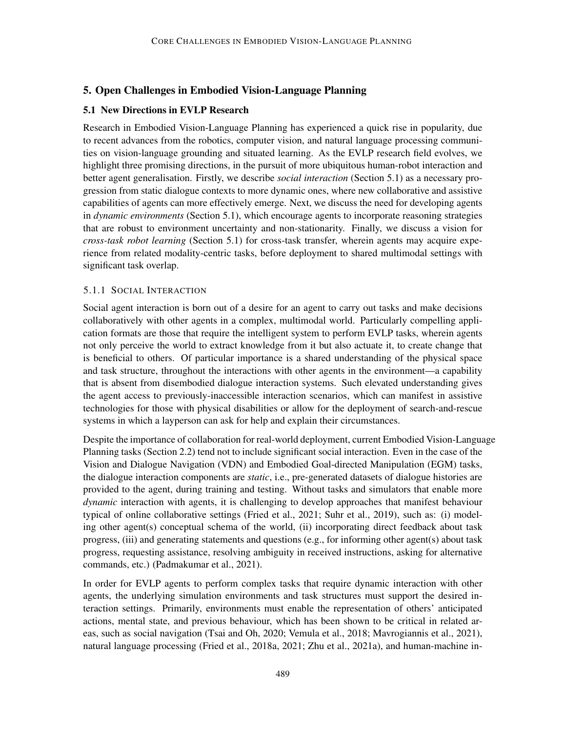## <span id="page-30-0"></span>5. Open Challenges in Embodied Vision-Language Planning

## <span id="page-30-1"></span>5.1 New Directions in EVLP Research

Research in Embodied Vision-Language Planning has experienced a quick rise in popularity, due to recent advances from the robotics, computer vision, and natural language processing communities on vision-language grounding and situated learning. As the EVLP research field evolves, we highlight three promising directions, in the pursuit of more ubiquitous human-robot interaction and better agent generalisation. Firstly, we describe *social interaction* (Section [5.1\)](#page-30-2) as a necessary progression from static dialogue contexts to more dynamic ones, where new collaborative and assistive capabilities of agents can more effectively emerge. Next, we discuss the need for developing agents in *dynamic environments* (Section [5.1\)](#page-30-2), which encourage agents to incorporate reasoning strategies that are robust to environment uncertainty and non-stationarity. Finally, we discuss a vision for *cross-task robot learning* (Section [5.1\)](#page-31-0) for cross-task transfer, wherein agents may acquire experience from related modality-centric tasks, before deployment to shared multimodal settings with significant task overlap.

## <span id="page-30-2"></span>5.1.1 SOCIAL INTERACTION

Social agent interaction is born out of a desire for an agent to carry out tasks and make decisions collaboratively with other agents in a complex, multimodal world. Particularly compelling application formats are those that require the intelligent system to perform EVLP tasks, wherein agents not only perceive the world to extract knowledge from it but also actuate it, to create change that is beneficial to others. Of particular importance is a shared understanding of the physical space and task structure, throughout the interactions with other agents in the environment—a capability that is absent from disembodied dialogue interaction systems. Such elevated understanding gives the agent access to previously-inaccessible interaction scenarios, which can manifest in assistive technologies for those with physical disabilities or allow for the deployment of search-and-rescue systems in which a layperson can ask for help and explain their circumstances.

Despite the importance of collaboration for real-world deployment, current Embodied Vision-Language Planning tasks (Section [2.2\)](#page-4-1) tend not to include significant social interaction. Even in the case of the Vision and Dialogue Navigation (VDN) and Embodied Goal-directed Manipulation (EGM) tasks, the dialogue interaction components are *static*, i.e., pre-generated datasets of dialogue histories are provided to the agent, during training and testing. Without tasks and simulators that enable more *dynamic* interaction with agents, it is challenging to develop approaches that manifest behaviour typical of online collaborative settings [\(Fried et al.,](#page-42-8) [2021;](#page-42-8) [Suhr et al.,](#page-51-1) [2019\)](#page-51-1), such as: (i) modeling other agent(s) conceptual schema of the world, (ii) incorporating direct feedback about task progress, (iii) and generating statements and questions (e.g., for informing other agent(s) about task progress, requesting assistance, resolving ambiguity in received instructions, asking for alternative commands, etc.) [\(Padmakumar et al.,](#page-49-3) [2021\)](#page-49-3).

In order for EVLP agents to perform complex tasks that require dynamic interaction with other agents, the underlying simulation environments and task structures must support the desired interaction settings. Primarily, environments must enable the representation of others' anticipated actions, mental state, and previous behaviour, which has been shown to be critical in related areas, such as social navigation [\(Tsai and Oh,](#page-53-10) [2020;](#page-53-10) [Vemula et al.,](#page-53-11) [2018;](#page-53-11) [Mavrogiannis et al.,](#page-48-9) [2021\)](#page-48-9), natural language processing [\(Fried et al.,](#page-42-9) [2018a,](#page-42-9) [2021;](#page-42-8) [Zhu et al.,](#page-56-6) [2021a\)](#page-56-6), and human-machine in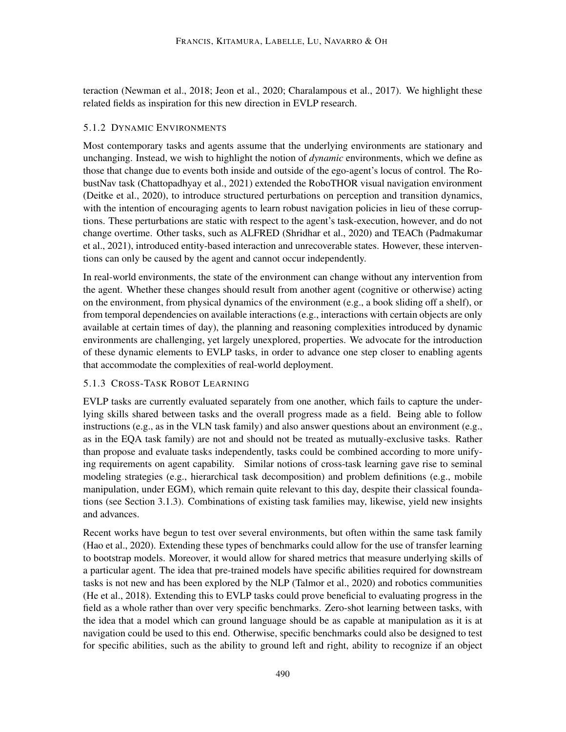teraction [\(Newman et al.,](#page-48-10) [2018;](#page-48-10) [Jeon et al.,](#page-45-11) [2020;](#page-45-11) [Charalampous et al.,](#page-40-6) [2017\)](#page-40-6). We highlight these related fields as inspiration for this new direction in EVLP research.

## 5.1.2 DYNAMIC ENVIRONMENTS

Most contemporary tasks and agents assume that the underlying environments are stationary and unchanging. Instead, we wish to highlight the notion of *dynamic* environments, which we define as those that change due to events both inside and outside of the ego-agent's locus of control. The RobustNav task [\(Chattopadhyay et al.,](#page-40-7) [2021\)](#page-40-7) extended the RoboTHOR visual navigation environment [\(Deitke et al.,](#page-41-9) [2020\)](#page-41-9), to introduce structured perturbations on perception and transition dynamics, with the intention of encouraging agents to learn robust navigation policies in lieu of these corruptions. These perturbations are static with respect to the agent's task-execution, however, and do not change overtime. Other tasks, such as ALFRED [\(Shridhar et al.,](#page-51-0) [2020\)](#page-51-0) and TEACh [\(Padmakumar](#page-49-3) [et al.,](#page-49-3) [2021\)](#page-49-3), introduced entity-based interaction and unrecoverable states. However, these interventions can only be caused by the agent and cannot occur independently.

In real-world environments, the state of the environment can change without any intervention from the agent. Whether these changes should result from another agent (cognitive or otherwise) acting on the environment, from physical dynamics of the environment (e.g., a book sliding off a shelf), or from temporal dependencies on available interactions (e.g., interactions with certain objects are only available at certain times of day), the planning and reasoning complexities introduced by dynamic environments are challenging, yet largely unexplored, properties. We advocate for the introduction of these dynamic elements to EVLP tasks, in order to advance one step closer to enabling agents that accommodate the complexities of real-world deployment.

## <span id="page-31-0"></span>5.1.3 CROSS-TASK ROBOT LEARNING

EVLP tasks are currently evaluated separately from one another, which fails to capture the underlying skills shared between tasks and the overall progress made as a field. Being able to follow instructions (e.g., as in the VLN task family) and also answer questions about an environment (e.g., as in the EQA task family) are not and should not be treated as mutually-exclusive tasks. Rather than propose and evaluate tasks independently, tasks could be combined according to more unifying requirements on agent capability. Similar notions of cross-task learning gave rise to seminal modeling strategies (e.g., hierarchical task decomposition) and problem definitions (e.g., mobile manipulation, under EGM), which remain quite relevant to this day, despite their classical foundations (see Section [3.1.3\)](#page-10-0). Combinations of existing task families may, likewise, yield new insights and advances.

Recent works have begun to test over several environments, but often within the same task family [\(Hao et al.,](#page-43-4) [2020\)](#page-43-4). Extending these types of benchmarks could allow for the use of transfer learning to bootstrap models. Moreover, it would allow for shared metrics that measure underlying skills of a particular agent. The idea that pre-trained models have specific abilities required for downstream tasks is not new and has been explored by the NLP [\(Talmor et al.,](#page-52-9) [2020\)](#page-52-9) and robotics communities [\(He et al.,](#page-43-10) [2018\)](#page-43-10). Extending this to EVLP tasks could prove beneficial to evaluating progress in the field as a whole rather than over very specific benchmarks. Zero-shot learning between tasks, with the idea that a model which can ground language should be as capable at manipulation as it is at navigation could be used to this end. Otherwise, specific benchmarks could also be designed to test for specific abilities, such as the ability to ground left and right, ability to recognize if an object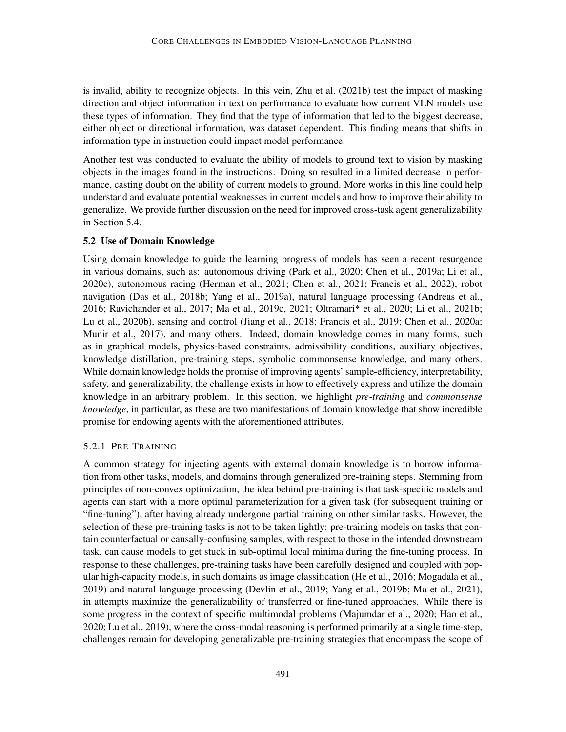is invalid, ability to recognize objects. In this vein, [Zhu et al.](#page-56-0) [\(2021b\)](#page-56-0) test the impact of masking direction and object information in text on performance to evaluate how current VLN models use these types of information. They find that the type of information that led to the biggest decrease, either object or directional information, was dataset dependent. This finding means that shifts in information type in instruction could impact model performance.

Another test was conducted to evaluate the ability of models to ground text to vision by masking objects in the images found in the instructions. Doing so resulted in a limited decrease in performance, casting doubt on the ability of current models to ground. More works in this line could help understand and evaluate potential weaknesses in current models and how to improve their ability to generalize. We provide further discussion on the need for improved cross-task agent generalizability in Section [5.4.](#page-34-0)

#### 5.2 Use of Domain Knowledge

Using domain knowledge to guide the learning progress of models has seen a recent resurgence in various domains, such as: autonomous driving [\(Park et al.,](#page-49-10) [2020;](#page-49-10) [Chen et al.,](#page-40-8) [2019a;](#page-40-8) [Li et al.,](#page-46-10) [2020c\)](#page-46-10), autonomous racing [\(Herman et al.,](#page-43-7) [2021;](#page-43-7) [Chen et al.,](#page-40-9) [2021;](#page-40-9) [Francis et al.,](#page-42-10) [2022\)](#page-42-10), robot navigation [\(Das et al.,](#page-41-7) [2018b;](#page-41-7) [Yang et al.,](#page-55-10) [2019a\)](#page-55-10), natural language processing [\(Andreas et al.,](#page-38-10) [2016;](#page-38-10) [Ravichander et al.,](#page-50-9) [2017;](#page-50-9) [Ma et al.,](#page-47-7) [2019c,](#page-47-7) [2021;](#page-47-8) [Oltramari\\* et al.,](#page-49-11) [2020;](#page-49-11) [Li et al.,](#page-46-11) [2021b;](#page-46-11) [Lu et al.,](#page-47-9) [2020b\)](#page-47-9), sensing and control [\(Jiang et al.,](#page-45-12) [2018;](#page-45-12) [Francis et al.,](#page-42-11) [2019;](#page-42-11) [Chen et al.,](#page-40-10) [2020a;](#page-40-10) [Munir et al.,](#page-48-11) [2017\)](#page-48-11), and many others. Indeed, domain knowledge comes in many forms, such as in graphical models, physics-based constraints, admissibility conditions, auxiliary objectives, knowledge distillation, pre-training steps, symbolic commonsense knowledge, and many others. While domain knowledge holds the promise of improving agents' sample-efficiency, interpretability, safety, and generalizability, the challenge exists in how to effectively express and utilize the domain knowledge in an arbitrary problem. In this section, we highlight *pre-training* and *commonsense knowledge*, in particular, as these are two manifestations of domain knowledge that show incredible promise for endowing agents with the aforementioned attributes.

#### 5.2.1 PRE-TRAINING

A common strategy for injecting agents with external domain knowledge is to borrow information from other tasks, models, and domains through generalized pre-training steps. Stemming from principles of non-convex optimization, the idea behind pre-training is that task-specific models and agents can start with a more optimal parameterization for a given task (for subsequent training or "fine-tuning"), after having already undergone partial training on other similar tasks. However, the selection of these pre-training tasks is not to be taken lightly: pre-training models on tasks that contain counterfactual or causally-confusing samples, with respect to those in the intended downstream task, can cause models to get stuck in sub-optimal local minima during the fine-tuning process. In response to these challenges, pre-training tasks have been carefully designed and coupled with popular high-capacity models, in such domains as image classification [\(He et al.,](#page-43-2) [2016;](#page-43-2) [Mogadala et al.,](#page-48-1) [2019\)](#page-48-1) and natural language processing [\(Devlin et al.,](#page-41-2) [2019;](#page-41-2) [Yang et al.,](#page-55-11) [2019b;](#page-55-11) [Ma et al.,](#page-47-8) [2021\)](#page-47-8), in attempts maximize the generalizability of transferred or fine-tuned approaches. While there is some progress in the context of specific multimodal problems [\(Majumdar et al.,](#page-48-0) [2020;](#page-48-0) [Hao et al.,](#page-43-4) [2020;](#page-43-4) [Lu et al.,](#page-47-2) [2019\)](#page-47-2), where the cross-modal reasoning is performed primarily at a single time-step, challenges remain for developing generalizable pre-training strategies that encompass the scope of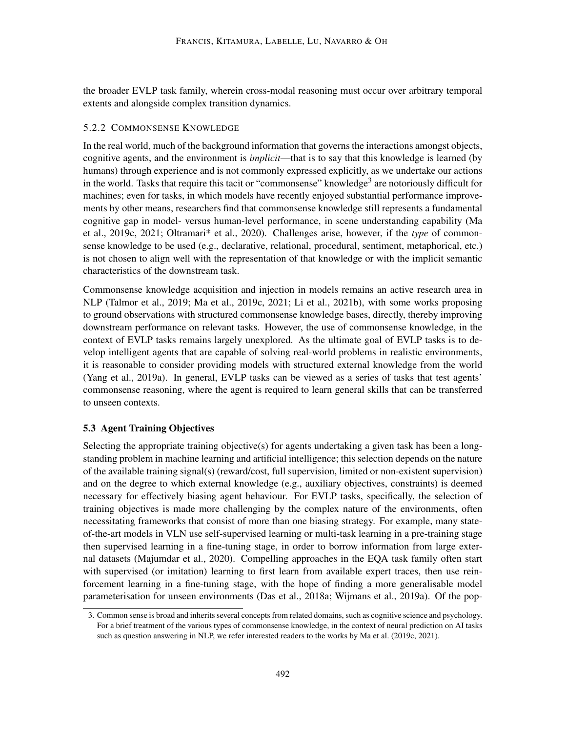the broader EVLP task family, wherein cross-modal reasoning must occur over arbitrary temporal extents and alongside complex transition dynamics.

### 5.2.2 COMMONSENSE KNOWLEDGE

In the real world, much of the background information that governs the interactions amongst objects, cognitive agents, and the environment is *implicit*—that is to say that this knowledge is learned (by humans) through experience and is not commonly expressed explicitly, as we undertake our actions in the world. Tasks that require this tacit or "commonsense" knowledge<sup>[3](#page-33-0)</sup> are notoriously difficult for machines; even for tasks, in which models have recently enjoyed substantial performance improvements by other means, researchers find that commonsense knowledge still represents a fundamental cognitive gap in model- versus human-level performance, in scene understanding capability [\(Ma](#page-47-7) [et al.,](#page-47-7) [2019c,](#page-47-7) [2021;](#page-47-8) [Oltramari\\* et al.,](#page-49-11) [2020\)](#page-49-11). Challenges arise, however, if the *type* of commonsense knowledge to be used (e.g., declarative, relational, procedural, sentiment, metaphorical, etc.) is not chosen to align well with the representation of that knowledge or with the implicit semantic characteristics of the downstream task.

Commonsense knowledge acquisition and injection in models remains an active research area in NLP [\(Talmor et al.,](#page-52-10) [2019;](#page-52-10) [Ma et al.,](#page-47-7) [2019c,](#page-47-7) [2021;](#page-47-8) [Li et al.,](#page-46-11) [2021b\)](#page-46-11), with some works proposing to ground observations with structured commonsense knowledge bases, directly, thereby improving downstream performance on relevant tasks. However, the use of commonsense knowledge, in the context of EVLP tasks remains largely unexplored. As the ultimate goal of EVLP tasks is to develop intelligent agents that are capable of solving real-world problems in realistic environments, it is reasonable to consider providing models with structured external knowledge from the world [\(Yang et al.,](#page-55-10) [2019a\)](#page-55-10). In general, EVLP tasks can be viewed as a series of tasks that test agents' commonsense reasoning, where the agent is required to learn general skills that can be transferred to unseen contexts.

## <span id="page-33-1"></span>5.3 Agent Training Objectives

Selecting the appropriate training objective(s) for agents undertaking a given task has been a longstanding problem in machine learning and artificial intelligence; this selection depends on the nature of the available training signal(s) (reward/cost, full supervision, limited or non-existent supervision) and on the degree to which external knowledge (e.g., auxiliary objectives, constraints) is deemed necessary for effectively biasing agent behaviour. For EVLP tasks, specifically, the selection of training objectives is made more challenging by the complex nature of the environments, often necessitating frameworks that consist of more than one biasing strategy. For example, many stateof-the-art models in VLN use self-supervised learning or multi-task learning in a pre-training stage then supervised learning in a fine-tuning stage, in order to borrow information from large external datasets [\(Majumdar et al.,](#page-48-0) [2020\)](#page-48-0). Compelling approaches in the EQA task family often start with supervised (or imitation) learning to first learn from available expert traces, then use reinforcement learning in a fine-tuning stage, with the hope of finding a more generalisable model parameterisation for unseen environments [\(Das et al.,](#page-41-0) [2018a;](#page-41-0) [Wijmans et al.,](#page-54-1) [2019a\)](#page-54-1). Of the pop-

<span id="page-33-0"></span><sup>3.</sup> Common sense is broad and inherits several concepts from related domains, such as cognitive science and psychology. For a brief treatment of the various types of commonsense knowledge, in the context of neural prediction on AI tasks such as question answering in NLP, we refer interested readers to the works by [Ma et al.](#page-47-7) [\(2019c,](#page-47-7) [2021\)](#page-47-8).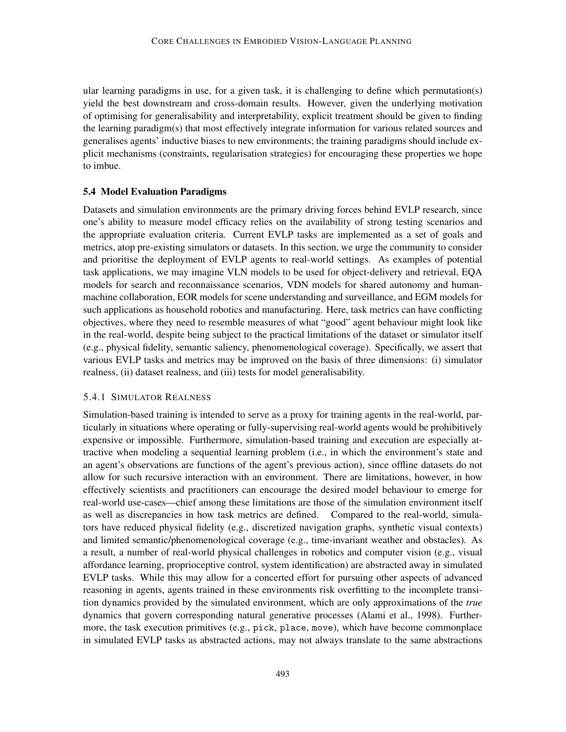ular learning paradigms in use, for a given task, it is challenging to define which permutation(s) yield the best downstream and cross-domain results. However, given the underlying motivation of optimising for generalisability and interpretability, explicit treatment should be given to finding the learning paradigm(s) that most effectively integrate information for various related sources and generalises agents' inductive biases to new environments; the training paradigms should include explicit mechanisms (constraints, regularisation strategies) for encouraging these properties we hope to imbue.

### <span id="page-34-0"></span>5.4 Model Evaluation Paradigms

Datasets and simulation environments are the primary driving forces behind EVLP research, since one's ability to measure model efficacy relies on the availability of strong testing scenarios and the appropriate evaluation criteria. Current EVLP tasks are implemented as a set of goals and metrics, atop pre-existing simulators or datasets. In this section, we urge the community to consider and prioritise the deployment of EVLP agents to real-world settings. As examples of potential task applications, we may imagine VLN models to be used for object-delivery and retrieval, EQA models for search and reconnaissance scenarios, VDN models for shared autonomy and humanmachine collaboration, EOR models for scene understanding and surveillance, and EGM models for such applications as household robotics and manufacturing. Here, task metrics can have conflicting objectives, where they need to resemble measures of what "good" agent behaviour might look like in the real-world, despite being subject to the practical limitations of the dataset or simulator itself (e.g., physical fidelity, semantic saliency, phenomenological coverage). Specifically, we assert that various EVLP tasks and metrics may be improved on the basis of three dimensions: (i) simulator realness, (ii) dataset realness, and (iii) tests for model generalisability.

### 5.4.1 SIMULATOR REALNESS

Simulation-based training is intended to serve as a proxy for training agents in the real-world, particularly in situations where operating or fully-supervising real-world agents would be prohibitively expensive or impossible. Furthermore, simulation-based training and execution are especially attractive when modeling a sequential learning problem (i.e., in which the environment's state and an agent's observations are functions of the agent's previous action), since offline datasets do not allow for such recursive interaction with an environment. There are limitations, however, in how effectively scientists and practitioners can encourage the desired model behaviour to emerge for real-world use-cases—chief among these limitations are those of the simulation environment itself as well as discrepancies in how task metrics are defined. Compared to the real-world, simulators have reduced physical fidelity (e.g., discretized navigation graphs, synthetic visual contexts) and limited semantic/phenomenological coverage (e.g., time-invariant weather and obstacles). As a result, a number of real-world physical challenges in robotics and computer vision (e.g., visual affordance learning, proprioceptive control, system identification) are abstracted away in simulated EVLP tasks. While this may allow for a concerted effort for pursuing other aspects of advanced reasoning in agents, agents trained in these environments risk overfitting to the incomplete transition dynamics provided by the simulated environment, which are only approximations of the *true* dynamics that govern corresponding natural generative processes [\(Alami et al.,](#page-37-4) [1998\)](#page-37-4). Furthermore, the task execution primitives (e.g., pick, place, move), which have become commonplace in simulated EVLP tasks as abstracted actions, may not always translate to the same abstractions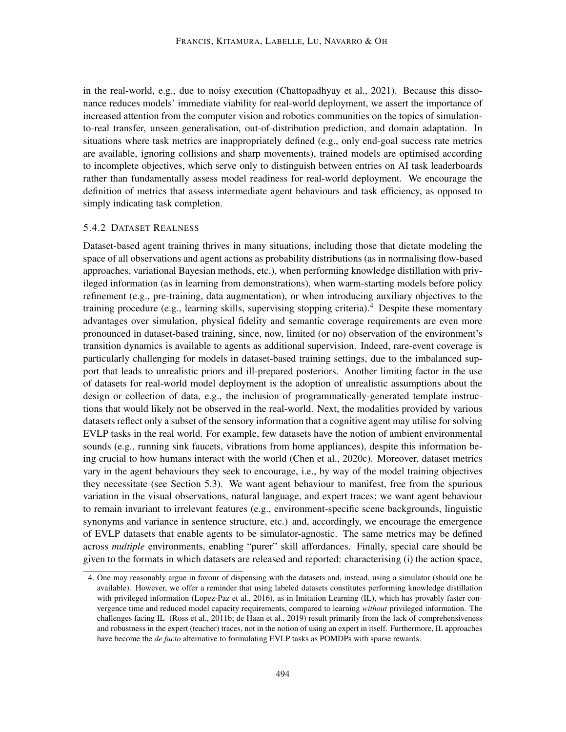in the real-world, e.g., due to noisy execution [\(Chattopadhyay et al.,](#page-40-7) [2021\)](#page-40-7). Because this dissonance reduces models' immediate viability for real-world deployment, we assert the importance of increased attention from the computer vision and robotics communities on the topics of simulationto-real transfer, unseen generalisation, out-of-distribution prediction, and domain adaptation. In situations where task metrics are inappropriately defined (e.g., only end-goal success rate metrics are available, ignoring collisions and sharp movements), trained models are optimised according to incomplete objectives, which serve only to distinguish between entries on AI task leaderboards rather than fundamentally assess model readiness for real-world deployment. We encourage the definition of metrics that assess intermediate agent behaviours and task efficiency, as opposed to simply indicating task completion.

### 5.4.2 DATASET REALNESS

Dataset-based agent training thrives in many situations, including those that dictate modeling the space of all observations and agent actions as probability distributions (as in normalising flow-based approaches, variational Bayesian methods, etc.), when performing knowledge distillation with privileged information (as in learning from demonstrations), when warm-starting models before policy refinement (e.g., pre-training, data augmentation), or when introducing auxiliary objectives to the training procedure (e.g., learning skills, supervising stopping criteria).<sup>[4](#page-35-0)</sup> Despite these momentary advantages over simulation, physical fidelity and semantic coverage requirements are even more pronounced in dataset-based training, since, now, limited (or no) observation of the environment's transition dynamics is available to agents as additional supervision. Indeed, rare-event coverage is particularly challenging for models in dataset-based training settings, due to the imbalanced support that leads to unrealistic priors and ill-prepared posteriors. Another limiting factor in the use of datasets for real-world model deployment is the adoption of unrealistic assumptions about the design or collection of data, e.g., the inclusion of programmatically-generated template instructions that would likely not be observed in the real-world. Next, the modalities provided by various datasets reflect only a subset of the sensory information that a cognitive agent may utilise for solving EVLP tasks in the real world. For example, few datasets have the notion of ambient environmental sounds (e.g., running sink faucets, vibrations from home appliances), despite this information being crucial to how humans interact with the world [\(Chen et al.,](#page-40-11) [2020c\)](#page-40-11). Moreover, dataset metrics vary in the agent behaviours they seek to encourage, i.e., by way of the model training objectives they necessitate (see Section [5.3\)](#page-33-1). We want agent behaviour to manifest, free from the spurious variation in the visual observations, natural language, and expert traces; we want agent behaviour to remain invariant to irrelevant features (e.g., environment-specific scene backgrounds, linguistic synonyms and variance in sentence structure, etc.) and, accordingly, we encourage the emergence of EVLP datasets that enable agents to be simulator-agnostic. The same metrics may be defined across *multiple* environments, enabling "purer" skill affordances. Finally, special care should be given to the formats in which datasets are released and reported: characterising (i) the action space,

<span id="page-35-0"></span><sup>4.</sup> One may reasonably argue in favour of dispensing with the datasets and, instead, using a simulator (should one be available). However, we offer a reminder that using labeled datasets constitutes performing knowledge distillation with privileged information [\(Lopez-Paz et al.,](#page-47-10) [2016\)](#page-47-10), as in Imitation Learning (IL), which has provably faster convergence time and reduced model capacity requirements, compared to learning *without* privileged information. The challenges facing IL [\(Ross et al.,](#page-50-10) [2011b;](#page-50-10) [de Haan et al.,](#page-41-10) [2019\)](#page-41-10) result primarily from the lack of comprehensiveness and robustness in the expert (teacher) traces, not in the notion of using an expert in itself. Furthermore, IL approaches have become the *de facto* alternative to formulating EVLP tasks as POMDPs with sparse rewards.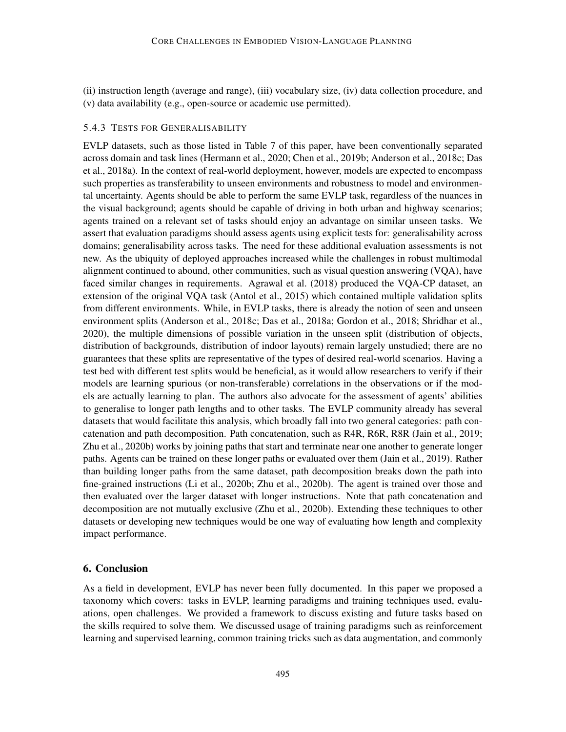(ii) instruction length (average and range), (iii) vocabulary size, (iv) data collection procedure, and (v) data availability (e.g., open-source or academic use permitted).

### 5.4.3 TESTS FOR GENERALISABILITY

EVLP datasets, such as those listed in Table [7](#page-29-0) of this paper, have been conventionally separated across domain and task lines [\(Hermann et al.,](#page-43-1) [2020;](#page-43-1) [Chen et al.,](#page-40-0) [2019b;](#page-40-0) [Anderson et al.,](#page-38-0) [2018c;](#page-38-0) [Das](#page-41-0) [et al.,](#page-41-0) [2018a\)](#page-41-0). In the context of real-world deployment, however, models are expected to encompass such properties as transferability to unseen environments and robustness to model and environmental uncertainty. Agents should be able to perform the same EVLP task, regardless of the nuances in the visual background; agents should be capable of driving in both urban and highway scenarios; agents trained on a relevant set of tasks should enjoy an advantage on similar unseen tasks. We assert that evaluation paradigms should assess agents using explicit tests for: generalisability across domains; generalisability across tasks. The need for these additional evaluation assessments is not new. As the ubiquity of deployed approaches increased while the challenges in robust multimodal alignment continued to abound, other communities, such as visual question answering (VQA), have faced similar changes in requirements. [Agrawal et al.](#page-37-5) [\(2018\)](#page-37-5) produced the VQA-CP dataset, an extension of the original VQA task [\(Antol et al.,](#page-38-6) [2015\)](#page-38-6) which contained multiple validation splits from different environments. While, in EVLP tasks, there is already the notion of seen and unseen environment splits [\(Anderson et al.,](#page-38-0) [2018c;](#page-38-0) [Das et al.,](#page-41-0) [2018a;](#page-41-0) [Gordon et al.,](#page-43-0) [2018;](#page-43-0) [Shridhar et al.,](#page-51-0) [2020\)](#page-51-0), the multiple dimensions of possible variation in the unseen split (distribution of objects, distribution of backgrounds, distribution of indoor layouts) remain largely unstudied; there are no guarantees that these splits are representative of the types of desired real-world scenarios. Having a test bed with different test splits would be beneficial, as it would allow researchers to verify if their models are learning spurious (or non-transferable) correlations in the observations or if the models are actually learning to plan. The authors also advocate for the assessment of agents' abilities to generalise to longer path lengths and to other tasks. The EVLP community already has several datasets that would facilitate this analysis, which broadly fall into two general categories: path concatenation and path decomposition. Path concatenation, such as R4R, R6R, R8R [\(Jain et al.,](#page-44-0) [2019;](#page-44-0) [Zhu et al.,](#page-56-2) [2020b\)](#page-56-2) works by joining paths that start and terminate near one another to generate longer paths. Agents can be trained on these longer paths or evaluated over them [\(Jain et al.,](#page-44-0) [2019\)](#page-44-0). Rather than building longer paths from the same dataset, path decomposition breaks down the path into fine-grained instructions [\(Li et al.,](#page-46-1) [2020b;](#page-46-1) [Zhu et al.,](#page-56-2) [2020b\)](#page-56-2). The agent is trained over those and then evaluated over the larger dataset with longer instructions. Note that path concatenation and decomposition are not mutually exclusive [\(Zhu et al.,](#page-56-2) [2020b\)](#page-56-2). Extending these techniques to other datasets or developing new techniques would be one way of evaluating how length and complexity impact performance.

## 6. Conclusion

As a field in development, EVLP has never been fully documented. In this paper we proposed a taxonomy which covers: tasks in EVLP, learning paradigms and training techniques used, evaluations, open challenges. We provided a framework to discuss existing and future tasks based on the skills required to solve them. We discussed usage of training paradigms such as reinforcement learning and supervised learning, common training tricks such as data augmentation, and commonly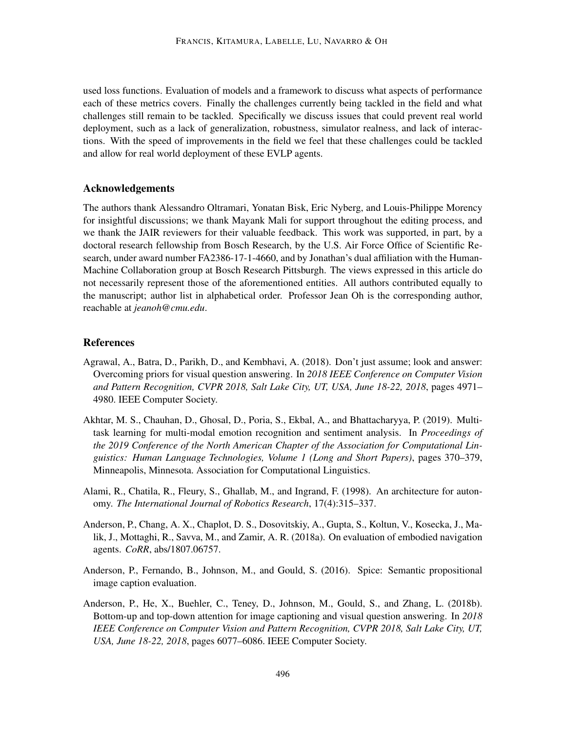used loss functions. Evaluation of models and a framework to discuss what aspects of performance each of these metrics covers. Finally the challenges currently being tackled in the field and what challenges still remain to be tackled. Specifically we discuss issues that could prevent real world deployment, such as a lack of generalization, robustness, simulator realness, and lack of interactions. With the speed of improvements in the field we feel that these challenges could be tackled and allow for real world deployment of these EVLP agents.

## Acknowledgements

The authors thank Alessandro Oltramari, Yonatan Bisk, Eric Nyberg, and Louis-Philippe Morency for insightful discussions; we thank Mayank Mali for support throughout the editing process, and we thank the JAIR reviewers for their valuable feedback. This work was supported, in part, by a doctoral research fellowship from Bosch Research, by the U.S. Air Force Office of Scientific Research, under award number FA2386-17-1-4660, and by Jonathan's dual affiliation with the Human-Machine Collaboration group at Bosch Research Pittsburgh. The views expressed in this article do not necessarily represent those of the aforementioned entities. All authors contributed equally to the manuscript; author list in alphabetical order. Professor Jean Oh is the corresponding author, reachable at *jeanoh@cmu.edu*.

#### References

- <span id="page-37-5"></span>Agrawal, A., Batra, D., Parikh, D., and Kembhavi, A. (2018). Don't just assume; look and answer: Overcoming priors for visual question answering. In *2018 IEEE Conference on Computer Vision and Pattern Recognition, CVPR 2018, Salt Lake City, UT, USA, June 18-22, 2018*, pages 4971– 4980. IEEE Computer Society.
- <span id="page-37-1"></span>Akhtar, M. S., Chauhan, D., Ghosal, D., Poria, S., Ekbal, A., and Bhattacharyya, P. (2019). Multitask learning for multi-modal emotion recognition and sentiment analysis. In *Proceedings of the 2019 Conference of the North American Chapter of the Association for Computational Linguistics: Human Language Technologies, Volume 1 (Long and Short Papers)*, pages 370–379, Minneapolis, Minnesota. Association for Computational Linguistics.
- <span id="page-37-4"></span>Alami, R., Chatila, R., Fleury, S., Ghallab, M., and Ingrand, F. (1998). An architecture for autonomy. *The International Journal of Robotics Research*, 17(4):315–337.
- <span id="page-37-2"></span>Anderson, P., Chang, A. X., Chaplot, D. S., Dosovitskiy, A., Gupta, S., Koltun, V., Kosecka, J., Malik, J., Mottaghi, R., Savva, M., and Zamir, A. R. (2018a). On evaluation of embodied navigation agents. *CoRR*, abs/1807.06757.
- <span id="page-37-3"></span>Anderson, P., Fernando, B., Johnson, M., and Gould, S. (2016). Spice: Semantic propositional image caption evaluation.
- <span id="page-37-0"></span>Anderson, P., He, X., Buehler, C., Teney, D., Johnson, M., Gould, S., and Zhang, L. (2018b). Bottom-up and top-down attention for image captioning and visual question answering. In *2018 IEEE Conference on Computer Vision and Pattern Recognition, CVPR 2018, Salt Lake City, UT, USA, June 18-22, 2018*, pages 6077–6086. IEEE Computer Society.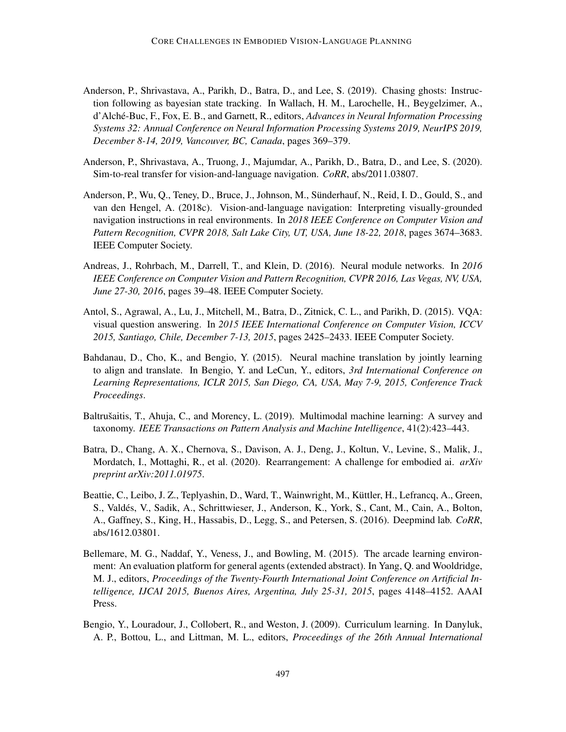- <span id="page-38-4"></span>Anderson, P., Shrivastava, A., Parikh, D., Batra, D., and Lee, S. (2019). Chasing ghosts: Instruction following as bayesian state tracking. In Wallach, H. M., Larochelle, H., Beygelzimer, A., d'Alche-Buc, F., Fox, E. B., and Garnett, R., editors, ´ *Advances in Neural Information Processing Systems 32: Annual Conference on Neural Information Processing Systems 2019, NeurIPS 2019, December 8-14, 2019, Vancouver, BC, Canada*, pages 369–379.
- <span id="page-38-9"></span>Anderson, P., Shrivastava, A., Truong, J., Majumdar, A., Parikh, D., Batra, D., and Lee, S. (2020). Sim-to-real transfer for vision-and-language navigation. *CoRR*, abs/2011.03807.
- <span id="page-38-0"></span>Anderson, P., Wu, Q., Teney, D., Bruce, J., Johnson, M., Sunderhauf, N., Reid, I. D., Gould, S., and ¨ van den Hengel, A. (2018c). Vision-and-language navigation: Interpreting visually-grounded navigation instructions in real environments. In *2018 IEEE Conference on Computer Vision and Pattern Recognition, CVPR 2018, Salt Lake City, UT, USA, June 18-22, 2018*, pages 3674–3683. IEEE Computer Society.
- <span id="page-38-10"></span>Andreas, J., Rohrbach, M., Darrell, T., and Klein, D. (2016). Neural module networks. In *2016 IEEE Conference on Computer Vision and Pattern Recognition, CVPR 2016, Las Vegas, NV, USA, June 27-30, 2016*, pages 39–48. IEEE Computer Society.
- <span id="page-38-6"></span>Antol, S., Agrawal, A., Lu, J., Mitchell, M., Batra, D., Zitnick, C. L., and Parikh, D. (2015). VQA: visual question answering. In *2015 IEEE International Conference on Computer Vision, ICCV 2015, Santiago, Chile, December 7-13, 2015*, pages 2425–2433. IEEE Computer Society.
- <span id="page-38-2"></span>Bahdanau, D., Cho, K., and Bengio, Y. (2015). Neural machine translation by jointly learning to align and translate. In Bengio, Y. and LeCun, Y., editors, *3rd International Conference on Learning Representations, ICLR 2015, San Diego, CA, USA, May 7-9, 2015, Conference Track Proceedings*.
- <span id="page-38-3"></span>Baltrušaitis, T., Ahuja, C., and Morency, L. (2019). Multimodal machine learning: A survey and taxonomy. *IEEE Transactions on Pattern Analysis and Machine Intelligence*, 41(2):423–443.
- <span id="page-38-1"></span>Batra, D., Chang, A. X., Chernova, S., Davison, A. J., Deng, J., Koltun, V., Levine, S., Malik, J., Mordatch, I., Mottaghi, R., et al. (2020). Rearrangement: A challenge for embodied ai. *arXiv preprint arXiv:2011.01975*.
- <span id="page-38-8"></span>Beattie, C., Leibo, J. Z., Teplyashin, D., Ward, T., Wainwright, M., Kuttler, H., Lefrancq, A., Green, ¨ S., Valdes, V., Sadik, A., Schrittwieser, J., Anderson, K., York, S., Cant, M., Cain, A., Bolton, ´ A., Gaffney, S., King, H., Hassabis, D., Legg, S., and Petersen, S. (2016). Deepmind lab. *CoRR*, abs/1612.03801.
- <span id="page-38-7"></span>Bellemare, M. G., Naddaf, Y., Veness, J., and Bowling, M. (2015). The arcade learning environment: An evaluation platform for general agents (extended abstract). In Yang, Q. and Wooldridge, M. J., editors, *Proceedings of the Twenty-Fourth International Joint Conference on Artificial Intelligence, IJCAI 2015, Buenos Aires, Argentina, July 25-31, 2015*, pages 4148–4152. AAAI Press.
- <span id="page-38-5"></span>Bengio, Y., Louradour, J., Collobert, R., and Weston, J. (2009). Curriculum learning. In Danyluk, A. P., Bottou, L., and Littman, M. L., editors, *Proceedings of the 26th Annual International*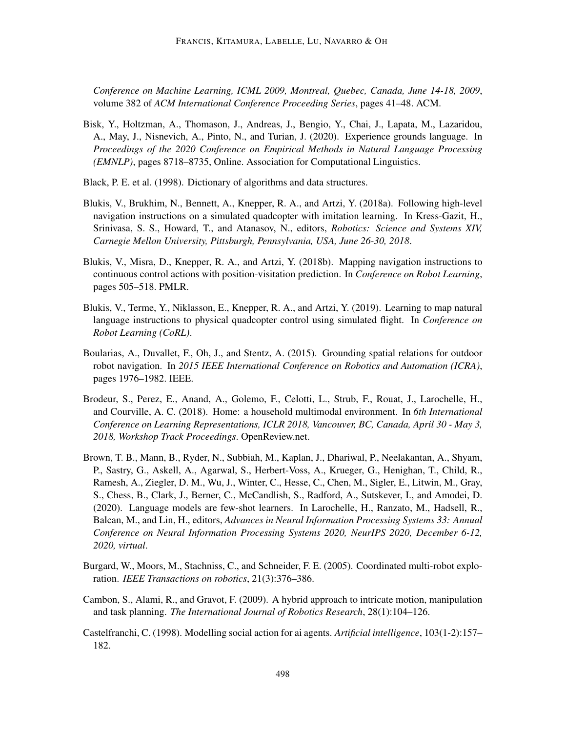*Conference on Machine Learning, ICML 2009, Montreal, Quebec, Canada, June 14-18, 2009*, volume 382 of *ACM International Conference Proceeding Series*, pages 41–48. ACM.

- <span id="page-39-2"></span>Bisk, Y., Holtzman, A., Thomason, J., Andreas, J., Bengio, Y., Chai, J., Lapata, M., Lazaridou, A., May, J., Nisnevich, A., Pinto, N., and Turian, J. (2020). Experience grounds language. In *Proceedings of the 2020 Conference on Empirical Methods in Natural Language Processing (EMNLP)*, pages 8718–8735, Online. Association for Computational Linguistics.
- <span id="page-39-4"></span>Black, P. E. et al. (1998). Dictionary of algorithms and data structures.
- <span id="page-39-7"></span>Blukis, V., Brukhim, N., Bennett, A., Knepper, R. A., and Artzi, Y. (2018a). Following high-level navigation instructions on a simulated quadcopter with imitation learning. In Kress-Gazit, H., Srinivasa, S. S., Howard, T., and Atanasov, N., editors, *Robotics: Science and Systems XIV, Carnegie Mellon University, Pittsburgh, Pennsylvania, USA, June 26-30, 2018*.
- <span id="page-39-5"></span>Blukis, V., Misra, D., Knepper, R. A., and Artzi, Y. (2018b). Mapping navigation instructions to continuous control actions with position-visitation prediction. In *Conference on Robot Learning*, pages 505–518. PMLR.
- <span id="page-39-8"></span>Blukis, V., Terme, Y., Niklasson, E., Knepper, R. A., and Artzi, Y. (2019). Learning to map natural language instructions to physical quadcopter control using simulated flight. In *Conference on Robot Learning (CoRL)*.
- <span id="page-39-1"></span>Boularias, A., Duvallet, F., Oh, J., and Stentz, A. (2015). Grounding spatial relations for outdoor robot navigation. In *2015 IEEE International Conference on Robotics and Automation (ICRA)*, pages 1976–1982. IEEE.
- <span id="page-39-10"></span>Brodeur, S., Perez, E., Anand, A., Golemo, F., Celotti, L., Strub, F., Rouat, J., Larochelle, H., and Courville, A. C. (2018). Home: a household multimodal environment. In *6th International Conference on Learning Representations, ICLR 2018, Vancouver, BC, Canada, April 30 - May 3, 2018, Workshop Track Proceedings*. OpenReview.net.
- <span id="page-39-9"></span>Brown, T. B., Mann, B., Ryder, N., Subbiah, M., Kaplan, J., Dhariwal, P., Neelakantan, A., Shyam, P., Sastry, G., Askell, A., Agarwal, S., Herbert-Voss, A., Krueger, G., Henighan, T., Child, R., Ramesh, A., Ziegler, D. M., Wu, J., Winter, C., Hesse, C., Chen, M., Sigler, E., Litwin, M., Gray, S., Chess, B., Clark, J., Berner, C., McCandlish, S., Radford, A., Sutskever, I., and Amodei, D. (2020). Language models are few-shot learners. In Larochelle, H., Ranzato, M., Hadsell, R., Balcan, M., and Lin, H., editors, *Advances in Neural Information Processing Systems 33: Annual Conference on Neural Information Processing Systems 2020, NeurIPS 2020, December 6-12, 2020, virtual*.
- <span id="page-39-3"></span>Burgard, W., Moors, M., Stachniss, C., and Schneider, F. E. (2005). Coordinated multi-robot exploration. *IEEE Transactions on robotics*, 21(3):376–386.
- <span id="page-39-6"></span>Cambon, S., Alami, R., and Gravot, F. (2009). A hybrid approach to intricate motion, manipulation and task planning. *The International Journal of Robotics Research*, 28(1):104–126.
- <span id="page-39-0"></span>Castelfranchi, C. (1998). Modelling social action for ai agents. *Artificial intelligence*, 103(1-2):157– 182.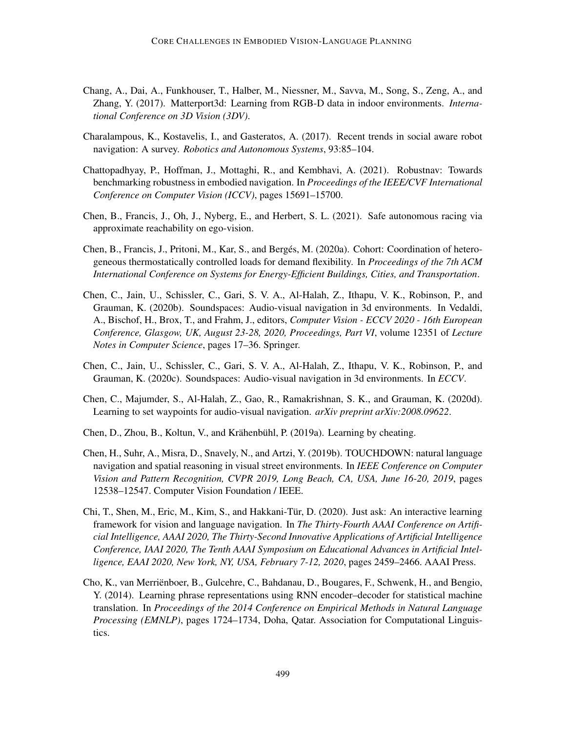- <span id="page-40-5"></span>Chang, A., Dai, A., Funkhouser, T., Halber, M., Niessner, M., Savva, M., Song, S., Zeng, A., and Zhang, Y. (2017). Matterport3d: Learning from RGB-D data in indoor environments. *International Conference on 3D Vision (3DV)*.
- <span id="page-40-6"></span>Charalampous, K., Kostavelis, I., and Gasteratos, A. (2017). Recent trends in social aware robot navigation: A survey. *Robotics and Autonomous Systems*, 93:85–104.
- <span id="page-40-7"></span>Chattopadhyay, P., Hoffman, J., Mottaghi, R., and Kembhavi, A. (2021). Robustnav: Towards benchmarking robustness in embodied navigation. In *Proceedings of the IEEE/CVF International Conference on Computer Vision (ICCV)*, pages 15691–15700.
- <span id="page-40-9"></span>Chen, B., Francis, J., Oh, J., Nyberg, E., and Herbert, S. L. (2021). Safe autonomous racing via approximate reachability on ego-vision.
- <span id="page-40-10"></span>Chen, B., Francis, J., Pritoni, M., Kar, S., and Berges, M. (2020a). Cohort: Coordination of hetero- ´ geneous thermostatically controlled loads for demand flexibility. In *Proceedings of the 7th ACM International Conference on Systems for Energy-Efficient Buildings, Cities, and Transportation*.
- <span id="page-40-4"></span>Chen, C., Jain, U., Schissler, C., Gari, S. V. A., Al-Halah, Z., Ithapu, V. K., Robinson, P., and Grauman, K. (2020b). Soundspaces: Audio-visual navigation in 3d environments. In Vedaldi, A., Bischof, H., Brox, T., and Frahm, J., editors, *Computer Vision - ECCV 2020 - 16th European Conference, Glasgow, UK, August 23-28, 2020, Proceedings, Part VI*, volume 12351 of *Lecture Notes in Computer Science*, pages 17–36. Springer.
- <span id="page-40-11"></span>Chen, C., Jain, U., Schissler, C., Gari, S. V. A., Al-Halah, Z., Ithapu, V. K., Robinson, P., and Grauman, K. (2020c). Soundspaces: Audio-visual navigation in 3d environments. In *ECCV*.
- <span id="page-40-3"></span>Chen, C., Majumder, S., Al-Halah, Z., Gao, R., Ramakrishnan, S. K., and Grauman, K. (2020d). Learning to set waypoints for audio-visual navigation. *arXiv preprint arXiv:2008.09622*.
- <span id="page-40-8"></span>Chen, D., Zhou, B., Koltun, V., and Krähenbühl, P.  $(2019a)$ . Learning by cheating.
- <span id="page-40-0"></span>Chen, H., Suhr, A., Misra, D., Snavely, N., and Artzi, Y. (2019b). TOUCHDOWN: natural language navigation and spatial reasoning in visual street environments. In *IEEE Conference on Computer Vision and Pattern Recognition, CVPR 2019, Long Beach, CA, USA, June 16-20, 2019*, pages 12538–12547. Computer Vision Foundation / IEEE.
- <span id="page-40-1"></span>Chi, T., Shen, M., Eric, M., Kim, S., and Hakkani-Tur, D. (2020). Just ask: An interactive learning ¨ framework for vision and language navigation. In *The Thirty-Fourth AAAI Conference on Artificial Intelligence, AAAI 2020, The Thirty-Second Innovative Applications of Artificial Intelligence Conference, IAAI 2020, The Tenth AAAI Symposium on Educational Advances in Artificial Intelligence, EAAI 2020, New York, NY, USA, February 7-12, 2020*, pages 2459–2466. AAAI Press.
- <span id="page-40-2"></span>Cho, K., van Merrienboer, B., Gulcehre, C., Bahdanau, D., Bougares, F., Schwenk, H., and Bengio, ¨ Y. (2014). Learning phrase representations using RNN encoder–decoder for statistical machine translation. In *Proceedings of the 2014 Conference on Empirical Methods in Natural Language Processing (EMNLP)*, pages 1724–1734, Doha, Qatar. Association for Computational Linguistics.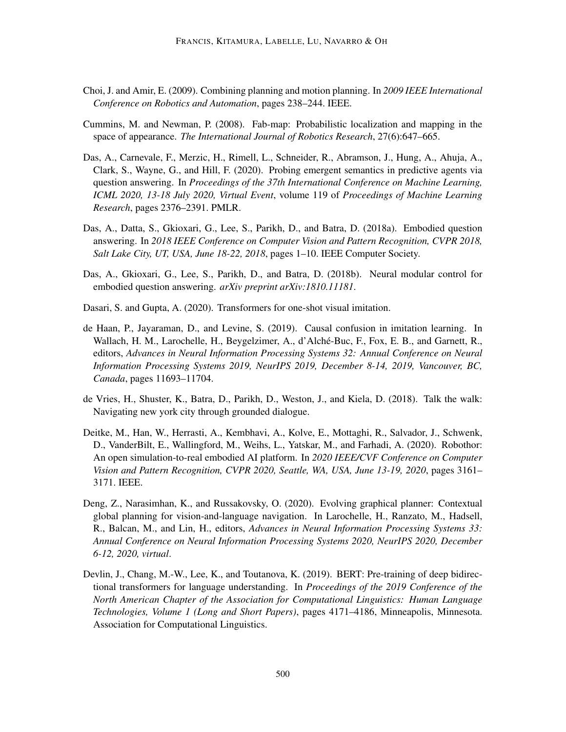- <span id="page-41-6"></span>Choi, J. and Amir, E. (2009). Combining planning and motion planning. In *2009 IEEE International Conference on Robotics and Automation*, pages 238–244. IEEE.
- <span id="page-41-4"></span>Cummins, M. and Newman, P. (2008). Fab-map: Probabilistic localization and mapping in the space of appearance. *The International Journal of Robotics Research*, 27(6):647–665.
- <span id="page-41-8"></span>Das, A., Carnevale, F., Merzic, H., Rimell, L., Schneider, R., Abramson, J., Hung, A., Ahuja, A., Clark, S., Wayne, G., and Hill, F. (2020). Probing emergent semantics in predictive agents via question answering. In *Proceedings of the 37th International Conference on Machine Learning, ICML 2020, 13-18 July 2020, Virtual Event*, volume 119 of *Proceedings of Machine Learning Research*, pages 2376–2391. PMLR.
- <span id="page-41-0"></span>Das, A., Datta, S., Gkioxari, G., Lee, S., Parikh, D., and Batra, D. (2018a). Embodied question answering. In *2018 IEEE Conference on Computer Vision and Pattern Recognition, CVPR 2018, Salt Lake City, UT, USA, June 18-22, 2018*, pages 1–10. IEEE Computer Society.
- <span id="page-41-7"></span>Das, A., Gkioxari, G., Lee, S., Parikh, D., and Batra, D. (2018b). Neural modular control for embodied question answering. *arXiv preprint arXiv:1810.11181*.
- <span id="page-41-3"></span>Dasari, S. and Gupta, A. (2020). Transformers for one-shot visual imitation.
- <span id="page-41-10"></span>de Haan, P., Jayaraman, D., and Levine, S. (2019). Causal confusion in imitation learning. In Wallach, H. M., Larochelle, H., Beygelzimer, A., d'Alche-Buc, F., Fox, E. B., and Garnett, R., ´ editors, *Advances in Neural Information Processing Systems 32: Annual Conference on Neural Information Processing Systems 2019, NeurIPS 2019, December 8-14, 2019, Vancouver, BC, Canada*, pages 11693–11704.
- <span id="page-41-1"></span>de Vries, H., Shuster, K., Batra, D., Parikh, D., Weston, J., and Kiela, D. (2018). Talk the walk: Navigating new york city through grounded dialogue.
- <span id="page-41-9"></span>Deitke, M., Han, W., Herrasti, A., Kembhavi, A., Kolve, E., Mottaghi, R., Salvador, J., Schwenk, D., VanderBilt, E., Wallingford, M., Weihs, L., Yatskar, M., and Farhadi, A. (2020). Robothor: An open simulation-to-real embodied AI platform. In *2020 IEEE/CVF Conference on Computer Vision and Pattern Recognition, CVPR 2020, Seattle, WA, USA, June 13-19, 2020*, pages 3161– 3171. IEEE.
- <span id="page-41-5"></span>Deng, Z., Narasimhan, K., and Russakovsky, O. (2020). Evolving graphical planner: Contextual global planning for vision-and-language navigation. In Larochelle, H., Ranzato, M., Hadsell, R., Balcan, M., and Lin, H., editors, *Advances in Neural Information Processing Systems 33: Annual Conference on Neural Information Processing Systems 2020, NeurIPS 2020, December 6-12, 2020, virtual*.
- <span id="page-41-2"></span>Devlin, J., Chang, M.-W., Lee, K., and Toutanova, K. (2019). BERT: Pre-training of deep bidirectional transformers for language understanding. In *Proceedings of the 2019 Conference of the North American Chapter of the Association for Computational Linguistics: Human Language Technologies, Volume 1 (Long and Short Papers)*, pages 4171–4186, Minneapolis, Minnesota. Association for Computational Linguistics.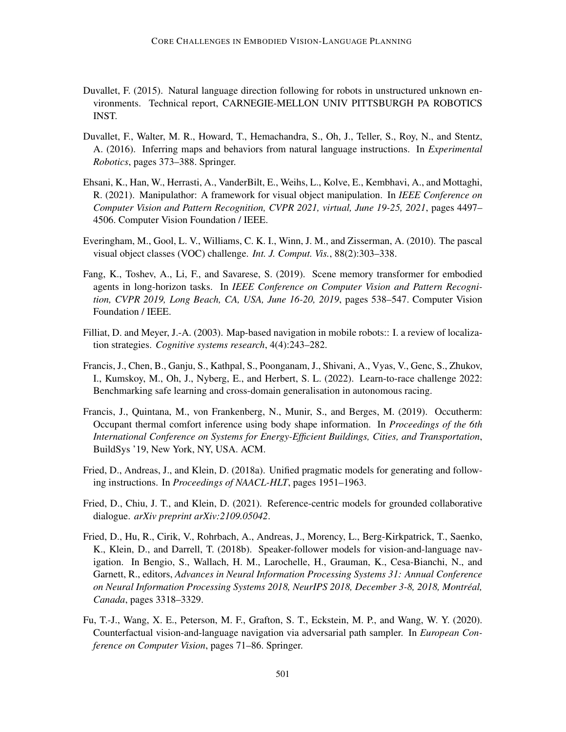- <span id="page-42-2"></span>Duvallet, F. (2015). Natural language direction following for robots in unstructured unknown environments. Technical report, CARNEGIE-MELLON UNIV PITTSBURGH PA ROBOTICS INST.
- <span id="page-42-0"></span>Duvallet, F., Walter, M. R., Howard, T., Hemachandra, S., Oh, J., Teller, S., Roy, N., and Stentz, A. (2016). Inferring maps and behaviors from natural language instructions. In *Experimental Robotics*, pages 373–388. Springer.
- <span id="page-42-7"></span>Ehsani, K., Han, W., Herrasti, A., VanderBilt, E., Weihs, L., Kolve, E., Kembhavi, A., and Mottaghi, R. (2021). Manipulathor: A framework for visual object manipulation. In *IEEE Conference on Computer Vision and Pattern Recognition, CVPR 2021, virtual, June 19-25, 2021*, pages 4497– 4506. Computer Vision Foundation / IEEE.
- <span id="page-42-6"></span>Everingham, M., Gool, L. V., Williams, C. K. I., Winn, J. M., and Zisserman, A. (2010). The pascal visual object classes (VOC) challenge. *Int. J. Comput. Vis.*, 88(2):303–338.
- <span id="page-42-3"></span>Fang, K., Toshev, A., Li, F., and Savarese, S. (2019). Scene memory transformer for embodied agents in long-horizon tasks. In *IEEE Conference on Computer Vision and Pattern Recognition, CVPR 2019, Long Beach, CA, USA, June 16-20, 2019*, pages 538–547. Computer Vision Foundation / IEEE.
- <span id="page-42-4"></span>Filliat, D. and Meyer, J.-A. (2003). Map-based navigation in mobile robots:: I. a review of localization strategies. *Cognitive systems research*, 4(4):243–282.
- <span id="page-42-10"></span>Francis, J., Chen, B., Ganju, S., Kathpal, S., Poonganam, J., Shivani, A., Vyas, V., Genc, S., Zhukov, I., Kumskoy, M., Oh, J., Nyberg, E., and Herbert, S. L. (2022). Learn-to-race challenge 2022: Benchmarking safe learning and cross-domain generalisation in autonomous racing.
- <span id="page-42-11"></span>Francis, J., Quintana, M., von Frankenberg, N., Munir, S., and Berges, M. (2019). Occutherm: Occupant thermal comfort inference using body shape information. In *Proceedings of the 6th International Conference on Systems for Energy-Efficient Buildings, Cities, and Transportation*, BuildSys '19, New York, NY, USA. ACM.
- <span id="page-42-9"></span>Fried, D., Andreas, J., and Klein, D. (2018a). Unified pragmatic models for generating and following instructions. In *Proceedings of NAACL-HLT*, pages 1951–1963.
- <span id="page-42-8"></span>Fried, D., Chiu, J. T., and Klein, D. (2021). Reference-centric models for grounded collaborative dialogue. *arXiv preprint arXiv:2109.05042*.
- <span id="page-42-1"></span>Fried, D., Hu, R., Cirik, V., Rohrbach, A., Andreas, J., Morency, L., Berg-Kirkpatrick, T., Saenko, K., Klein, D., and Darrell, T. (2018b). Speaker-follower models for vision-and-language navigation. In Bengio, S., Wallach, H. M., Larochelle, H., Grauman, K., Cesa-Bianchi, N., and Garnett, R., editors, *Advances in Neural Information Processing Systems 31: Annual Conference on Neural Information Processing Systems 2018, NeurIPS 2018, December 3-8, 2018, Montreal, ´ Canada*, pages 3318–3329.
- <span id="page-42-5"></span>Fu, T.-J., Wang, X. E., Peterson, M. F., Grafton, S. T., Eckstein, M. P., and Wang, W. Y. (2020). Counterfactual vision-and-language navigation via adversarial path sampler. In *European Conference on Computer Vision*, pages 71–86. Springer.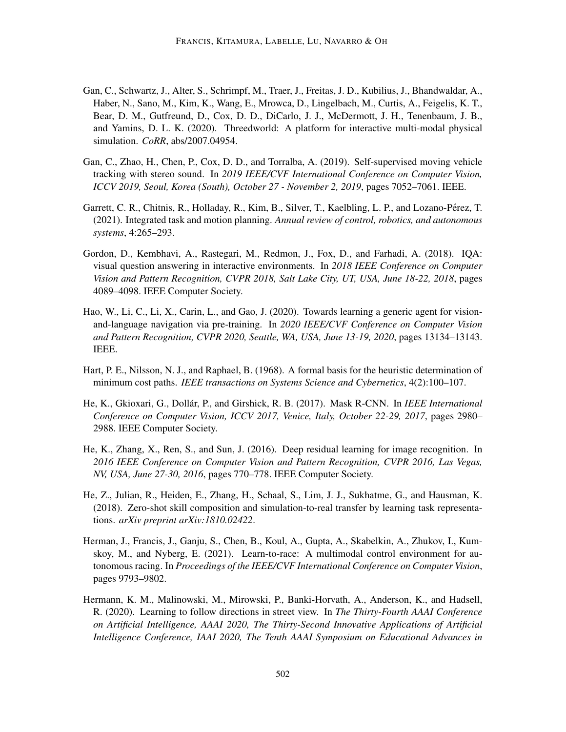- <span id="page-43-8"></span>Gan, C., Schwartz, J., Alter, S., Schrimpf, M., Traer, J., Freitas, J. D., Kubilius, J., Bhandwaldar, A., Haber, N., Sano, M., Kim, K., Wang, E., Mrowca, D., Lingelbach, M., Curtis, A., Feigelis, K. T., Bear, D. M., Gutfreund, D., Cox, D. D., DiCarlo, J. J., McDermott, J. H., Tenenbaum, J. B., and Yamins, D. L. K. (2020). Threedworld: A platform for interactive multi-modal physical simulation. *CoRR*, abs/2007.04954.
- <span id="page-43-9"></span>Gan, C., Zhao, H., Chen, P., Cox, D. D., and Torralba, A. (2019). Self-supervised moving vehicle tracking with stereo sound. In *2019 IEEE/CVF International Conference on Computer Vision, ICCV 2019, Seoul, Korea (South), October 27 - November 2, 2019*, pages 7052–7061. IEEE.
- <span id="page-43-6"></span>Garrett, C. R., Chitnis, R., Holladay, R., Kim, B., Silver, T., Kaelbling, L. P., and Lozano-Pérez, T. (2021). Integrated task and motion planning. *Annual review of control, robotics, and autonomous systems*, 4:265–293.
- <span id="page-43-0"></span>Gordon, D., Kembhavi, A., Rastegari, M., Redmon, J., Fox, D., and Farhadi, A. (2018). IQA: visual question answering in interactive environments. In *2018 IEEE Conference on Computer Vision and Pattern Recognition, CVPR 2018, Salt Lake City, UT, USA, June 18-22, 2018*, pages 4089–4098. IEEE Computer Society.
- <span id="page-43-4"></span>Hao, W., Li, C., Li, X., Carin, L., and Gao, J. (2020). Towards learning a generic agent for visionand-language navigation via pre-training. In *2020 IEEE/CVF Conference on Computer Vision and Pattern Recognition, CVPR 2020, Seattle, WA, USA, June 13-19, 2020*, pages 13134–13143. IEEE.
- <span id="page-43-5"></span>Hart, P. E., Nilsson, N. J., and Raphael, B. (1968). A formal basis for the heuristic determination of minimum cost paths. *IEEE transactions on Systems Science and Cybernetics*, 4(2):100–107.
- <span id="page-43-3"></span>He, K., Gkioxari, G., Dollár, P., and Girshick, R. B. (2017). Mask R-CNN. In *IEEE International Conference on Computer Vision, ICCV 2017, Venice, Italy, October 22-29, 2017*, pages 2980– 2988. IEEE Computer Society.
- <span id="page-43-2"></span>He, K., Zhang, X., Ren, S., and Sun, J. (2016). Deep residual learning for image recognition. In *2016 IEEE Conference on Computer Vision and Pattern Recognition, CVPR 2016, Las Vegas, NV, USA, June 27-30, 2016*, pages 770–778. IEEE Computer Society.
- <span id="page-43-10"></span>He, Z., Julian, R., Heiden, E., Zhang, H., Schaal, S., Lim, J. J., Sukhatme, G., and Hausman, K. (2018). Zero-shot skill composition and simulation-to-real transfer by learning task representations. *arXiv preprint arXiv:1810.02422*.
- <span id="page-43-7"></span>Herman, J., Francis, J., Ganju, S., Chen, B., Koul, A., Gupta, A., Skabelkin, A., Zhukov, I., Kumskoy, M., and Nyberg, E. (2021). Learn-to-race: A multimodal control environment for autonomous racing. In *Proceedings of the IEEE/CVF International Conference on Computer Vision*, pages 9793–9802.
- <span id="page-43-1"></span>Hermann, K. M., Malinowski, M., Mirowski, P., Banki-Horvath, A., Anderson, K., and Hadsell, R. (2020). Learning to follow directions in street view. In *The Thirty-Fourth AAAI Conference on Artificial Intelligence, AAAI 2020, The Thirty-Second Innovative Applications of Artificial Intelligence Conference, IAAI 2020, The Tenth AAAI Symposium on Educational Advances in*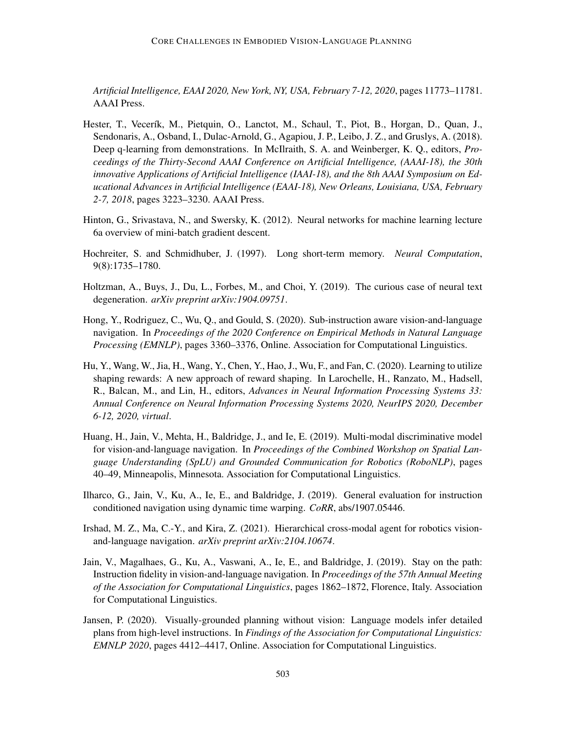*Artificial Intelligence, EAAI 2020, New York, NY, USA, February 7-12, 2020*, pages 11773–11781. AAAI Press.

- <span id="page-44-4"></span>Hester, T., Vecerík, M., Pietquin, O., Lanctot, M., Schaul, T., Piot, B., Horgan, D., Quan, J., Sendonaris, A., Osband, I., Dulac-Arnold, G., Agapiou, J. P., Leibo, J. Z., and Gruslys, A. (2018). Deep q-learning from demonstrations. In McIlraith, S. A. and Weinberger, K. Q., editors, *Proceedings of the Thirty-Second AAAI Conference on Artificial Intelligence, (AAAI-18), the 30th innovative Applications of Artificial Intelligence (IAAI-18), and the 8th AAAI Symposium on Educational Advances in Artificial Intelligence (EAAI-18), New Orleans, Louisiana, USA, February 2-7, 2018*, pages 3223–3230. AAAI Press.
- <span id="page-44-5"></span>Hinton, G., Srivastava, N., and Swersky, K. (2012). Neural networks for machine learning lecture 6a overview of mini-batch gradient descent.
- <span id="page-44-2"></span>Hochreiter, S. and Schmidhuber, J. (1997). Long short-term memory. *Neural Computation*, 9(8):1735–1780.
- <span id="page-44-3"></span>Holtzman, A., Buys, J., Du, L., Forbes, M., and Choi, Y. (2019). The curious case of neural text degeneration. *arXiv preprint arXiv:1904.09751*.
- <span id="page-44-10"></span>Hong, Y., Rodriguez, C., Wu, Q., and Gould, S. (2020). Sub-instruction aware vision-and-language navigation. In *Proceedings of the 2020 Conference on Empirical Methods in Natural Language Processing (EMNLP)*, pages 3360–3376, Online. Association for Computational Linguistics.
- <span id="page-44-6"></span>Hu, Y., Wang, W., Jia, H., Wang, Y., Chen, Y., Hao, J., Wu, F., and Fan, C. (2020). Learning to utilize shaping rewards: A new approach of reward shaping. In Larochelle, H., Ranzato, M., Hadsell, R., Balcan, M., and Lin, H., editors, *Advances in Neural Information Processing Systems 33: Annual Conference on Neural Information Processing Systems 2020, NeurIPS 2020, December 6-12, 2020, virtual*.
- <span id="page-44-9"></span>Huang, H., Jain, V., Mehta, H., Baldridge, J., and Ie, E. (2019). Multi-modal discriminative model for vision-and-language navigation. In *Proceedings of the Combined Workshop on Spatial Language Understanding (SpLU) and Grounded Communication for Robotics (RoboNLP)*, pages 40–49, Minneapolis, Minnesota. Association for Computational Linguistics.
- <span id="page-44-8"></span>Ilharco, G., Jain, V., Ku, A., Ie, E., and Baldridge, J. (2019). General evaluation for instruction conditioned navigation using dynamic time warping. *CoRR*, abs/1907.05446.
- <span id="page-44-1"></span>Irshad, M. Z., Ma, C.-Y., and Kira, Z. (2021). Hierarchical cross-modal agent for robotics visionand-language navigation. *arXiv preprint arXiv:2104.10674*.
- <span id="page-44-0"></span>Jain, V., Magalhaes, G., Ku, A., Vaswani, A., Ie, E., and Baldridge, J. (2019). Stay on the path: Instruction fidelity in vision-and-language navigation. In *Proceedings of the 57th Annual Meeting of the Association for Computational Linguistics*, pages 1862–1872, Florence, Italy. Association for Computational Linguistics.
- <span id="page-44-7"></span>Jansen, P. (2020). Visually-grounded planning without vision: Language models infer detailed plans from high-level instructions. In *Findings of the Association for Computational Linguistics: EMNLP 2020*, pages 4412–4417, Online. Association for Computational Linguistics.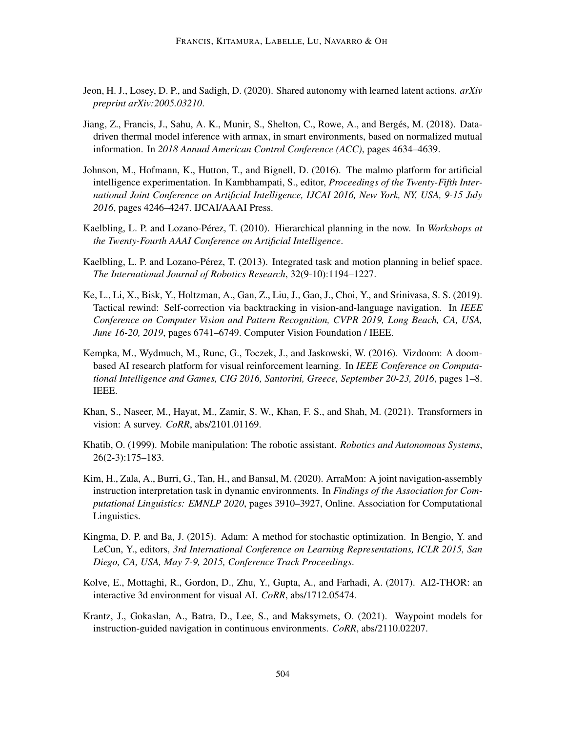- <span id="page-45-11"></span>Jeon, H. J., Losey, D. P., and Sadigh, D. (2020). Shared autonomy with learned latent actions. *arXiv preprint arXiv:2005.03210*.
- <span id="page-45-12"></span>Jiang, Z., Francis, J., Sahu, A. K., Munir, S., Shelton, C., Rowe, A., and Berges, M. (2018). Data- ´ driven thermal model inference with armax, in smart environments, based on normalized mutual information. In *2018 Annual American Control Conference (ACC)*, pages 4634–4639.
- <span id="page-45-10"></span>Johnson, M., Hofmann, K., Hutton, T., and Bignell, D. (2016). The malmo platform for artificial intelligence experimentation. In Kambhampati, S., editor, *Proceedings of the Twenty-Fifth International Joint Conference on Artificial Intelligence, IJCAI 2016, New York, NY, USA, 9-15 July 2016*, pages 4246–4247. IJCAI/AAAI Press.
- <span id="page-45-4"></span>Kaelbling, L. P. and Lozano-Pérez, T. (2010). Hierarchical planning in the now. In *Workshops at the Twenty-Fourth AAAI Conference on Artificial Intelligence*.
- <span id="page-45-5"></span>Kaelbling, L. P. and Lozano-Pérez, T. (2013). Integrated task and motion planning in belief space. *The International Journal of Robotics Research*, 32(9-10):1194–1227.
- <span id="page-45-3"></span>Ke, L., Li, X., Bisk, Y., Holtzman, A., Gan, Z., Liu, J., Gao, J., Choi, Y., and Srinivasa, S. S. (2019). Tactical rewind: Self-correction via backtracking in vision-and-language navigation. In *IEEE Conference on Computer Vision and Pattern Recognition, CVPR 2019, Long Beach, CA, USA, June 16-20, 2019*, pages 6741–6749. Computer Vision Foundation / IEEE.
- <span id="page-45-9"></span>Kempka, M., Wydmuch, M., Runc, G., Toczek, J., and Jaskowski, W. (2016). Vizdoom: A doombased AI research platform for visual reinforcement learning. In *IEEE Conference on Computational Intelligence and Games, CIG 2016, Santorini, Greece, September 20-23, 2016*, pages 1–8. IEEE.
- <span id="page-45-2"></span>Khan, S., Naseer, M., Hayat, M., Zamir, S. W., Khan, F. S., and Shah, M. (2021). Transformers in vision: A survey. *CoRR*, abs/2101.01169.
- <span id="page-45-1"></span>Khatib, O. (1999). Mobile manipulation: The robotic assistant. *Robotics and Autonomous Systems*, 26(2-3):175–183.
- <span id="page-45-0"></span>Kim, H., Zala, A., Burri, G., Tan, H., and Bansal, M. (2020). ArraMon: A joint navigation-assembly instruction interpretation task in dynamic environments. In *Findings of the Association for Computational Linguistics: EMNLP 2020*, pages 3910–3927, Online. Association for Computational Linguistics.
- <span id="page-45-8"></span>Kingma, D. P. and Ba, J. (2015). Adam: A method for stochastic optimization. In Bengio, Y. and LeCun, Y., editors, *3rd International Conference on Learning Representations, ICLR 2015, San Diego, CA, USA, May 7-9, 2015, Conference Track Proceedings*.
- <span id="page-45-6"></span>Kolve, E., Mottaghi, R., Gordon, D., Zhu, Y., Gupta, A., and Farhadi, A. (2017). AI2-THOR: an interactive 3d environment for visual AI. *CoRR*, abs/1712.05474.
- <span id="page-45-7"></span>Krantz, J., Gokaslan, A., Batra, D., Lee, S., and Maksymets, O. (2021). Waypoint models for instruction-guided navigation in continuous environments. *CoRR*, abs/2110.02207.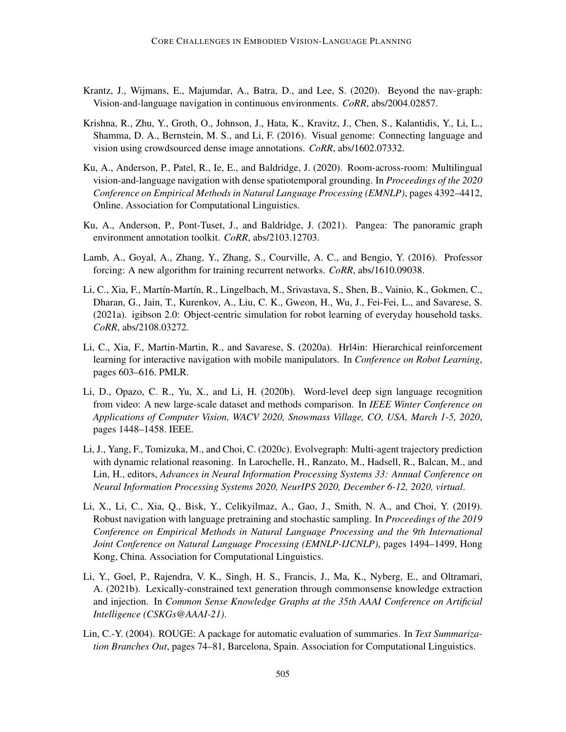- <span id="page-46-0"></span>Krantz, J., Wijmans, E., Majumdar, A., Batra, D., and Lee, S. (2020). Beyond the nav-graph: Vision-and-language navigation in continuous environments. *CoRR*, abs/2004.02857.
- <span id="page-46-7"></span>Krishna, R., Zhu, Y., Groth, O., Johnson, J., Hata, K., Kravitz, J., Chen, S., Kalantidis, Y., Li, L., Shamma, D. A., Bernstein, M. S., and Li, F. (2016). Visual genome: Connecting language and vision using crowdsourced dense image annotations. *CoRR*, abs/1602.07332.
- <span id="page-46-2"></span>Ku, A., Anderson, P., Patel, R., Ie, E., and Baldridge, J. (2020). Room-across-room: Multilingual vision-and-language navigation with dense spatiotemporal grounding. In *Proceedings of the 2020 Conference on Empirical Methods in Natural Language Processing (EMNLP)*, pages 4392–4412, Online. Association for Computational Linguistics.
- <span id="page-46-9"></span>Ku, A., Anderson, P., Pont-Tuset, J., and Baldridge, J. (2021). Pangea: The panoramic graph environment annotation toolkit. *CoRR*, abs/2103.12703.
- <span id="page-46-6"></span>Lamb, A., Goyal, A., Zhang, Y., Zhang, S., Courville, A. C., and Bengio, Y. (2016). Professor forcing: A new algorithm for training recurrent networks. *CoRR*, abs/1610.09038.
- <span id="page-46-5"></span>Li, C., Xia, F., Martín-Martín, R., Lingelbach, M., Srivastava, S., Shen, B., Vainio, K., Gokmen, C., Dharan, G., Jain, T., Kurenkov, A., Liu, C. K., Gweon, H., Wu, J., Fei-Fei, L., and Savarese, S. (2021a). igibson 2.0: Object-centric simulation for robot learning of everyday household tasks. *CoRR*, abs/2108.03272.
- <span id="page-46-4"></span>Li, C., Xia, F., Martin-Martin, R., and Savarese, S. (2020a). Hrl4in: Hierarchical reinforcement learning for interactive navigation with mobile manipulators. In *Conference on Robot Learning*, pages 603–616. PMLR.
- <span id="page-46-1"></span>Li, D., Opazo, C. R., Yu, X., and Li, H. (2020b). Word-level deep sign language recognition from video: A new large-scale dataset and methods comparison. In *IEEE Winter Conference on Applications of Computer Vision, WACV 2020, Snowmass Village, CO, USA, March 1-5, 2020*, pages 1448–1458. IEEE.
- <span id="page-46-10"></span>Li, J., Yang, F., Tomizuka, M., and Choi, C. (2020c). Evolvegraph: Multi-agent trajectory prediction with dynamic relational reasoning. In Larochelle, H., Ranzato, M., Hadsell, R., Balcan, M., and Lin, H., editors, *Advances in Neural Information Processing Systems 33: Annual Conference on Neural Information Processing Systems 2020, NeurIPS 2020, December 6-12, 2020, virtual*.
- <span id="page-46-3"></span>Li, X., Li, C., Xia, Q., Bisk, Y., Celikyilmaz, A., Gao, J., Smith, N. A., and Choi, Y. (2019). Robust navigation with language pretraining and stochastic sampling. In *Proceedings of the 2019 Conference on Empirical Methods in Natural Language Processing and the 9th International Joint Conference on Natural Language Processing (EMNLP-IJCNLP)*, pages 1494–1499, Hong Kong, China. Association for Computational Linguistics.
- <span id="page-46-11"></span>Li, Y., Goel, P., Rajendra, V. K., Singh, H. S., Francis, J., Ma, K., Nyberg, E., and Oltramari, A. (2021b). Lexically-constrained text generation through commonsense knowledge extraction and injection. In *Common Sense Knowledge Graphs at the 35th AAAI Conference on Artificial Intelligence (CSKGs@AAAI-21)*.
- <span id="page-46-8"></span>Lin, C.-Y. (2004). ROUGE: A package for automatic evaluation of summaries. In *Text Summarization Branches Out*, pages 74–81, Barcelona, Spain. Association for Computational Linguistics.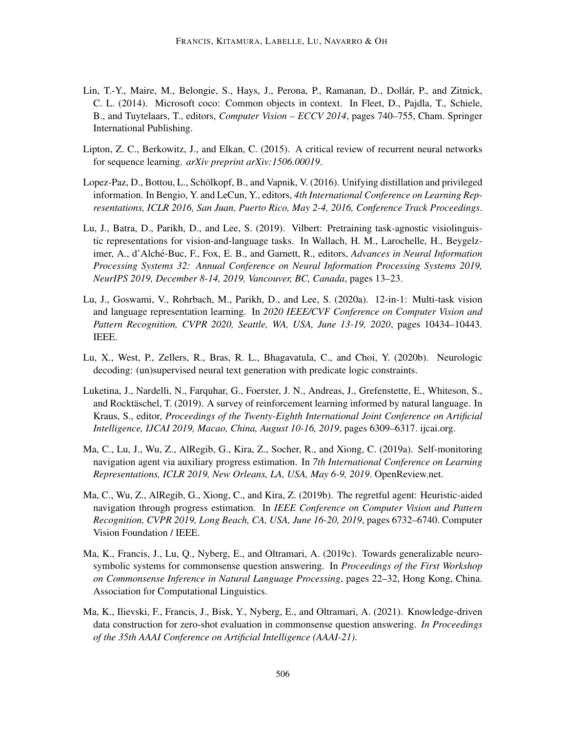- <span id="page-47-6"></span>Lin, T.-Y., Maire, M., Belongie, S., Hays, J., Perona, P., Ramanan, D., Dollár, P., and Zitnick, C. L. (2014). Microsoft coco: Common objects in context. In Fleet, D., Pajdla, T., Schiele, B., and Tuytelaars, T., editors, *Computer Vision – ECCV 2014*, pages 740–755, Cham. Springer International Publishing.
- <span id="page-47-1"></span>Lipton, Z. C., Berkowitz, J., and Elkan, C. (2015). A critical review of recurrent neural networks for sequence learning. *arXiv preprint arXiv:1506.00019*.
- <span id="page-47-10"></span>Lopez-Paz, D., Bottou, L., Schölkopf, B., and Vapnik, V. (2016). Unifying distillation and privileged information. In Bengio, Y. and LeCun, Y., editors, *4th International Conference on Learning Representations, ICLR 2016, San Juan, Puerto Rico, May 2-4, 2016, Conference Track Proceedings*.
- <span id="page-47-2"></span>Lu, J., Batra, D., Parikh, D., and Lee, S. (2019). Vilbert: Pretraining task-agnostic visiolinguistic representations for vision-and-language tasks. In Wallach, H. M., Larochelle, H., Beygelzimer, A., d'Alché-Buc, F., Fox, E. B., and Garnett, R., editors, Advances in Neural Information *Processing Systems 32: Annual Conference on Neural Information Processing Systems 2019, NeurIPS 2019, December 8-14, 2019, Vancouver, BC, Canada*, pages 13–23.
- <span id="page-47-3"></span>Lu, J., Goswami, V., Rohrbach, M., Parikh, D., and Lee, S. (2020a). 12-in-1: Multi-task vision and language representation learning. In *2020 IEEE/CVF Conference on Computer Vision and Pattern Recognition, CVPR 2020, Seattle, WA, USA, June 13-19, 2020*, pages 10434–10443. IEEE.
- <span id="page-47-9"></span>Lu, X., West, P., Zellers, R., Bras, R. L., Bhagavatula, C., and Choi, Y. (2020b). Neurologic decoding: (un)supervised neural text generation with predicate logic constraints.
- <span id="page-47-0"></span>Luketina, J., Nardelli, N., Farquhar, G., Foerster, J. N., Andreas, J., Grefenstette, E., Whiteson, S., and Rocktäschel, T. (2019). A survey of reinforcement learning informed by natural language. In Kraus, S., editor, *Proceedings of the Twenty-Eighth International Joint Conference on Artificial Intelligence, IJCAI 2019, Macao, China, August 10-16, 2019*, pages 6309–6317. ijcai.org.
- <span id="page-47-4"></span>Ma, C., Lu, J., Wu, Z., AlRegib, G., Kira, Z., Socher, R., and Xiong, C. (2019a). Self-monitoring navigation agent via auxiliary progress estimation. In *7th International Conference on Learning Representations, ICLR 2019, New Orleans, LA, USA, May 6-9, 2019*. OpenReview.net.
- <span id="page-47-5"></span>Ma, C., Wu, Z., AlRegib, G., Xiong, C., and Kira, Z. (2019b). The regretful agent: Heuristic-aided navigation through progress estimation. In *IEEE Conference on Computer Vision and Pattern Recognition, CVPR 2019, Long Beach, CA, USA, June 16-20, 2019*, pages 6732–6740. Computer Vision Foundation / IEEE.
- <span id="page-47-7"></span>Ma, K., Francis, J., Lu, Q., Nyberg, E., and Oltramari, A. (2019c). Towards generalizable neurosymbolic systems for commonsense question answering. In *Proceedings of the First Workshop on Commonsense Inference in Natural Language Processing*, pages 22–32, Hong Kong, China. Association for Computational Linguistics.
- <span id="page-47-8"></span>Ma, K., Ilievski, F., Francis, J., Bisk, Y., Nyberg, E., and Oltramari, A. (2021). Knowledge-driven data construction for zero-shot evaluation in commonsense question answering. *In Proceedings of the 35th AAAI Conference on Artificial Intelligence (AAAI-21)*.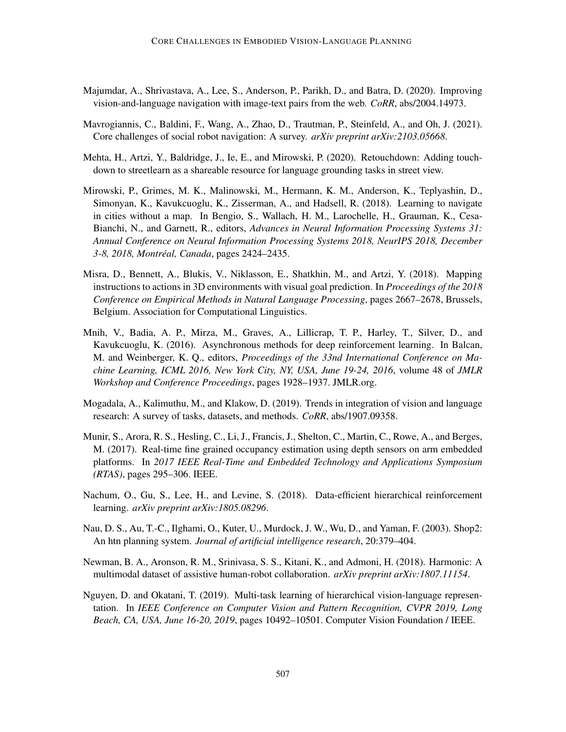- <span id="page-48-0"></span>Majumdar, A., Shrivastava, A., Lee, S., Anderson, P., Parikh, D., and Batra, D. (2020). Improving vision-and-language navigation with image-text pairs from the web. *CoRR*, abs/2004.14973.
- <span id="page-48-9"></span>Mavrogiannis, C., Baldini, F., Wang, A., Zhao, D., Trautman, P., Steinfeld, A., and Oh, J. (2021). Core challenges of social robot navigation: A survey. *arXiv preprint arXiv:2103.05668*.
- <span id="page-48-3"></span>Mehta, H., Artzi, Y., Baldridge, J., Ie, E., and Mirowski, P. (2020). Retouchdown: Adding touchdown to streetlearn as a shareable resource for language grounding tasks in street view.
- <span id="page-48-8"></span>Mirowski, P., Grimes, M. K., Malinowski, M., Hermann, K. M., Anderson, K., Teplyashin, D., Simonyan, K., Kavukcuoglu, K., Zisserman, A., and Hadsell, R. (2018). Learning to navigate in cities without a map. In Bengio, S., Wallach, H. M., Larochelle, H., Grauman, K., Cesa-Bianchi, N., and Garnett, R., editors, *Advances in Neural Information Processing Systems 31: Annual Conference on Neural Information Processing Systems 2018, NeurIPS 2018, December 3-8, 2018, Montreal, Canada ´* , pages 2424–2435.
- <span id="page-48-2"></span>Misra, D., Bennett, A., Blukis, V., Niklasson, E., Shatkhin, M., and Artzi, Y. (2018). Mapping instructions to actions in 3D environments with visual goal prediction. In *Proceedings of the 2018 Conference on Empirical Methods in Natural Language Processing*, pages 2667–2678, Brussels, Belgium. Association for Computational Linguistics.
- <span id="page-48-6"></span>Mnih, V., Badia, A. P., Mirza, M., Graves, A., Lillicrap, T. P., Harley, T., Silver, D., and Kavukcuoglu, K. (2016). Asynchronous methods for deep reinforcement learning. In Balcan, M. and Weinberger, K. Q., editors, *Proceedings of the 33nd International Conference on Machine Learning, ICML 2016, New York City, NY, USA, June 19-24, 2016*, volume 48 of *JMLR Workshop and Conference Proceedings*, pages 1928–1937. JMLR.org.
- <span id="page-48-1"></span>Mogadala, A., Kalimuthu, M., and Klakow, D. (2019). Trends in integration of vision and language research: A survey of tasks, datasets, and methods. *CoRR*, abs/1907.09358.
- <span id="page-48-11"></span>Munir, S., Arora, R. S., Hesling, C., Li, J., Francis, J., Shelton, C., Martin, C., Rowe, A., and Berges, M. (2017). Real-time fine grained occupancy estimation using depth sensors on arm embedded platforms. In *2017 IEEE Real-Time and Embedded Technology and Applications Symposium (RTAS)*, pages 295–306. IEEE.
- <span id="page-48-5"></span>Nachum, O., Gu, S., Lee, H., and Levine, S. (2018). Data-efficient hierarchical reinforcement learning. *arXiv preprint arXiv:1805.08296*.
- <span id="page-48-4"></span>Nau, D. S., Au, T.-C., Ilghami, O., Kuter, U., Murdock, J. W., Wu, D., and Yaman, F. (2003). Shop2: An htn planning system. *Journal of artificial intelligence research*, 20:379–404.
- <span id="page-48-10"></span>Newman, B. A., Aronson, R. M., Srinivasa, S. S., Kitani, K., and Admoni, H. (2018). Harmonic: A multimodal dataset of assistive human-robot collaboration. *arXiv preprint arXiv:1807.11154*.
- <span id="page-48-7"></span>Nguyen, D. and Okatani, T. (2019). Multi-task learning of hierarchical vision-language representation. In *IEEE Conference on Computer Vision and Pattern Recognition, CVPR 2019, Long Beach, CA, USA, June 16-20, 2019*, pages 10492–10501. Computer Vision Foundation / IEEE.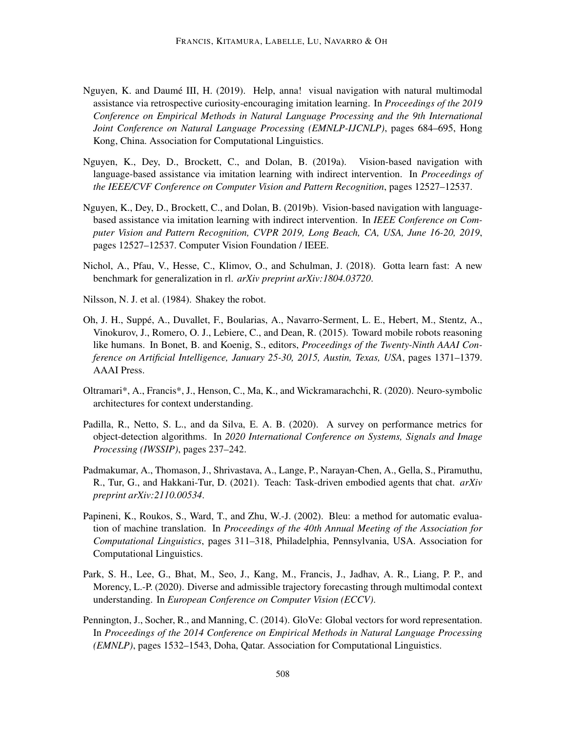- <span id="page-49-0"></span>Nguyen, K. and Daumé III, H. (2019). Help, anna! visual navigation with natural multimodal assistance via retrospective curiosity-encouraging imitation learning. In *Proceedings of the 2019 Conference on Empirical Methods in Natural Language Processing and the 9th International Joint Conference on Natural Language Processing (EMNLP-IJCNLP)*, pages 684–695, Hong Kong, China. Association for Computational Linguistics.
- <span id="page-49-2"></span>Nguyen, K., Dey, D., Brockett, C., and Dolan, B. (2019a). Vision-based navigation with language-based assistance via imitation learning with indirect intervention. In *Proceedings of the IEEE/CVF Conference on Computer Vision and Pattern Recognition*, pages 12527–12537.
- <span id="page-49-5"></span>Nguyen, K., Dey, D., Brockett, C., and Dolan, B. (2019b). Vision-based navigation with languagebased assistance via imitation learning with indirect intervention. In *IEEE Conference on Computer Vision and Pattern Recognition, CVPR 2019, Long Beach, CA, USA, June 16-20, 2019*, pages 12527–12537. Computer Vision Foundation / IEEE.
- <span id="page-49-9"></span>Nichol, A., Pfau, V., Hesse, C., Klimov, O., and Schulman, J. (2018). Gotta learn fast: A new benchmark for generalization in rl. *arXiv preprint arXiv:1804.03720*.
- <span id="page-49-4"></span>Nilsson, N. J. et al. (1984). Shakey the robot.
- <span id="page-49-1"></span>Oh, J. H., Suppé, A., Duvallet, F., Boularias, A., Navarro-Serment, L. E., Hebert, M., Stentz, A., Vinokurov, J., Romero, O. J., Lebiere, C., and Dean, R. (2015). Toward mobile robots reasoning like humans. In Bonet, B. and Koenig, S., editors, *Proceedings of the Twenty-Ninth AAAI Conference on Artificial Intelligence, January 25-30, 2015, Austin, Texas, USA*, pages 1371–1379. AAAI Press.
- <span id="page-49-11"></span>Oltramari\*, A., Francis\*, J., Henson, C., Ma, K., and Wickramarachchi, R. (2020). Neuro-symbolic architectures for context understanding.
- <span id="page-49-7"></span>Padilla, R., Netto, S. L., and da Silva, E. A. B. (2020). A survey on performance metrics for object-detection algorithms. In *2020 International Conference on Systems, Signals and Image Processing (IWSSIP)*, pages 237–242.
- <span id="page-49-3"></span>Padmakumar, A., Thomason, J., Shrivastava, A., Lange, P., Narayan-Chen, A., Gella, S., Piramuthu, R., Tur, G., and Hakkani-Tur, D. (2021). Teach: Task-driven embodied agents that chat. *arXiv preprint arXiv:2110.00534*.
- <span id="page-49-8"></span>Papineni, K., Roukos, S., Ward, T., and Zhu, W.-J. (2002). Bleu: a method for automatic evaluation of machine translation. In *Proceedings of the 40th Annual Meeting of the Association for Computational Linguistics*, pages 311–318, Philadelphia, Pennsylvania, USA. Association for Computational Linguistics.
- <span id="page-49-10"></span>Park, S. H., Lee, G., Bhat, M., Seo, J., Kang, M., Francis, J., Jadhav, A. R., Liang, P. P., and Morency, L.-P. (2020). Diverse and admissible trajectory forecasting through multimodal context understanding. In *European Conference on Computer Vision (ECCV)*.
- <span id="page-49-6"></span>Pennington, J., Socher, R., and Manning, C. (2014). GloVe: Global vectors for word representation. In *Proceedings of the 2014 Conference on Empirical Methods in Natural Language Processing (EMNLP)*, pages 1532–1543, Doha, Qatar. Association for Computational Linguistics.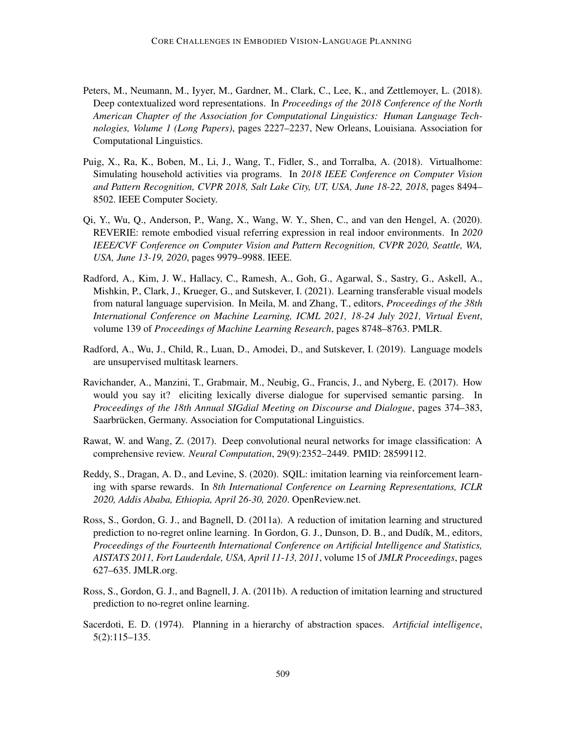- <span id="page-50-5"></span>Peters, M., Neumann, M., Iyyer, M., Gardner, M., Clark, C., Lee, K., and Zettlemoyer, L. (2018). Deep contextualized word representations. In *Proceedings of the 2018 Conference of the North American Chapter of the Association for Computational Linguistics: Human Language Technologies, Volume 1 (Long Papers)*, pages 2227–2237, New Orleans, Louisiana. Association for Computational Linguistics.
- <span id="page-50-8"></span>Puig, X., Ra, K., Boben, M., Li, J., Wang, T., Fidler, S., and Torralba, A. (2018). Virtualhome: Simulating household activities via programs. In *2018 IEEE Conference on Computer Vision and Pattern Recognition, CVPR 2018, Salt Lake City, UT, USA, June 18-22, 2018*, pages 8494– 8502. IEEE Computer Society.
- <span id="page-50-0"></span>Qi, Y., Wu, Q., Anderson, P., Wang, X., Wang, W. Y., Shen, C., and van den Hengel, A. (2020). REVERIE: remote embodied visual referring expression in real indoor environments. In *2020 IEEE/CVF Conference on Computer Vision and Pattern Recognition, CVPR 2020, Seattle, WA, USA, June 13-19, 2020*, pages 9979–9988. IEEE.
- <span id="page-50-7"></span>Radford, A., Kim, J. W., Hallacy, C., Ramesh, A., Goh, G., Agarwal, S., Sastry, G., Askell, A., Mishkin, P., Clark, J., Krueger, G., and Sutskever, I. (2021). Learning transferable visual models from natural language supervision. In Meila, M. and Zhang, T., editors, *Proceedings of the 38th International Conference on Machine Learning, ICML 2021, 18-24 July 2021, Virtual Event*, volume 139 of *Proceedings of Machine Learning Research*, pages 8748–8763. PMLR.
- <span id="page-50-6"></span>Radford, A., Wu, J., Child, R., Luan, D., Amodei, D., and Sutskever, I. (2019). Language models are unsupervised multitask learners.
- <span id="page-50-9"></span>Ravichander, A., Manzini, T., Grabmair, M., Neubig, G., Francis, J., and Nyberg, E. (2017). How would you say it? eliciting lexically diverse dialogue for supervised semantic parsing. In *Proceedings of the 18th Annual SIGdial Meeting on Discourse and Dialogue*, pages 374–383, Saarbrücken, Germany. Association for Computational Linguistics.
- <span id="page-50-1"></span>Rawat, W. and Wang, Z. (2017). Deep convolutional neural networks for image classification: A comprehensive review. *Neural Computation*, 29(9):2352–2449. PMID: 28599112.
- <span id="page-50-4"></span>Reddy, S., Dragan, A. D., and Levine, S. (2020). SQIL: imitation learning via reinforcement learning with sparse rewards. In *8th International Conference on Learning Representations, ICLR 2020, Addis Ababa, Ethiopia, April 26-30, 2020*. OpenReview.net.
- <span id="page-50-3"></span>Ross, S., Gordon, G. J., and Bagnell, D. (2011a). A reduction of imitation learning and structured prediction to no-regret online learning. In Gordon, G. J., Dunson, D. B., and Dudík, M., editors, *Proceedings of the Fourteenth International Conference on Artificial Intelligence and Statistics, AISTATS 2011, Fort Lauderdale, USA, April 11-13, 2011*, volume 15 of *JMLR Proceedings*, pages 627–635. JMLR.org.
- <span id="page-50-10"></span>Ross, S., Gordon, G. J., and Bagnell, J. A. (2011b). A reduction of imitation learning and structured prediction to no-regret online learning.
- <span id="page-50-2"></span>Sacerdoti, E. D. (1974). Planning in a hierarchy of abstraction spaces. *Artificial intelligence*, 5(2):115–135.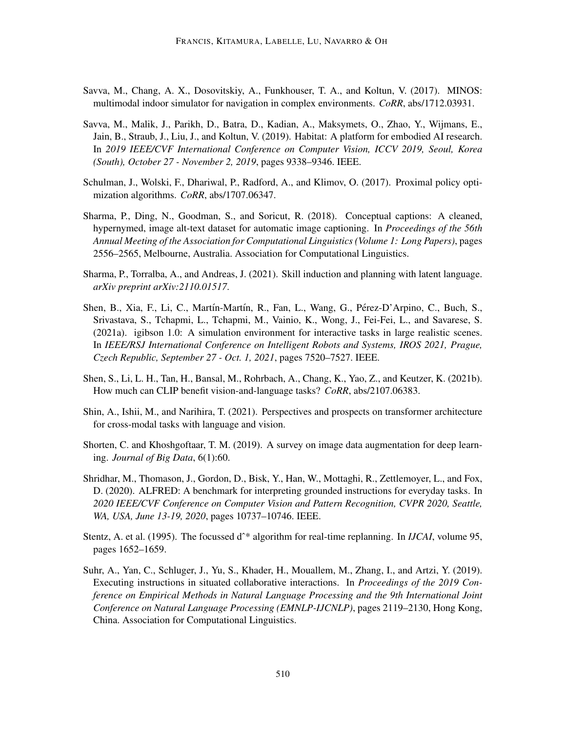- <span id="page-51-9"></span>Savva, M., Chang, A. X., Dosovitskiy, A., Funkhouser, T. A., and Koltun, V. (2017). MINOS: multimodal indoor simulator for navigation in complex environments. *CoRR*, abs/1712.03931.
- <span id="page-51-10"></span>Savva, M., Malik, J., Parikh, D., Batra, D., Kadian, A., Maksymets, O., Zhao, Y., Wijmans, E., Jain, B., Straub, J., Liu, J., and Koltun, V. (2019). Habitat: A platform for embodied AI research. In *2019 IEEE/CVF International Conference on Computer Vision, ICCV 2019, Seoul, Korea (South), October 27 - November 2, 2019*, pages 9338–9346. IEEE.
- <span id="page-51-6"></span>Schulman, J., Wolski, F., Dhariwal, P., Radford, A., and Klimov, O. (2017). Proximal policy optimization algorithms. *CoRR*, abs/1707.06347.
- <span id="page-51-3"></span>Sharma, P., Ding, N., Goodman, S., and Soricut, R. (2018). Conceptual captions: A cleaned, hypernymed, image alt-text dataset for automatic image captioning. In *Proceedings of the 56th Annual Meeting of the Association for Computational Linguistics (Volume 1: Long Papers)*, pages 2556–2565, Melbourne, Australia. Association for Computational Linguistics.
- <span id="page-51-5"></span>Sharma, P., Torralba, A., and Andreas, J. (2021). Skill induction and planning with latent language. *arXiv preprint arXiv:2110.01517*.
- <span id="page-51-11"></span>Shen, B., Xia, F., Li, C., Martín-Martín, R., Fan, L., Wang, G., Pérez-D'Arpino, C., Buch, S., Srivastava, S., Tchapmi, L., Tchapmi, M., Vainio, K., Wong, J., Fei-Fei, L., and Savarese, S. (2021a). igibson 1.0: A simulation environment for interactive tasks in large realistic scenes. In *IEEE/RSJ International Conference on Intelligent Robots and Systems, IROS 2021, Prague, Czech Republic, September 27 - Oct. 1, 2021*, pages 7520–7527. IEEE.
- <span id="page-51-8"></span>Shen, S., Li, L. H., Tan, H., Bansal, M., Rohrbach, A., Chang, K., Yao, Z., and Keutzer, K. (2021b). How much can CLIP benefit vision-and-language tasks? *CoRR*, abs/2107.06383.
- <span id="page-51-2"></span>Shin, A., Ishii, M., and Narihira, T. (2021). Perspectives and prospects on transformer architecture for cross-modal tasks with language and vision.
- <span id="page-51-7"></span>Shorten, C. and Khoshgoftaar, T. M. (2019). A survey on image data augmentation for deep learning. *Journal of Big Data*, 6(1):60.
- <span id="page-51-0"></span>Shridhar, M., Thomason, J., Gordon, D., Bisk, Y., Han, W., Mottaghi, R., Zettlemoyer, L., and Fox, D. (2020). ALFRED: A benchmark for interpreting grounded instructions for everyday tasks. In *2020 IEEE/CVF Conference on Computer Vision and Pattern Recognition, CVPR 2020, Seattle, WA, USA, June 13-19, 2020*, pages 10737–10746. IEEE.
- <span id="page-51-4"></span>Stentz, A. et al. (1995). The focussed d<sup>^\*</sup> algorithm for real-time replanning. In *IJCAI*, volume 95, pages 1652–1659.
- <span id="page-51-1"></span>Suhr, A., Yan, C., Schluger, J., Yu, S., Khader, H., Mouallem, M., Zhang, I., and Artzi, Y. (2019). Executing instructions in situated collaborative interactions. In *Proceedings of the 2019 Conference on Empirical Methods in Natural Language Processing and the 9th International Joint Conference on Natural Language Processing (EMNLP-IJCNLP)*, pages 2119–2130, Hong Kong, China. Association for Computational Linguistics.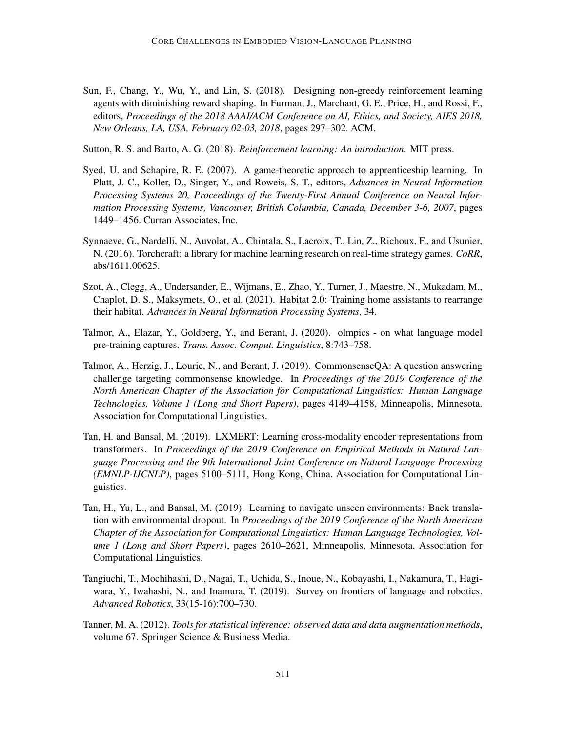<span id="page-52-6"></span>Sun, F., Chang, Y., Wu, Y., and Lin, S. (2018). Designing non-greedy reinforcement learning agents with diminishing reward shaping. In Furman, J., Marchant, G. E., Price, H., and Rossi, F., editors, *Proceedings of the 2018 AAAI/ACM Conference on AI, Ethics, and Society, AIES 2018, New Orleans, LA, USA, February 02-03, 2018*, pages 297–302. ACM.

<span id="page-52-4"></span>Sutton, R. S. and Barto, A. G. (2018). *Reinforcement learning: An introduction*. MIT press.

- <span id="page-52-3"></span>Syed, U. and Schapire, R. E. (2007). A game-theoretic approach to apprenticeship learning. In Platt, J. C., Koller, D., Singer, Y., and Roweis, S. T., editors, *Advances in Neural Information Processing Systems 20, Proceedings of the Twenty-First Annual Conference on Neural Information Processing Systems, Vancouver, British Columbia, Canada, December 3-6, 2007*, pages 1449–1456. Curran Associates, Inc.
- <span id="page-52-7"></span>Synnaeve, G., Nardelli, N., Auvolat, A., Chintala, S., Lacroix, T., Lin, Z., Richoux, F., and Usunier, N. (2016). Torchcraft: a library for machine learning research on real-time strategy games. *CoRR*, abs/1611.00625.
- <span id="page-52-8"></span>Szot, A., Clegg, A., Undersander, E., Wijmans, E., Zhao, Y., Turner, J., Maestre, N., Mukadam, M., Chaplot, D. S., Maksymets, O., et al. (2021). Habitat 2.0: Training home assistants to rearrange their habitat. *Advances in Neural Information Processing Systems*, 34.
- <span id="page-52-9"></span>Talmor, A., Elazar, Y., Goldberg, Y., and Berant, J. (2020). olmpics - on what language model pre-training captures. *Trans. Assoc. Comput. Linguistics*, 8:743–758.
- <span id="page-52-10"></span>Talmor, A., Herzig, J., Lourie, N., and Berant, J. (2019). CommonsenseQA: A question answering challenge targeting commonsense knowledge. In *Proceedings of the 2019 Conference of the North American Chapter of the Association for Computational Linguistics: Human Language Technologies, Volume 1 (Long and Short Papers)*, pages 4149–4158, Minneapolis, Minnesota. Association for Computational Linguistics.
- <span id="page-52-2"></span>Tan, H. and Bansal, M. (2019). LXMERT: Learning cross-modality encoder representations from transformers. In *Proceedings of the 2019 Conference on Empirical Methods in Natural Language Processing and the 9th International Joint Conference on Natural Language Processing (EMNLP-IJCNLP)*, pages 5100–5111, Hong Kong, China. Association for Computational Linguistics.
- <span id="page-52-1"></span>Tan, H., Yu, L., and Bansal, M. (2019). Learning to navigate unseen environments: Back translation with environmental dropout. In *Proceedings of the 2019 Conference of the North American Chapter of the Association for Computational Linguistics: Human Language Technologies, Volume 1 (Long and Short Papers)*, pages 2610–2621, Minneapolis, Minnesota. Association for Computational Linguistics.
- <span id="page-52-0"></span>Tangiuchi, T., Mochihashi, D., Nagai, T., Uchida, S., Inoue, N., Kobayashi, I., Nakamura, T., Hagiwara, Y., Iwahashi, N., and Inamura, T. (2019). Survey on frontiers of language and robotics. *Advanced Robotics*, 33(15-16):700–730.
- <span id="page-52-5"></span>Tanner, M. A. (2012). *Tools for statistical inference: observed data and data augmentation methods*, volume 67. Springer Science & Business Media.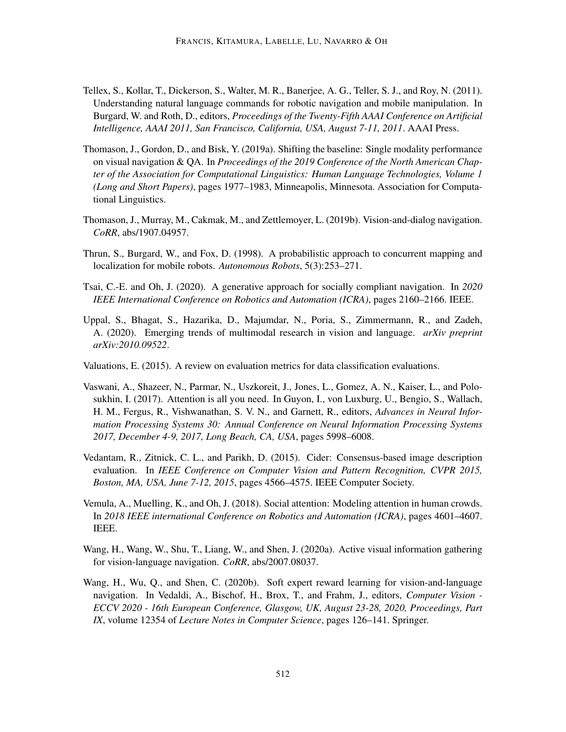- <span id="page-53-2"></span>Tellex, S., Kollar, T., Dickerson, S., Walter, M. R., Banerjee, A. G., Teller, S. J., and Roy, N. (2011). Understanding natural language commands for robotic navigation and mobile manipulation. In Burgard, W. and Roth, D., editors, *Proceedings of the Twenty-Fifth AAAI Conference on Artificial Intelligence, AAAI 2011, San Francisco, California, USA, August 7-11, 2011*. AAAI Press.
- <span id="page-53-7"></span>Thomason, J., Gordon, D., and Bisk, Y. (2019a). Shifting the baseline: Single modality performance on visual navigation & QA. In *Proceedings of the 2019 Conference of the North American Chapter of the Association for Computational Linguistics: Human Language Technologies, Volume 1 (Long and Short Papers)*, pages 1977–1983, Minneapolis, Minnesota. Association for Computational Linguistics.
- <span id="page-53-0"></span>Thomason, J., Murray, M., Cakmak, M., and Zettlemoyer, L. (2019b). Vision-and-dialog navigation. *CoRR*, abs/1907.04957.
- <span id="page-53-4"></span>Thrun, S., Burgard, W., and Fox, D. (1998). A probabilistic approach to concurrent mapping and localization for mobile robots. *Autonomous Robots*, 5(3):253–271.
- <span id="page-53-10"></span>Tsai, C.-E. and Oh, J. (2020). A generative approach for socially compliant navigation. In *2020 IEEE International Conference on Robotics and Automation (ICRA)*, pages 2160–2166. IEEE.
- <span id="page-53-1"></span>Uppal, S., Bhagat, S., Hazarika, D., Majumdar, N., Poria, S., Zimmermann, R., and Zadeh, A. (2020). Emerging trends of multimodal research in vision and language. *arXiv preprint arXiv:2010.09522*.
- <span id="page-53-8"></span>Valuations, E. (2015). A review on evaluation metrics for data classification evaluations.
- <span id="page-53-3"></span>Vaswani, A., Shazeer, N., Parmar, N., Uszkoreit, J., Jones, L., Gomez, A. N., Kaiser, L., and Polosukhin, I. (2017). Attention is all you need. In Guyon, I., von Luxburg, U., Bengio, S., Wallach, H. M., Fergus, R., Vishwanathan, S. V. N., and Garnett, R., editors, *Advances in Neural Information Processing Systems 30: Annual Conference on Neural Information Processing Systems 2017, December 4-9, 2017, Long Beach, CA, USA*, pages 5998–6008.
- <span id="page-53-9"></span>Vedantam, R., Zitnick, C. L., and Parikh, D. (2015). Cider: Consensus-based image description evaluation. In *IEEE Conference on Computer Vision and Pattern Recognition, CVPR 2015, Boston, MA, USA, June 7-12, 2015*, pages 4566–4575. IEEE Computer Society.
- <span id="page-53-11"></span>Vemula, A., Muelling, K., and Oh, J. (2018). Social attention: Modeling attention in human crowds. In *2018 IEEE international Conference on Robotics and Automation (ICRA)*, pages 4601–4607. IEEE.
- <span id="page-53-6"></span>Wang, H., Wang, W., Shu, T., Liang, W., and Shen, J. (2020a). Active visual information gathering for vision-language navigation. *CoRR*, abs/2007.08037.
- <span id="page-53-5"></span>Wang, H., Wu, Q., and Shen, C. (2020b). Soft expert reward learning for vision-and-language navigation. In Vedaldi, A., Bischof, H., Brox, T., and Frahm, J., editors, *Computer Vision - ECCV 2020 - 16th European Conference, Glasgow, UK, August 23-28, 2020, Proceedings, Part IX*, volume 12354 of *Lecture Notes in Computer Science*, pages 126–141. Springer.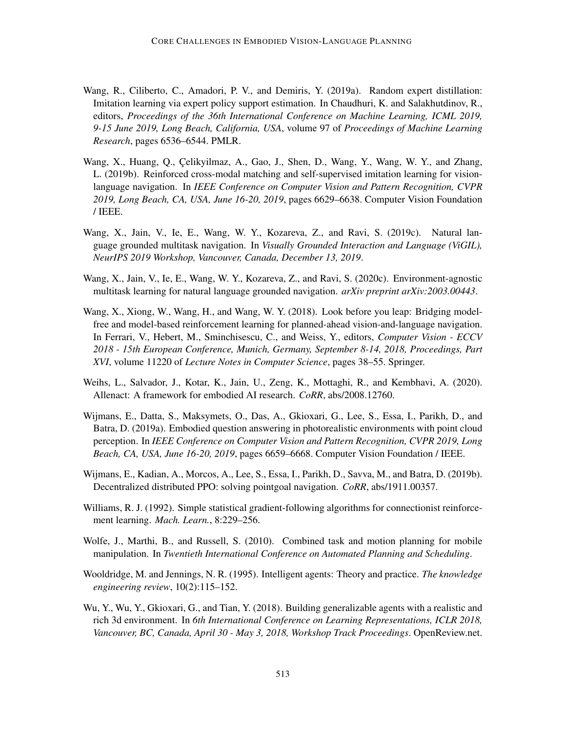- <span id="page-54-8"></span>Wang, R., Ciliberto, C., Amadori, P. V., and Demiris, Y. (2019a). Random expert distillation: Imitation learning via expert policy support estimation. In Chaudhuri, K. and Salakhutdinov, R., editors, *Proceedings of the 36th International Conference on Machine Learning, ICML 2019, 9-15 June 2019, Long Beach, California, USA*, volume 97 of *Proceedings of Machine Learning Research*, pages 6536–6544. PMLR.
- <span id="page-54-2"></span>Wang, X., Huang, Q., Celikyilmaz, A., Gao, J., Shen, D., Wang, Y., Wang, W. Y., and Zhang, L. (2019b). Reinforced cross-modal matching and self-supervised imitation learning for visionlanguage navigation. In *IEEE Conference on Computer Vision and Pattern Recognition, CVPR 2019, Long Beach, CA, USA, June 16-20, 2019*, pages 6629–6638. Computer Vision Foundation / IEEE.
- <span id="page-54-7"></span>Wang, X., Jain, V., Ie, E., Wang, W. Y., Kozareva, Z., and Ravi, S. (2019c). Natural language grounded multitask navigation. In *Visually Grounded Interaction and Language (ViGIL), NeurIPS 2019 Workshop, Vancouver, Canada, December 13, 2019*.
- <span id="page-54-9"></span>Wang, X., Jain, V., Ie, E., Wang, W. Y., Kozareva, Z., and Ravi, S. (2020c). Environment-agnostic multitask learning for natural language grounded navigation. *arXiv preprint arXiv:2003.00443*.
- <span id="page-54-4"></span>Wang, X., Xiong, W., Wang, H., and Wang, W. Y. (2018). Look before you leap: Bridging modelfree and model-based reinforcement learning for planned-ahead vision-and-language navigation. In Ferrari, V., Hebert, M., Sminchisescu, C., and Weiss, Y., editors, *Computer Vision - ECCV 2018 - 15th European Conference, Munich, Germany, September 8-14, 2018, Proceedings, Part XVI*, volume 11220 of *Lecture Notes in Computer Science*, pages 38–55. Springer.
- <span id="page-54-10"></span>Weihs, L., Salvador, J., Kotar, K., Jain, U., Zeng, K., Mottaghi, R., and Kembhavi, A. (2020). Allenact: A framework for embodied AI research. *CoRR*, abs/2008.12760.
- <span id="page-54-1"></span>Wijmans, E., Datta, S., Maksymets, O., Das, A., Gkioxari, G., Lee, S., Essa, I., Parikh, D., and Batra, D. (2019a). Embodied question answering in photorealistic environments with point cloud perception. In *IEEE Conference on Computer Vision and Pattern Recognition, CVPR 2019, Long Beach, CA, USA, June 16-20, 2019*, pages 6659–6668. Computer Vision Foundation / IEEE.
- <span id="page-54-6"></span>Wijmans, E., Kadian, A., Morcos, A., Lee, S., Essa, I., Parikh, D., Savva, M., and Batra, D. (2019b). Decentralized distributed PPO: solving pointgoal navigation. *CoRR*, abs/1911.00357.
- <span id="page-54-5"></span>Williams, R. J. (1992). Simple statistical gradient-following algorithms for connectionist reinforcement learning. *Mach. Learn.*, 8:229–256.
- <span id="page-54-3"></span>Wolfe, J., Marthi, B., and Russell, S. (2010). Combined task and motion planning for mobile manipulation. In *Twentieth International Conference on Automated Planning and Scheduling*.
- <span id="page-54-0"></span>Wooldridge, M. and Jennings, N. R. (1995). Intelligent agents: Theory and practice. *The knowledge engineering review*, 10(2):115–152.
- <span id="page-54-11"></span>Wu, Y., Wu, Y., Gkioxari, G., and Tian, Y. (2018). Building generalizable agents with a realistic and rich 3d environment. In *6th International Conference on Learning Representations, ICLR 2018, Vancouver, BC, Canada, April 30 - May 3, 2018, Workshop Track Proceedings*. OpenReview.net.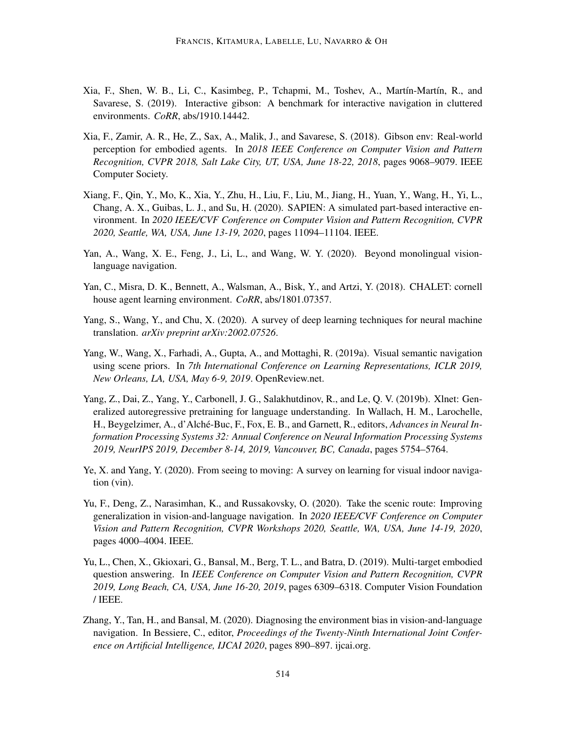- <span id="page-55-6"></span>Xia, F., Shen, W. B., Li, C., Kasimbeg, P., Tchapmi, M., Toshev, A., Martín-Martín, R., and Savarese, S. (2019). Interactive gibson: A benchmark for interactive navigation in cluttered environments. *CoRR*, abs/1910.14442.
- <span id="page-55-5"></span>Xia, F., Zamir, A. R., He, Z., Sax, A., Malik, J., and Savarese, S. (2018). Gibson env: Real-world perception for embodied agents. In *2018 IEEE Conference on Computer Vision and Pattern Recognition, CVPR 2018, Salt Lake City, UT, USA, June 18-22, 2018*, pages 9068–9079. IEEE Computer Society.
- <span id="page-55-8"></span>Xiang, F., Qin, Y., Mo, K., Xia, Y., Zhu, H., Liu, F., Liu, M., Jiang, H., Yuan, Y., Wang, H., Yi, L., Chang, A. X., Guibas, L. J., and Su, H. (2020). SAPIEN: A simulated part-based interactive environment. In *2020 IEEE/CVF Conference on Computer Vision and Pattern Recognition, CVPR 2020, Seattle, WA, USA, June 13-19, 2020*, pages 11094–11104. IEEE.
- <span id="page-55-9"></span>Yan, A., Wang, X. E., Feng, J., Li, L., and Wang, W. Y. (2020). Beyond monolingual visionlanguage navigation.
- <span id="page-55-7"></span>Yan, C., Misra, D. K., Bennett, A., Walsman, A., Bisk, Y., and Artzi, Y. (2018). CHALET: cornell house agent learning environment. *CoRR*, abs/1801.07357.
- <span id="page-55-2"></span>Yang, S., Wang, Y., and Chu, X. (2020). A survey of deep learning techniques for neural machine translation. *arXiv preprint arXiv:2002.07526*.
- <span id="page-55-10"></span>Yang, W., Wang, X., Farhadi, A., Gupta, A., and Mottaghi, R. (2019a). Visual semantic navigation using scene priors. In *7th International Conference on Learning Representations, ICLR 2019, New Orleans, LA, USA, May 6-9, 2019*. OpenReview.net.
- <span id="page-55-11"></span>Yang, Z., Dai, Z., Yang, Y., Carbonell, J. G., Salakhutdinov, R., and Le, Q. V. (2019b). Xlnet: Generalized autoregressive pretraining for language understanding. In Wallach, H. M., Larochelle, H., Beygelzimer, A., d'Alché-Buc, F., Fox, E. B., and Garnett, R., editors, Advances in Neural In*formation Processing Systems 32: Annual Conference on Neural Information Processing Systems 2019, NeurIPS 2019, December 8-14, 2019, Vancouver, BC, Canada*, pages 5754–5764.
- <span id="page-55-0"></span>Ye, X. and Yang, Y. (2020). From seeing to moving: A survey on learning for visual indoor navigation (vin).
- <span id="page-55-4"></span>Yu, F., Deng, Z., Narasimhan, K., and Russakovsky, O. (2020). Take the scenic route: Improving generalization in vision-and-language navigation. In *2020 IEEE/CVF Conference on Computer Vision and Pattern Recognition, CVPR Workshops 2020, Seattle, WA, USA, June 14-19, 2020*, pages 4000–4004. IEEE.
- <span id="page-55-3"></span>Yu, L., Chen, X., Gkioxari, G., Bansal, M., Berg, T. L., and Batra, D. (2019). Multi-target embodied question answering. In *IEEE Conference on Computer Vision and Pattern Recognition, CVPR 2019, Long Beach, CA, USA, June 16-20, 2019*, pages 6309–6318. Computer Vision Foundation / IEEE.
- <span id="page-55-1"></span>Zhang, Y., Tan, H., and Bansal, M. (2020). Diagnosing the environment bias in vision-and-language navigation. In Bessiere, C., editor, *Proceedings of the Twenty-Ninth International Joint Conference on Artificial Intelligence, IJCAI 2020*, pages 890–897. ijcai.org.